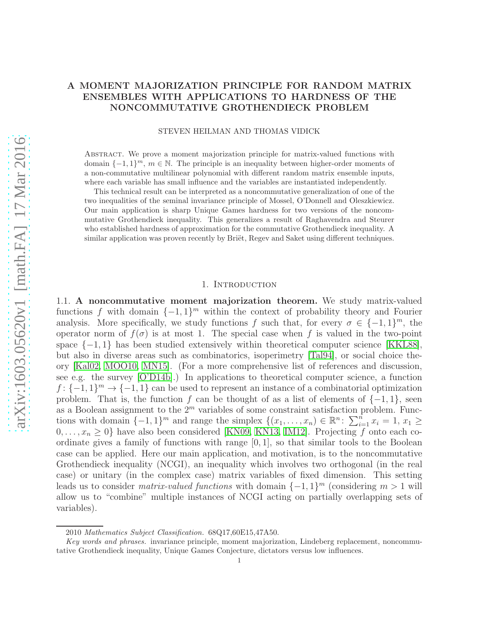# A MOMENT MAJORIZATION PRINCIPLE FOR RANDOM MATRIX ENSEMBLES WITH APPLICATIONS TO HARDNESS OF THE NONCOMMUTATIVE GROTHENDIECK PROBLEM

#### STEVEN HEILMAN AND THOMAS VIDICK

Abstract. We prove a moment majorization principle for matrix-valued functions with domain  $\{-1,1\}^m$ ,  $m \in \mathbb{N}$ . The principle is an inequality between higher-order moments of a non-commutative multilinear polynomial with different random matrix ensemble inputs, where each variable has small influence and the variables are instantiated independently.

This technical result can be interpreted as a noncommutative generalization of one of the two inequalities of the seminal invariance principle of Mossel, O'Donnell and Oleszkiewicz. Our main application is sharp Unique Games hardness for two versions of the noncommutative Grothendieck inequality. This generalizes a result of Raghavendra and Steurer who established hardness of approximation for the commutative Grothendieck inequality. A similar application was proven recently by Briët, Regev and Saket using different techniques.

### 1. INTRODUCTION

1.1. A noncommutative moment majorization theorem. We study matrix-valued functions f with domain  $\{-1, 1\}^m$  within the context of probability theory and Fourier analysis. More specifically, we study functions f such that, for every  $\sigma \in \{-1,1\}^m$ , the operator norm of  $f(\sigma)$  is at most 1. The special case when f is valued in the two-point space  $\{-1, 1\}$  has been studied extensively within theoretical computer science [\[KKL88\]](#page-36-0), but also in diverse areas such as combinatorics, isoperimetry [\[Tal94\]](#page-37-0), or social choice theory [\[Kal02,](#page-36-1) [MOO10,](#page-37-1) [MN15\]](#page-37-2). (For a more comprehensive list of references and discussion, see e.g. the survey [\[O'D14b\]](#page-37-3).) In applications to theoretical computer science, a function  $f: \{-1, 1\}^m \to \{-1, 1\}$  can be used to represent an instance of a combinatorial optimization problem. That is, the function f can be thought of as a list of elements of  $\{-1, 1\}$ , seen as a Boolean assignment to the  $2^m$  variables of some constraint satisfaction problem. Functions with domain  $\{-1, 1\}^m$  and range the simplex  $\{(x_1, \ldots, x_n) \in \mathbb{R}^n : \sum_{i=1}^n x_i = 1, x_1 \geq 1\}$  $0, \ldots, x_n \geq 0$  have also been considered [\[KN09,](#page-37-4) [KN13,](#page-37-5) [IM12\]](#page-36-2). Projecting f onto each coordinate gives a family of functions with range  $[0, 1]$ , so that similar tools to the Boolean case can be applied. Here our main application, and motivation, is to the noncommutative Grothendieck inequality (NCGI), an inequality which involves two orthogonal (in the real case) or unitary (in the complex case) matrix variables of fixed dimension. This setting leads us to consider *matrix-valued functions* with domain  $\{-1, 1\}^m$  (considering  $m > 1$  will allow us to "combine" multiple instances of NCGI acting on partially overlapping sets of variables).

<sup>2010</sup> Mathematics Subject Classification. 68Q17,60E15,47A50.

Key words and phrases. invariance principle, moment majorization, Lindeberg replacement, noncommutative Grothendieck inequality, Unique Games Conjecture, dictators versus low influences.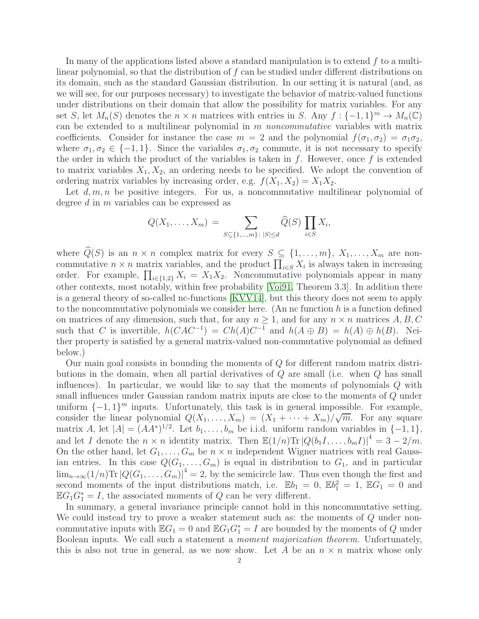In many of the applications listed above a standard manipulation is to extend  $f$  to a multilinear polynomial, so that the distribution of  $f$  can be studied under different distributions on its domain, such as the standard Gaussian distribution. In our setting it is natural (and, as we will see, for our purposes necessary) to investigate the behavior of matrix-valued functions under distributions on their domain that allow the possibility for matrix variables. For any set S, let  $M_n(S)$  denotes the  $n \times n$  matrices with entries in S. Any  $f: \{-1,1\}^m \to M_n(\mathbb{C})$ can be extended to a multilinear polynomial in m noncommutative variables with matrix coefficients. Consider for instance the case  $m = 2$  and the polynomial  $f(\sigma_1, \sigma_2) = \sigma_1 \sigma_2$ , where  $\sigma_1, \sigma_2 \in \{-1, 1\}$ . Since the variables  $\sigma_1, \sigma_2$  commute, it is not necessary to specify the order in which the product of the variables is taken in  $f$ . However, once  $f$  is extended to matrix variables  $X_1, X_2$ , an ordering needs to be specified. We adopt the convention of ordering matrix variables by increasing order, e.g.  $f(X_1, X_2) = X_1X_2$ .

Let  $d, m, n$  be positive integers. For us, a noncommutative multilinear polynomial of degree d in m variables can be expressed as

$$
Q(X_1,\ldots,X_m) = \sum_{S \subseteq \{1,\ldots,m\} : |S| \leq d} \widehat{Q}(S) \prod_{i \in S} X_i,
$$

where  $\widehat{Q}(S)$  is an  $n \times n$  complex matrix for every  $S \subseteq \{1, \ldots, m\}, X_1, \ldots, X_m$  are noncommutative  $n \times n$  matrix variables, and the product  $\prod_{i \in S} X_i$  is always taken in increasing order. For example,  $\prod_{i\in\{1,2\}} X_i = X_1X_2$ . Noncommutative polynomials appear in many other contexts, most notably, within free probability [\[Voi91,](#page-38-0) Theorem 3.3]. In addition there is a general theory of so-called nc-functions [\[KVV14\]](#page-37-6), but this theory does not seem to apply to the noncommutative polynomials we consider here. (An nc function  $h$  is a function defined on matrices of any dimension, such that, for any  $n > 1$ , and for any  $n \times n$  matrices A, B, C such that C is invertible,  $h(CAC^{-1}) = Ch(A)C^{-1}$  and  $h(A \oplus B) = h(A) \oplus h(B)$ . Neither property is satisfied by a general matrix-valued non-commutative polynomial as defined below.)

Our main goal consists in bounding the moments of Q for different random matrix distributions in the domain, when all partial derivatives of Q are small (i.e. when Q has small influences). In particular, we would like to say that the moments of polynomials  $Q$  with small influences under Gaussian random matrix inputs are close to the moments of Q under uniform  $\{-1, 1\}^m$  inputs. Unfortunately, this task is in general impossible. For example, consider the linear polynomial  $Q(X_1, \ldots, X_m) = (X_1 + \cdots + X_m)/\sqrt{m}$ . For any square matrix A, let  $|A| = (AA^*)^{1/2}$ . Let  $b_1, \ldots, b_m$  be i.i.d. uniform random variables in  $\{-1, 1\}$ , and let I denote the  $n \times n$  identity matrix. Then  $\mathbb{E}(1/n)\text{Tr}\left|Q(b_1I, \ldots, b_mI)\right|^4 = 3 - 2/m$ . On the other hand, let  $G_1, \ldots, G_m$  be  $n \times n$  independent Wigner matrices with real Gaussian entries. In this case  $Q(G_1, \ldots, G_m)$  is equal in distribution to  $G_1$ , and in particular  $\lim_{n\to\infty}(1/n)\mathrm{Tr}\left|Q(G_1,\ldots,G_m)\right|^4=2$ , by the semicircle law. Thus even though the first and second moments of the input distributions match, i.e.  $\mathbb{E}b_1 = 0$ ,  $\mathbb{E}b_1^2 = 1$ ,  $\mathbb{E}G_1 = 0$  and  $\mathbb{E}G_1G_1^* = I$ , the associated moments of Q can be very different.

In summary, a general invariance principle cannot hold in this noncommutative setting. We could instead try to prove a weaker statement such as: the moments of  $Q$  under noncommutative inputs with  $\mathbb{E}G_1 = 0$  and  $\mathbb{E}G_1G_1^* = I$  are bounded by the moments of Q under Boolean inputs. We call such a statement a moment majorization theorem. Unfortunately, this is also not true in general, as we now show. Let A be an  $n \times n$  matrix whose only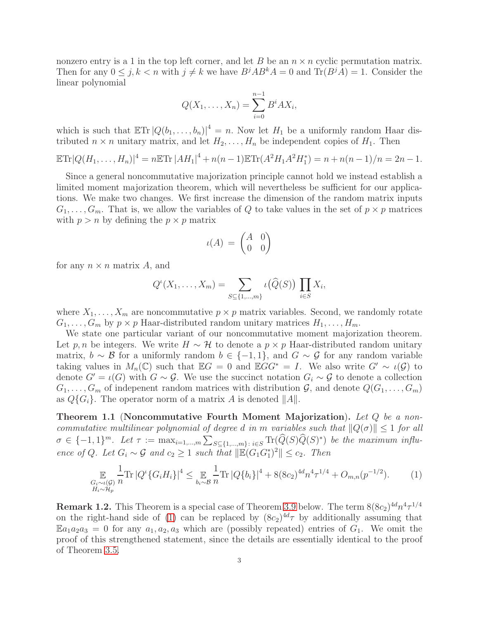nonzero entry is a 1 in the top left corner, and let B be an  $n \times n$  cyclic permutation matrix. Then for any  $0 \leq j, k < n$  with  $j \neq k$  we have  $B^{j}AB^{k}A = 0$  and  $\text{Tr}(B^{j}A) = 1$ . Consider the linear polynomial

$$
Q(X_1, ..., X_n) = \sum_{i=0}^{n-1} B^i A X_i,
$$

which is such that  $\mathbb{E} \text{Tr} |Q(b_1, \ldots, b_n)|^4 = n$ . Now let  $H_1$  be a uniformly random Haar distributed  $n \times n$  unitary matrix, and let  $H_2, \ldots, H_n$  be independent copies of  $H_1$ . Then

$$
\mathbb{E}\mathrm{Tr}|Q(H_1,\ldots,H_n)|^4 = n\mathbb{E}\mathrm{Tr}|AH_1|^4 + n(n-1)\mathbb{E}\mathrm{Tr}(A^2H_1A^2H_1^*) = n + n(n-1)/n = 2n-1.
$$

Since a general noncommutative majorization principle cannot hold we instead establish a limited moment majorization theorem, which will nevertheless be sufficient for our applications. We make two changes. We first increase the dimension of the random matrix inputs  $G_1, \ldots, G_m$ . That is, we allow the variables of Q to take values in the set of  $p \times p$  matrices with  $p > n$  by defining the  $p \times p$  matrix

$$
\iota(A) \,=\, \begin{pmatrix} A & 0 \\ 0 & 0 \end{pmatrix}
$$

for any  $n \times n$  matrix A, and

$$
Q^{i}(X_1,\ldots,X_m)=\sum_{S\subseteq\{1,\ldots,m\}}\iota\big(\widehat{Q}(S)\big)\prod_{i\in S}X_i,
$$

where  $X_1, \ldots, X_m$  are noncommutative  $p \times p$  matrix variables. Second, we randomly rotate  $G_1, \ldots, G_m$  by  $p \times p$  Haar-distributed random unitary matrices  $H_1, \ldots, H_m$ .

We state one particular variant of our noncommutative moment majorization theorem. Let p, n be integers. We write  $H \sim \mathcal{H}$  to denote a  $p \times p$  Haar-distributed random unitary matrix,  $b \sim \mathcal{B}$  for a uniformly random  $b \in \{-1,1\}$ , and  $G \sim \mathcal{G}$  for any random variable taking values in  $M_n(\mathbb{C})$  such that  $\mathbb{E}G = 0$  and  $\mathbb{E}GG^* = I$ . We also write  $G' \sim \iota(\mathcal{G})$  to denote  $G' = \iota(G)$  with  $G \sim \mathcal{G}$ . We use the succinct notation  $G_i \sim \mathcal{G}$  to denote a collection  $G_1, \ldots, G_m$  of indepenent random matrices with distribution  $\mathcal{G}$ , and denote  $Q(G_1, \ldots, G_m)$ as  $Q\{G_i\}$ . The operator norm of a matrix A is denoted  $||A||$ .

<span id="page-2-1"></span>Theorem 1.1 (Noncommutative Fourth Moment Majorization). Let Q be a noncommutative multilinear polynomial of degree d in m variables such that  $||Q(\sigma)|| \leq 1$  for all  $\sigma \in \{-1,1\}^m$ . Let  $\tau := \max_{i=1,\dots,m} \sum_{S \subseteq \{1,\dots,m\} : i \in S} \text{Tr}(\widehat{Q}(S)\widehat{Q}(S)^*)$  be the maximum influence of Q. Let  $G_i \sim \mathcal{G}$  and  $c_2 \geq 1$  such that  $\|\mathbb{E}(G_1G_1^*)^2\| \leq c_2$ . Then

<span id="page-2-0"></span>
$$
\mathop{\mathbb{E}}_{\substack{G_i \sim \iota(\mathcal{G}) \\ H_i \sim \mathcal{H}_p}} \frac{1}{n} \text{Tr} \left| Q^{\iota} \{ G_i H_i \} \right|^4 \leq \mathop{\mathbb{E}}_{b_i \sim \mathcal{B}} \frac{1}{n} \text{Tr} \left| Q \{ b_i \} \right|^4 + 8(8c_2)^{4d} n^4 \tau^{1/4} + O_{m,n}(p^{-1/2}). \tag{1}
$$

**Remark 1.2.** This Theorem is a special case of Theorem [3.9](#page-24-0) below. The term  $8(8c_2)^{4d}n^4 \tau^{1/4}$ on the right-hand side of [\(1\)](#page-2-0) can be replaced by  $(8c_2)^{4d}\tau$  by additionally assuming that  $\mathbb{E}a_1a_2a_3 = 0$  for any  $a_1, a_2, a_3$  which are (possibly repeated) entries of  $G_1$ . We omit the proof of this strengthened statement, since the details are essentially identical to the proof of Theorem [3.5.](#page-19-0)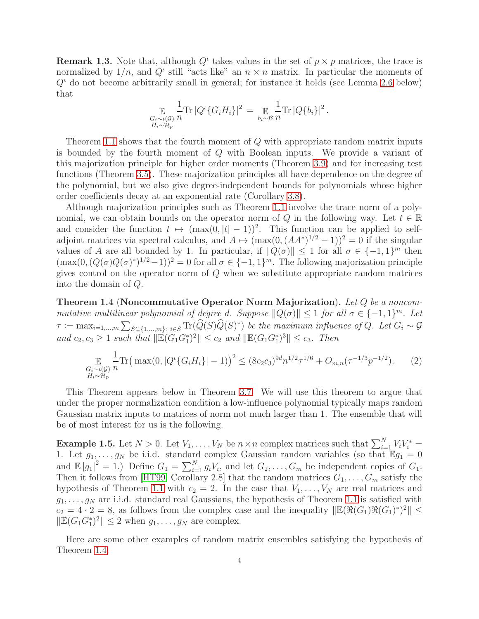**Remark 1.3.** Note that, although  $Q^{\iota}$  takes values in the set of  $p \times p$  matrices, the trace is normalized by  $1/n$ , and  $Q^i$  still "acts like" an  $n \times n$  matrix. In particular the moments of  $Q<sup>t</sup>$  do not become arbitrarily small in general; for instance it holds (see Lemma [2.6](#page-14-0) below) that

$$
\mathop{\mathbb{E}}_{\substack{G_i \sim \iota(\mathcal{G}) \\ H_i \sim \mathcal{H}_p}} \frac{1}{n} \text{Tr} |Q^{\iota} \{ G_i H_i \} |^2 = \mathop{\mathbb{E}}_{b_i \sim \mathcal{B}} \frac{1}{n} \text{Tr} |Q \{ b_i \} |^2.
$$

Theorem [1.1](#page-2-1) shows that the fourth moment of Q with appropriate random matrix inputs is bounded by the fourth moment of Q with Boolean inputs. We provide a variant of this majorization principle for higher order moments (Theorem [3.9\)](#page-24-0) and for increasing test functions (Theorem [3.5\)](#page-19-0). These majorization principles all have dependence on the degree of the polynomial, but we also give degree-independent bounds for polynomials whose higher order coefficients decay at an exponential rate (Corollary [3.8\)](#page-23-0).

Although majorization principles such as Theorem [1.1](#page-2-1) involve the trace norm of a polynomial, we can obtain bounds on the operator norm of Q in the following way. Let  $t \in \mathbb{R}$ and consider the function  $t \mapsto (\max(0, |t| - 1))^2$ . This function can be applied to selfadjoint matrices via spectral calculus, and  $A \mapsto (\max(0, (AA^*)^{1/2} - 1))^2 = 0$  if the singular values of A are all bounded by 1. In particular, if  $||Q(\sigma)|| \leq 1$  for all  $\sigma \in \{-1, 1\}^m$  then  $(\max(0, (Q(\sigma)Q(\sigma)^*)^{1/2}-1))^2 = 0$  for all  $\sigma \in \{-1,1\}^m$ . The following majorization principle gives control on the operator norm of Q when we substitute appropriate random matrices into the domain of Q.

<span id="page-3-0"></span>**Theorem 1.4 (Noncommutative Operator Norm Majorization).** Let  $Q$  be a noncommutative multilinear polynomial of degree d. Suppose  $||Q(\sigma)|| \leq 1$  for all  $\sigma \in \{-1,1\}^m$ . Let  $\tau := \max_{i=1,\dots,m} \sum_{S \subseteq \{1,\dots,m\} \colon i \in S} \text{Tr}(\widehat{Q}(S)\widehat{Q}(S)^*)$  be the maximum influence of Q. Let  $G_i \sim \mathcal{G}$ and  $c_2, c_3 \geq 1$  such that  $\|\mathbb{E}(G_1G_1^*)^2\| \leq c_2$  and  $\|\mathbb{E}(G_1G_1^*)^3\| \leq c_3$ . Then

$$
\mathbb{E}_{\substack{G_i \sim \iota(\mathcal{G}) \\ H_i \sim \mathcal{H}_p}} \frac{1}{n} \text{Tr} \big( \max(0, |Q^{\iota} \{ G_i H_i \} | - 1) \big)^2 \le (8c_2 c_3)^{9d} n^{1/2} \tau^{1/6} + O_{m,n}(\tau^{-1/3} p^{-1/2}). \tag{2}
$$

This Theorem appears below in Theorem [3.7.](#page-22-0) We will use this theorem to argue that under the proper normalization condition a low-influence polynomial typically maps random Gaussian matrix inputs to matrices of norm not much larger than 1. The ensemble that will be of most interest for us is the following.

<span id="page-3-1"></span>**Example 1.5.** Let  $N > 0$ . Let  $V_1, \ldots, V_N$  be  $n \times n$  complex matrices such that  $\sum_{i=1}^N V_i V_i^* =$ 1. Let  $g_1, \ldots, g_N$  be i.i.d. standard complex Gaussian random variables (so that  $\mathbb{E} g_1 = 0$ and  $\mathbb{E}|g_1|^2 = 1$ .) Define  $G_1 = \sum_{i=1}^N g_i V_i$ , and let  $G_2, \ldots, G_m$  be independent copies of  $G_1$ . Then it follows from [\[HT99,](#page-36-3) Corollary 2.8] that the random matrices  $G_1, \ldots, G_m$  satisfy the hypothesis of Theorem [1.1](#page-2-1) with  $c_2 = 2$ . In the case that  $V_1, \ldots, V_N$  are real matrices and  $g_1, \ldots, g_N$  are i.i.d. standard real Gaussians, the hypothesis of Theorem [1.1](#page-2-1) is satisfied with  $c_2 = 4 \cdot 2 = 8$ , as follows from the complex case and the inequality  $\|\mathbb{E}(\Re(G_1)\Re(G_1))^*)^2\| \le$  $\|\mathbb{E}(G_1G_1^*)^2\| \leq 2$  when  $g_1, \ldots, g_N$  are complex.

Here are some other examples of random matrix ensembles satisfying the hypothesis of Theorem [1.4.](#page-3-0)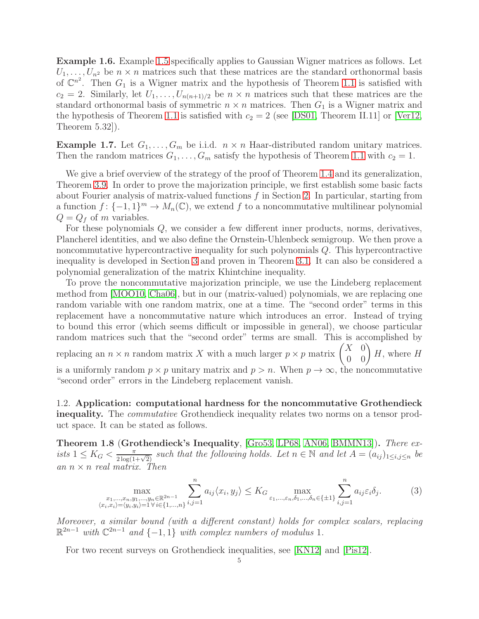Example 1.6. Example [1.5](#page-3-1) specifically applies to Gaussian Wigner matrices as follows. Let  $U_1, \ldots, U_{n^2}$  be  $n \times n$  matrices such that these matrices are the standard orthonormal basis of  $\mathbb{C}^{n^2}$ . Then  $G_1$  is a Wigner matrix and the hypothesis of Theorem [1.1](#page-2-1) is satisfied with  $c_2 = 2$ . Similarly, let  $U_1, \ldots, U_{n(n+1)/2}$  be  $n \times n$  matrices such that these matrices are the standard orthonormal basis of symmetric  $n \times n$  matrices. Then  $G_1$  is a Wigner matrix and the hypothesis of Theorem [1.1](#page-2-1) is satisfied with  $c_2 = 2$  (see [\[DS01,](#page-36-4) Theorem II.11] or [\[Ver12,](#page-38-1) Theorem 5.32]).

Example 1.7. Let  $G_1, \ldots, G_m$  be i.i.d.  $n \times n$  Haar-distributed random unitary matrices. Then the random matrices  $G_1, \ldots, G_m$  satisfy the hypothesis of Theorem [1.1](#page-2-1) with  $c_2 = 1$ .

We give a brief overview of the strategy of the proof of Theorem [1.4](#page-3-0) and its generalization, Theorem [3.9.](#page-24-0) In order to prove the majorization principle, we first establish some basic facts about Fourier analysis of matrix-valued functions  $f$  in Section [2.](#page-8-0) In particular, starting from a function  $f: \{-1,1\}^m \to M_n(\mathbb{C})$ , we extend f to a noncommutative multilinear polynomial  $Q = Q_f$  of m variables.

For these polynomials Q, we consider a few different inner products, norms, derivatives, Plancherel identities, and we also define the Ornstein-Uhlenbeck semigroup. We then prove a noncommutative hypercontractive inequality for such polynomials Q. This hypercontractive inequality is developed in Section [3](#page-15-0) and proven in Theorem [3.1.](#page-16-0) It can also be considered a polynomial generalization of the matrix Khintchine inequality.

To prove the noncommutative majorization principle, we use the Lindeberg replacement method from [\[MOO10,](#page-37-1) [Cha06\]](#page-36-5), but in our (matrix-valued) polynomials, we are replacing one random variable with one random matrix, one at a time. The "second order" terms in this replacement have a noncommutative nature which introduces an error. Instead of trying to bound this error (which seems difficult or impossible in general), we choose particular random matrices such that the "second order" terms are small. This is accomplished by replacing an  $n \times n$  random matrix X with a much larger  $p \times p$  matrix  $\begin{pmatrix} X & 0 \\ 0 & 0 \end{pmatrix} H$ , where H is a uniformly random  $p \times p$  unitary matrix and  $p > n$ . When  $p \to \infty$ , the noncommutative "second order" errors in the Lindeberg replacement vanish.

1.2. Application: computational hardness for the noncommutative Grothendieck inequality. The *commutative* Grothendieck inequality relates two norms on a tensor product space. It can be stated as follows.

<span id="page-4-0"></span>Theorem 1.8 (Grothendieck's Inequality, [\[Gro53,](#page-36-6) [LP68,](#page-37-7) [AN06,](#page-35-0) [BMMN13\]](#page-36-7)). There exists  $1 \leq K_G < \frac{\pi}{2 \log(1+\sqrt{2})}$  such that the following holds. Let  $n \in \mathbb{N}$  and let  $A = (a_{ij})_{1 \leq i,j \leq n}$  be an  $n \times n$  real matrix. Then

<span id="page-4-1"></span>
$$
\max_{\substack{x_1,\dots,x_n,y_1,\dots,y_n \in \mathbb{R}^{2n-1} \\ \langle x_i,x_i \rangle = \langle y_i,y_i \rangle = 1 \forall i \in \{1,\dots,n\}}}\n\sum_{i,j=1}^n a_{ij} \langle x_i, y_j \rangle \leq K_G \max_{\varepsilon_1,\dots,\varepsilon_n,\delta_1,\dots,\delta_n \in \{\pm 1\}}\n\sum_{i,j=1}^n a_{ij} \varepsilon_i \delta_j.
$$
\n(3)

Moreover, a similar bound (with a different constant) holds for complex scalars, replacing  $\mathbb{R}^{2n-1}$  with  $\mathbb{C}^{2n-1}$  and  $\{-1, 1\}$  with complex numbers of modulus 1.

For two recent surveys on Grothendieck inequalities, see [\[KN12\]](#page-37-8) and [\[Pis12\]](#page-37-9).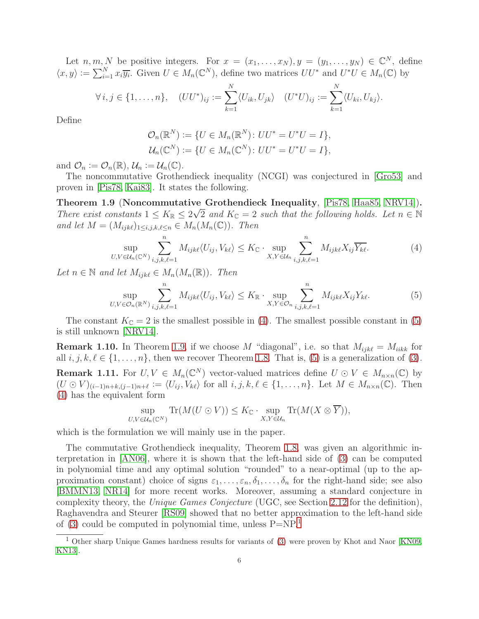Let  $n, m, N$  be positive integers. For  $x = (x_1, \ldots, x_N), y = (y_1, \ldots, y_N) \in \mathbb{C}^N$ , define  $\langle x, y \rangle := \sum_{i=1}^N x_i \overline{y_i}$ . Given  $U \in M_n(\mathbb{C}^N)$ , define two matrices  $UU^*$  and  $U^*U \in M_n(\mathbb{C})$  by

$$
\forall i,j \in \{1,\ldots,n\}, \quad (UU^*)_{ij} := \sum_{k=1}^N \langle U_{ik}, U_{jk} \rangle \quad (U^*U)_{ij} := \sum_{k=1}^N \langle U_{ki}, U_{kj} \rangle.
$$

Define

$$
\mathcal{O}_n(\mathbb{R}^N) := \{ U \in M_n(\mathbb{R}^N) : UU^* = U^*U = I \}, \mathcal{U}_n(\mathbb{C}^N) := \{ U \in M_n(\mathbb{C}^N) : UU^* = U^*U = I \},
$$

and  $\mathcal{O}_n := \mathcal{O}_n(\mathbb{R}), \mathcal{U}_n := \mathcal{U}_n(\mathbb{C}).$ 

The noncommutative Grothendieck inequality (NCGI) was conjectured in [\[Gro53\]](#page-36-6) and proven in [\[Pis78,](#page-37-10) [Kai83\]](#page-36-8). It states the following.

<span id="page-5-2"></span>Theorem 1.9 (Noncommutative Grothendieck Inequality, [\[Pis78,](#page-37-10) [Haa85,](#page-36-9) [NRV14\]](#page-37-11)). There exist constants  $1 \leq K_{\mathbb{R}} \leq 2\sqrt{2}$  and  $K_{\mathbb{C}} = 2$  such that the following holds. Let  $n \in \mathbb{N}$ and let  $M = (M_{ijk\ell})_{1 \leq i,j,k,\ell \leq n} \in M_n(M_n(\mathbb{C}))$ . Then

<span id="page-5-0"></span>
$$
\sup_{U,V\in\mathcal{U}_n(\mathbb{C}^N)}\sum_{i,j,k,\ell=1}^n M_{ijk\ell}\langle U_{ij},V_{k\ell}\rangle \leq K_{\mathbb{C}} \cdot \sup_{X,Y\in\mathcal{U}_n}\sum_{i,j,k,\ell=1}^n M_{ijk\ell}X_{ij}\overline{Y_{k\ell}}.\tag{4}
$$

Let  $n \in \mathbb{N}$  and let  $M_{ijk\ell} \in M_n(M_n(\mathbb{R}))$ . Then

<span id="page-5-1"></span>
$$
\sup_{U,V\in\mathcal{O}_n(\mathbb{R}^N)}\sum_{i,j,k,\ell=1}^n M_{ijk\ell}\langle U_{ij},V_{k\ell}\rangle \le K_{\mathbb{R}} \cdot \sup_{X,Y\in\mathcal{O}_n}\sum_{i,j,k,\ell=1}^n M_{ijk\ell}X_{ij}Y_{k\ell}.\tag{5}
$$

The constant  $K_{\mathbb{C}} = 2$  is the smallest possible in [\(4\)](#page-5-0). The smallest possible constant in [\(5\)](#page-5-1) is still unknown [\[NRV14\]](#page-37-11).

<span id="page-5-4"></span>**Remark 1.10.** In Theorem [1.9,](#page-5-2) if we choose M "diagonal", i.e. so that  $M_{ijk\ell} = M_{iikk}$  for all  $i, j, k, \ell \in \{1, \ldots, n\}$ , then we recover Theorem [1.8.](#page-4-0) That is, [\(5\)](#page-5-1) is a generalization of [\(3\)](#page-4-1). **Remark 1.11.** For  $U, V \in M_n(\mathbb{C}^N)$  vector-valued matrices define  $U \odot V \in M_{n \times n}(\mathbb{C})$  by  $(U \odot V)_{(i-1)n+k,(j-1)n+\ell} := \langle U_{ij}, V_{k\ell} \rangle$  for all  $i, j, k, \ell \in \{1, \ldots, n\}$ . Let  $M \in M_{n \times n}(\mathbb{C})$ . Then [\(4\)](#page-5-0) has the equivalent form

$$
\sup_{U,V\in\mathcal{U}_n(\mathbb{C}^N)} \mathrm{Tr}(M(U\odot V)) \leq K_{\mathbb{C}} \cdot \sup_{X,Y\in\mathcal{U}_n} \mathrm{Tr}(M(X\otimes \overline{Y})),
$$

which is the formulation we will mainly use in the paper.

The commutative Grothendieck inequality, Theorem [1.8,](#page-4-0) was given an algorithmic interpretation in [\[AN06\]](#page-35-0), where it is shown that the left-hand side of [\(3\)](#page-4-1) can be computed in polynomial time and any optimal solution "rounded" to a near-optimal (up to the approximation constant) choice of signs  $\varepsilon_1, \ldots, \varepsilon_n, \delta_1, \ldots, \delta_n$  for the right-hand side; see also [\[BMMN13,](#page-36-7) [NR14\]](#page-37-12) for more recent works. Moreover, assuming a standard conjecture in complexity theory, the Unique Games Conjecture (UGC, see Section [2.12](#page-15-1) for the definition), Raghavendra and Steurer [\[RS09\]](#page-37-13) showed that no better approximation to the left-hand side of [\(3\)](#page-4-1) could be computed in polynomial time, unless  $P=NP<sup>1</sup>$  $P=NP<sup>1</sup>$  $P=NP<sup>1</sup>$ .

<span id="page-5-3"></span><sup>&</sup>lt;sup>1</sup> Other sharp Unique Games hardness results for variants of [\(3\)](#page-4-1) were proven by Khot and Naor [\[KN09,](#page-37-4) [KN13\]](#page-37-5).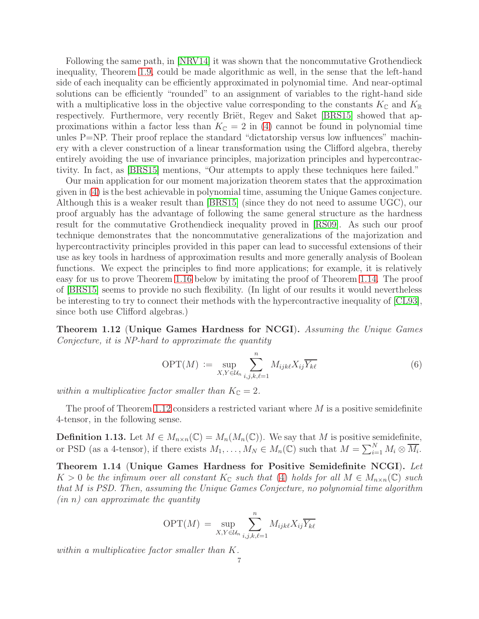Following the same path, in [\[NRV14\]](#page-37-11) it was shown that the noncommutative Grothendieck inequality, Theorem [1.9,](#page-5-2) could be made algorithmic as well, in the sense that the left-hand side of each inequality can be efficiently approximated in polynomial time. And near-optimal solutions can be efficiently "rounded" to an assignment of variables to the right-hand side with a multiplicative loss in the objective value corresponding to the constants  $K_{\mathbb{C}}$  and  $K_{\mathbb{R}}$ respectively. Furthermore, very recently Briët, Regev and Saket [\[BRS15\]](#page-36-10) showed that approximations within a factor less than  $K_{\mathbb{C}} = 2$  in [\(4\)](#page-5-0) cannot be found in polynomial time unles P=NP. Their proof replace the standard "dictatorship versus low influences" machinery with a clever construction of a linear transformation using the Clifford algebra, thereby entirely avoiding the use of invariance principles, majorization principles and hypercontractivity. In fact, as [\[BRS15\]](#page-36-10) mentions, "Our attempts to apply these techniques here failed."

Our main application for our moment majorization theorem states that the approximation given in [\(4\)](#page-5-0) is the best achievable in polynomial time, assuming the Unique Games conjecture. Although this is a weaker result than [\[BRS15\]](#page-36-10) (since they do not need to assume UGC), our proof arguably has the advantage of following the same general structure as the hardness result for the commutative Grothendieck inequality proved in [\[RS09\]](#page-37-13). As such our proof technique demonstrates that the noncommutative generalizations of the majorization and hypercontractivity principles provided in this paper can lead to successful extensions of their use as key tools in hardness of approximation results and more generally analysis of Boolean functions. We expect the principles to find more applications; for example, it is relatively easy for us to prove Theorem [1.16](#page-7-0) below by imitating the proof of Theorem [1.14.](#page-6-0) The proof of [\[BRS15\]](#page-36-10) seems to provide no such flexibility. (In light of our results it would nevertheless be interesting to try to connect their methods with the hypercontractive inequality of [\[CL93\]](#page-36-11), since both use Clifford algebras.)

<span id="page-6-1"></span>Theorem 1.12 (Unique Games Hardness for NCGI). Assuming the Unique Games Conjecture, it is NP-hard to approximate the quantity

$$
\text{OPT}(M) := \sup_{X,Y \in \mathcal{U}_n} \sum_{i,j,k,\ell=1}^n M_{ijk\ell} X_{ij} \overline{Y_{k\ell}} \tag{6}
$$

within a multiplicative factor smaller than  $K_{\mathbb{C}} = 2$ .

The proof of Theorem [1.12](#page-6-1) considers a restricted variant where  $M$  is a positive semidefinite 4-tensor, in the following sense.

**Definition 1.13.** Let  $M \in M_{n \times n}(\mathbb{C}) = M_n(M_n(\mathbb{C}))$ . We say that M is positive semidefinite, or PSD (as a 4-tensor), if there exists  $M_1, \ldots, M_N \in M_n(\mathbb{C})$  such that  $M = \sum_{i=1}^N M_i \otimes \overline{M_i}$ .

<span id="page-6-0"></span>Theorem 1.14 (Unique Games Hardness for Positive Semidefinite NCGI). Let  $K > 0$  be the infimum over all constant  $K_{\mathbb{C}}$  such that [\(4\)](#page-5-0) holds for all  $M \in M_{n \times n}(\mathbb{C})$  such that M is PSD. Then, assuming the Unique Games Conjecture, no polynomial time algorithm  $(in n)$  can approximate the quantity

$$
\text{OPT}(M) = \sup_{X,Y \in \mathcal{U}_n} \sum_{i,j,k,\ell=1}^n M_{ijk\ell} X_{ij} \overline{Y_{k\ell}}
$$

within a multiplicative factor smaller than K.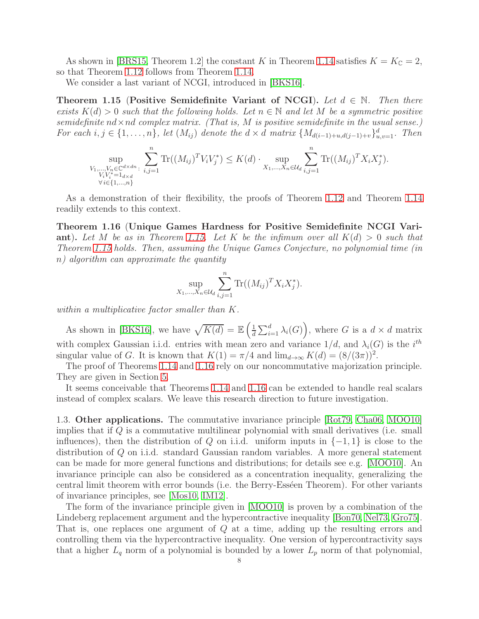As shown in [\[BRS15,](#page-36-10) Theorem 1.2] the constant K in Theorem [1.14](#page-6-0) satisfies  $K = K_{\mathbb{C}} = 2$ , so that Theorem [1.12](#page-6-1) follows from Theorem [1.14.](#page-6-0)

We consider a last variant of NCGI, introduced in [\[BKS16\]](#page-36-12).

<span id="page-7-1"></span>Theorem 1.15 (Positive Semidefinite Variant of NCGI). Let  $d \in \mathbb{N}$ . Then there exists  $K(d) > 0$  such that the following holds. Let  $n \in \mathbb{N}$  and let M be a symmetric positive semidefinite  $nd \times nd$  complex matrix. (That is, M is positive semidefinite in the usual sense.) For each  $i, j \in \{1, \ldots, n\}$ , let  $(M_{ij})$  denote the  $d \times d$  matrix  $\{M_{d(i-1)+u,d(j-1)+v}\}_{u,v=1}^d$ . Then

$$
\sup_{\substack{V_1,\ldots,V_n \in \mathbb{C}^{d \times dn}: \\ V_iV_i^* = 1_{d \times d} \\ \forall i \in \{1,\ldots,n\}}} \sum_{i,j=1}^n \text{Tr}((M_{ij})^T V_i V_j^*) \le K(d) \cdot \sup_{X_1,\ldots,X_n \in \mathcal{U}_d} \sum_{i,j=1}^n \text{Tr}((M_{ij})^T X_i X_j^*).
$$

As a demonstration of their flexibility, the proofs of Theorem [1.12](#page-6-1) and Theorem [1.14](#page-6-0) readily extends to this context.

<span id="page-7-0"></span>Theorem 1.16 (Unique Games Hardness for Positive Semidefinite NCGI Vari-ant). Let M be as in Theorem [1.15.](#page-7-1) Let K be the infimum over all  $K(d) > 0$  such that Theorem [1.15](#page-7-1) holds. Then, assuming the Unique Games Conjecture, no polynomial time (in n) algorithm can approximate the quantity

$$
\sup_{X_1,...,X_n \in \mathcal{U}_d} \sum_{i,j=1}^n \text{Tr}((M_{ij})^T X_i X_j^*).
$$

within a multiplicative factor smaller than K.

As shown in [\[BKS16\]](#page-36-12), we have  $\sqrt{K(d)} = \mathbb{E} \left( \frac{1}{d} \right)$  $\frac{1}{d} \sum_{i=1}^{d} \lambda_i(G)$ , where G is a  $d \times d$  matrix with complex Gaussian i.i.d. entries with mean zero and variance  $1/d$ , and  $\lambda_i(G)$  is the  $i^{th}$ singular value of G. It is known that  $K(1) = \pi/4$  and  $\lim_{d\to\infty} K(d) = (8/(3\pi))^2$ .

The proof of Theorems [1.14](#page-6-0) and [1.16](#page-7-0) rely on our noncommutative majorization principle. They are given in Section [5.](#page-28-0)

It seems conceivable that Theorems [1.14](#page-6-0) and [1.16](#page-7-0) can be extended to handle real scalars instead of complex scalars. We leave this research direction to future investigation.

1.3. Other applications. The commutative invariance principle [\[Rot79,](#page-37-14) [Cha06,](#page-36-5) [MOO10\]](#page-37-1) implies that if Q is a commutative multilinear polynomial with small derivatives (i.e. small influences), then the distribution of Q on i.i.d. uniform inputs in  $\{-1,1\}$  is close to the distribution of Q on i.i.d. standard Gaussian random variables. A more general statement can be made for more general functions and distributions; for details see e.g. [\[MOO10\]](#page-37-1). An invariance principle can also be considered as a concentration inequality, generalizing the central limit theorem with error bounds (i.e. the Berry-Esséen Theorem). For other variants of invariance principles, see [\[Mos10,](#page-37-15) [IM12\]](#page-36-2).

The form of the invariance principle given in [\[MOO10\]](#page-37-1) is proven by a combination of the Lindeberg replacement argument and the hypercontractive inequality [\[Bon70,](#page-36-13) [Nel73,](#page-37-16) [Gro75\]](#page-36-14). That is, one replaces one argument of Q at a time, adding up the resulting errors and controlling them via the hypercontractive inequality. One version of hypercontractivity says that a higher  $L_q$  norm of a polynomial is bounded by a lower  $L_p$  norm of that polynomial,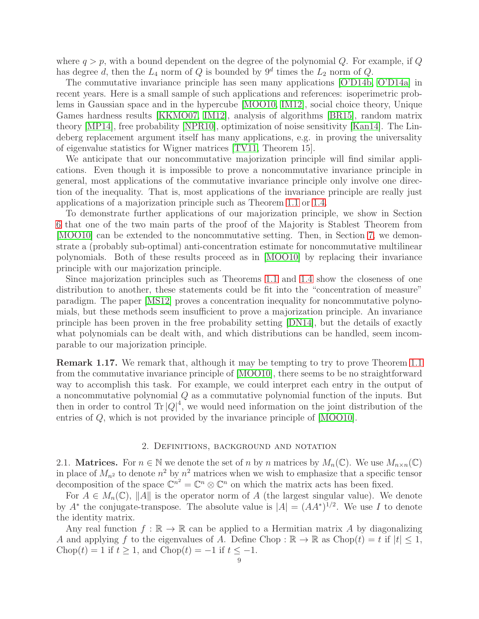where  $q > p$ , with a bound dependent on the degree of the polynomial Q. For example, if Q has degree d, then the  $L_4$  norm of Q is bounded by  $9^d$  times the  $L_2$  norm of Q.

The commutative invariance principle has seen many applications [\[O'D14b,](#page-37-3) [O'D14a\]](#page-37-17) in recent years. Here is a small sample of such applications and references: isoperimetric problems in Gaussian space and in the hypercube [\[MOO10,](#page-37-1) [IM12\]](#page-36-2), social choice theory, Unique Games hardness results [\[KKMO07,](#page-36-15) [IM12\]](#page-36-2), analysis of algorithms [\[BR15\]](#page-36-16), random matrix theory [\[MP14\]](#page-37-18), free probability [\[NPR10\]](#page-37-19), optimization of noise sensitivity [\[Kan14\]](#page-36-17). The Lindeberg replacement argument itself has many applications, e.g. in proving the universality of eigenvalue statistics for Wigner matrices [\[TV11,](#page-37-20) Theorem 15].

We anticipate that our noncommutative majorization principle will find similar applications. Even though it is impossible to prove a noncommutative invariance principle in general, most applications of the commutative invariance principle only involve one direction of the inequality. That is, most applications of the invariance principle are really just applications of a majorization principle such as Theorem [1.1](#page-2-1) or [1.4.](#page-3-0)

To demonstrate further applications of our majorization principle, we show in Section [6](#page-32-0) that one of the two main parts of the proof of the Majority is Stablest Theorem from [\[MOO10\]](#page-37-1) can be extended to the noncommutative setting. Then, in Section [7,](#page-33-0) we demonstrate a (probably sub-optimal) anti-concentration estimate for noncommutative multilinear polynomials. Both of these results proceed as in [\[MOO10\]](#page-37-1) by replacing their invariance principle with our majorization principle.

Since majorization principles such as Theorems [1.1](#page-2-1) and [1.4](#page-3-0) show the closeness of one distribution to another, these statements could be fit into the "concentration of measure" paradigm. The paper [\[MS12\]](#page-37-21) proves a concentration inequality for noncommutative polynomials, but these methods seem insufficient to prove a majorization principle. An invariance principle has been proven in the free probability setting [\[DN14\]](#page-36-18), but the details of exactly what polynomials can be dealt with, and which distributions can be handled, seem incomparable to our majorization principle.

Remark 1.17. We remark that, although it may be tempting to try to prove Theorem [1.1](#page-2-1) from the commutative invariance principle of [\[MOO10\]](#page-37-1), there seems to be no straightforward way to accomplish this task. For example, we could interpret each entry in the output of a noncommutative polynomial Q as a commutative polynomial function of the inputs. But then in order to control Tr  $|Q|^4$ , we would need information on the joint distribution of the entries of Q, which is not provided by the invariance principle of [\[MOO10\]](#page-37-1).

### 2. Definitions, background and notation

<span id="page-8-0"></span>2.1. **Matrices.** For  $n \in \mathbb{N}$  we denote the set of n by n matrices by  $M_n(\mathbb{C})$ . We use  $M_{n \times n}(\mathbb{C})$ in place of  $M_{n^2}$  to denote  $n^2$  by  $n^2$  matrices when we wish to emphasize that a specific tensor decomposition of the space  $\mathbb{C}^{n^2} = \mathbb{C}^n \otimes \mathbb{C}^n$  on which the matrix acts has been fixed.

For  $A \in M_n(\mathbb{C})$ , ||A|| is the operator norm of A (the largest singular value). We denote by  $A^*$  the conjugate-transpose. The absolute value is  $|A| = (AA^*)^{1/2}$ . We use I to denote the identity matrix.

Any real function  $f : \mathbb{R} \to \mathbb{R}$  can be applied to a Hermitian matrix A by diagonalizing A and applying f to the eigenvalues of A. Define Chop :  $\mathbb{R} \to \mathbb{R}$  as  $Chop(t) = t$  if  $|t| \leq 1$ , Chop(t) = 1 if  $t \ge 1$ , and Chop(t) = -1 if  $t \le -1$ .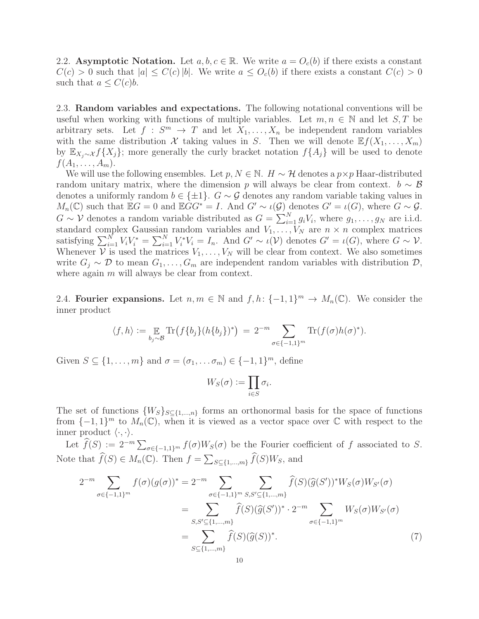2.2. Asymptotic Notation. Let  $a, b, c \in \mathbb{R}$ . We write  $a = O<sub>c</sub>(b)$  if there exists a constant  $C(c) > 0$  such that  $|a| \leq C(c)|b|$ . We write  $a \leq O_c(b)$  if there exists a constant  $C(c) > 0$ such that  $a \leq C(c)b$ .

<span id="page-9-1"></span>2.3. Random variables and expectations. The following notational conventions will be useful when working with functions of multiple variables. Let  $m, n \in \mathbb{N}$  and let  $S, T$  be arbitrary sets. Let  $f : S^m \to T$  and let  $X_1, \ldots, X_n$  be independent random variables with the same distribution X taking values in S. Then we will denote  $\mathbb{E} f(X_1, \ldots, X_m)$ by  $\mathbb{E}_{X_i \sim \mathcal{X}} f\{X_j\}$ ; more generally the curly bracket notation  $f\{A_j\}$  will be used to denote  $f(A_1,\ldots,A_m).$ 

We will use the following ensembles. Let p,  $N \in \mathbb{N}$ .  $H \sim \mathcal{H}$  denotes a  $p \times p$  Haar-distributed random unitary matrix, where the dimension p will always be clear from context.  $b \sim \mathcal{B}$ denotes a uniformly random  $b \in \{\pm 1\}$ .  $G \sim \mathcal{G}$  denotes any random variable taking values in  $M_n(\mathbb{C})$  such that  $\mathbb{E}G = 0$  and  $\mathbb{E}GG^* = I$ . And  $G' \sim \iota(\mathcal{G})$  denotes  $G' = \iota(G)$ , where  $G \sim \mathcal{G}$ .  $G \sim \mathcal{V}$  denotes a random variable distributed as  $G = \sum_{i=1}^{N} g_i V_i$ , where  $g_1, \ldots, g_N$  are i.i.d. standard complex Gaussian random variables and  $V_1, \ldots, V_N$  are  $n \times n$  complex matrices satisfying  $\sum_{i=1}^{N} V_i V_i^* = \sum_{i=1}^{N} V_i^* V_i = I_n$ . And  $G' \sim \iota(\mathcal{V})$  denotes  $G' = \iota(G)$ , where  $G \sim \mathcal{V}$ . Whenever  $\mathcal{V}$  is used the matrices  $V_1, \ldots, V_N$  will be clear from context. We also sometimes write  $G_j \sim \mathcal{D}$  to mean  $G_1, \ldots, G_m$  are independent random variables with distribution  $\mathcal{D}$ , where again  $m$  will always be clear from context.

2.4. Fourier expansions. Let  $n, m \in \mathbb{N}$  and  $f, h: \{-1, 1\}^m \to M_n(\mathbb{C})$ . We consider the inner product

$$
\langle f, h \rangle := \mathop{\mathbb{E}}_{b_j \sim \mathcal{B}} \text{Tr}\big(f\{b_j\}(h\{b_j\})^*\big) = 2^{-m} \sum_{\sigma \in \{-1, 1\}^m} \text{Tr}(f(\sigma)h(\sigma)^*).
$$

Given  $S \subseteq \{1, \ldots, m\}$  and  $\sigma = (\sigma_1, \ldots, \sigma_m) \in \{-1, 1\}^m$ , define

<span id="page-9-0"></span>
$$
W_S(\sigma) := \prod_{i \in S} \sigma_i.
$$

The set of functions  $\{W_s\}_{s\in\{1,\dots,n\}}$  forms an orthonormal basis for the space of functions from  $\{-1,1\}^m$  to  $M_n(\mathbb{C})$ , when it is viewed as a vector space over  $\mathbb C$  with respect to the inner product  $\langle \cdot, \cdot \rangle$ .

Let  $\widehat{f}(S) := 2^{-m} \sum_{\sigma \in \{-1,1\}^m} f(\sigma)W_S(\sigma)$  be the Fourier coefficient of f associated to S. Note that  $\widehat{f}(S) \in M_n(\mathbb{C})$ . Then  $f = \sum_{S \subseteq \{1,\dots,m\}} \widehat{f}(S)W_S$ , and

$$
2^{-m} \sum_{\sigma \in \{-1,1\}^m} f(\sigma)(g(\sigma))^* = 2^{-m} \sum_{\sigma \in \{-1,1\}^m} \sum_{S,S' \subseteq \{1,\dots,m\}} \widehat{f}(S)(\widehat{g}(S'))^* W_S(\sigma) W_{S'}(\sigma)
$$
  

$$
= \sum_{S,S' \subseteq \{1,\dots,m\}} \widehat{f}(S)(\widehat{g}(S'))^* \cdot 2^{-m} \sum_{\sigma \in \{-1,1\}^m} W_S(\sigma) W_{S'}(\sigma)
$$
  

$$
= \sum_{S \subseteq \{1,\dots,m\}} \widehat{f}(S)(\widehat{g}(S))^*.
$$
 (7)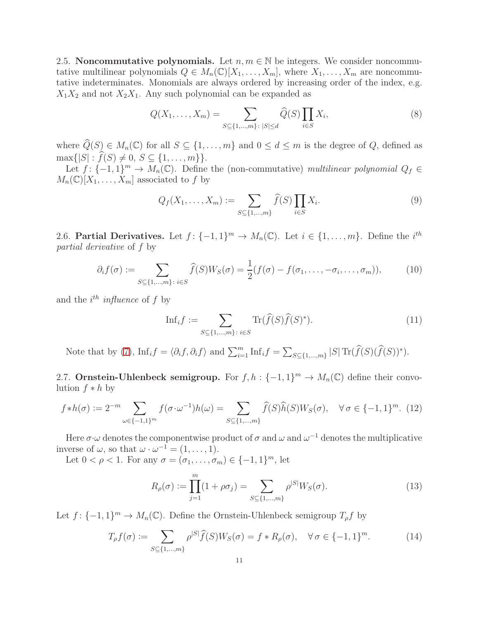2.5. Noncommutative polynomials. Let  $n, m \in \mathbb{N}$  be integers. We consider noncommutative multilinear polynomials  $Q \in M_n(\mathbb{C})[X_1,\ldots,X_m]$ , where  $X_1,\ldots,X_m$  are noncommutative indeterminates. Monomials are always ordered by increasing order of the index, e.g.  $X_1X_2$  and not  $X_2X_1$ . Any such polynomial can be expanded as

<span id="page-10-2"></span>
$$
Q(X_1, ..., X_m) = \sum_{S \subseteq \{1, ..., m\} : |S| \le d} \widehat{Q}(S) \prod_{i \in S} X_i,
$$
\n(8)

where  $\widehat{Q}(S) \in M_n(\mathbb{C})$  for all  $S \subseteq \{1, \ldots, m\}$  and  $0 \leq d \leq m$  is the degree of Q, defined as  $\max\{|S|: \hat{f}(S) \neq 0, S \subseteq \{1, ..., m\}\}.$ 

Let  $f: \{-1,1\}^m \to M_n(\mathbb{C})$ . Define the (non-commutative) multilinear polynomial  $Q_f \in$  $M_n(\mathbb{C})[X_1,\ldots,X_m]$  associated to f by

<span id="page-10-0"></span>
$$
Q_f(X_1, ..., X_m) := \sum_{S \subseteq \{1, ..., m\}} \hat{f}(S) \prod_{i \in S} X_i.
$$
 (9)

2.6. Partial Derivatives. Let  $f: \{-1,1\}^m \to M_n(\mathbb{C})$ . Let  $i \in \{1,\ldots,m\}$ . Define the  $i^{th}$ partial derivative of f by

$$
\partial_i f(\sigma) := \sum_{S \subseteq \{1, \dots, m\} : i \in S} \widehat{f}(S) W_S(\sigma) = \frac{1}{2} (f(\sigma) - f(\sigma_1, \dots, -\sigma_i, \dots, \sigma_m)), \tag{10}
$$

and the  $i^{th}$  influence of f by

<span id="page-10-1"></span>
$$
\text{Inf}_i f := \sum_{S \subseteq \{1, \dots, m\} : i \in S} \text{Tr}(\widehat{f}(S)\widehat{f}(S)^*). \tag{11}
$$

Note that by [\(7\)](#page-9-0),  $\text{Inf}_i f = \langle \partial_i f, \partial_i f \rangle$  and  $\sum_{i=1}^m \text{Inf}_i f = \sum_{S \subseteq \{1, ..., m\}} |S| \text{Tr}(\widehat{f}(S)(\widehat{f}(S))^*)$ .

2.7. Ornstein-Uhlenbeck semigroup. For  $f, h: \{-1, 1\}^m \to M_n(\mathbb{C})$  define their convolution  $f * h$  by

$$
f * h(\sigma) := 2^{-m} \sum_{\omega \in \{-1,1\}^m} f(\sigma \cdot \omega^{-1}) h(\omega) = \sum_{S \subseteq \{1, \dots, m\}} \widehat{f}(S) \widehat{h}(S) W_S(\sigma), \quad \forall \sigma \in \{-1,1\}^m. (12)
$$

Here  $\sigma \cdot \omega$  denotes the componentwise product of  $\sigma$  and  $\omega$  and  $\omega^{-1}$  denotes the multiplicative inverse of  $\omega$ , so that  $\omega \cdot \omega^{-1} = (1, \ldots, 1)$ .

Let  $0 < \rho < 1$ . For any  $\sigma = (\sigma_1, \ldots, \sigma_m) \in \{-1, 1\}^m$ , let

<span id="page-10-4"></span>
$$
R_{\rho}(\sigma) := \prod_{j=1}^{m} (1 + \rho \sigma_j) = \sum_{S \subseteq \{1, \dots, m\}} \rho^{|S|} W_S(\sigma).
$$
 (13)

Let  $f: \{-1,1\}^m \to M_n(\mathbb{C})$ . Define the Ornstein-Uhlenbeck semigroup  $T_\rho f$  by

<span id="page-10-3"></span>
$$
T_{\rho}f(\sigma) := \sum_{S \subseteq \{1,\dots,m\}} \rho^{|S|} \widehat{f}(S)W_S(\sigma) = f * R_{\rho}(\sigma), \quad \forall \sigma \in \{-1,1\}^m.
$$
 (14)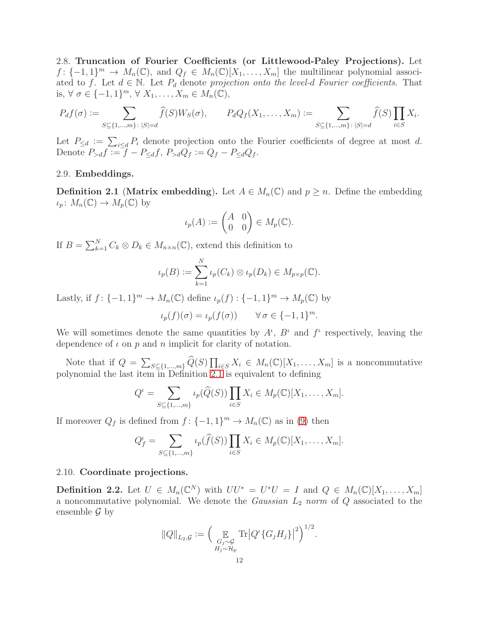2.8. Truncation of Fourier Coefficients (or Littlewood-Paley Projections). Let  $f: \{-1, 1\}^m \to M_n(\mathbb{C}),$  and  $Q_f \in M_n(\mathbb{C})[X_1, \ldots, X_m]$  the multilinear polynomial associated to f. Let  $d \in \mathbb{N}$ . Let  $P_d$  denote projection onto the level-d Fourier coefficients. That is,  $\forall \sigma \in \{-1, 1\}^m$ ,  $\forall X_1, \ldots, X_m \in M_n(\mathbb{C}),$ 

$$
P_d f(\sigma) := \sum_{S \subseteq \{1, \ldots, m\} : |S| = d} \widehat{f}(S) W_S(\sigma), \qquad P_d Q_f(X_1, \ldots, X_m) := \sum_{S \subseteq \{1, \ldots, m\} : |S| = d} \widehat{f}(S) \prod_{i \in S} X_i.
$$

Let  $P_{\leq d} := \sum_{i \leq d} P_i$  denote projection onto the Fourier coefficients of degree at most d. Denote  $P_{>d}f := f - P_{\leq d}f$ ,  $P_{>d}Q_f := Q_f - P_{\leq d}Q_f$ .

## 2.9. Embeddings.

<span id="page-11-0"></span>**Definition 2.1 (Matrix embedding).** Let  $A \in M_n(\mathbb{C})$  and  $p \geq n$ . Define the embedding  $\iota_p: M_n(\mathbb{C}) \to M_p(\mathbb{C})$  by

$$
\iota_p(A) := \begin{pmatrix} A & 0 \\ 0 & 0 \end{pmatrix} \in M_p(\mathbb{C}).
$$

If  $B = \sum_{k=1}^{N} C_k \otimes D_k \in M_{n \times n}(\mathbb{C})$ , extend this definition to

$$
\iota_p(B) := \sum_{k=1}^N \iota_p(C_k) \otimes \iota_p(D_k) \in M_{p \times p}(\mathbb{C}).
$$

Lastly, if  $f: \{-1,1\}^m \to M_n(\mathbb{C})$  define  $\iota_p(f): \{-1,1\}^m \to M_p(\mathbb{C})$  by

$$
\iota_p(f)(\sigma) = \iota_p(f(\sigma)) \qquad \forall \,\sigma \in \{-1, 1\}^m.
$$

We will sometimes denote the same quantities by  $A^{\iota}$ ,  $B^{\iota}$  and  $f^{\iota}$  respectively, leaving the dependence of  $\iota$  on  $p$  and  $n$  implicit for clarity of notation.

Note that if  $Q = \sum_{S \subseteq \{1,\ldots,m\}} \widehat{Q}(S) \prod_{i \in S} X_i \in M_n(\mathbb{C})[X_1,\ldots,X_m]$  is a noncommutative polynomial the last item  $\overline{in}$  Definition [2.1](#page-11-0) is equivalent to defining

$$
Q^{\iota} = \sum_{S \subseteq \{1,\dots,m\}} \iota_p(\widehat{Q}(S)) \prod_{i \in S} X_i \in M_p(\mathbb{C})[X_1,\dots,X_m].
$$

If moreover  $Q_f$  is defined from  $f: \{-1,1\}^m \to M_n(\mathbb{C})$  as in [\(9\)](#page-10-0) then

$$
Q_f^{\iota} = \sum_{S \subseteq \{1,\dots,m\}} \iota_p(\widehat{f}(S)) \prod_{i \in S} X_i \in M_p(\mathbb{C})[X_1,\dots,X_m].
$$

## 2.10. Coordinate projections.

**Definition 2.2.** Let  $U \in M_n(\mathbb{C}^N)$  with  $UU^* = U^*U = I$  and  $Q \in M_n(\mathbb{C})[X_1, \ldots, X_m]$ a noncommutative polynomial. We denote the *Gaussian*  $L_2$  norm of  $Q$  associated to the ensemble  $\mathcal G$  by

$$
||Q||_{L_2,\mathcal{G}} := \left(\mathop{\mathbb{E}}_{\substack{G_j \sim \mathcal{G} \\ H_j \sim \mathcal{H}_p}} \text{Tr}\left|Q^{\iota}\{G_j H_j\}\right|^2\right)^{1/2}.
$$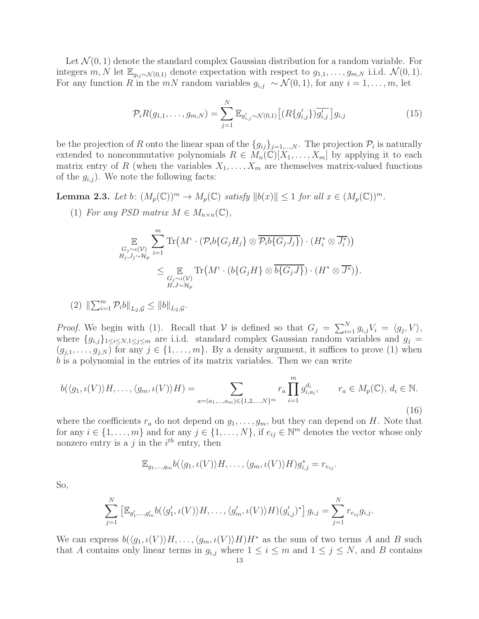Let  $\mathcal{N}(0, 1)$  denote the standard complex Gaussian distribution for a random variable. For integers m, N let  $\mathbb{E}_{g_{ij}\sim\mathcal{N}(0,1)}$  denote expectation with respect to  $g_{1,1},\ldots,g_{m,N}$  i.i.d.  $\mathcal{N}(0,1)$ . For any function R in the mN random variables  $g_{i,j} \sim \mathcal{N}(0, 1)$ , for any  $i = 1, \ldots, m$ , let

<span id="page-12-0"></span>
$$
\mathcal{P}_i R(g_{1,1}, \dots, g_{m,N}) = \sum_{j=1}^N \mathbb{E}_{g'_{i,j} \sim \mathcal{N}(0,1)} \left[ (R\{g'_{i,j}\}) \overline{g'_{i,j}} \right] g_{i,j} \tag{15}
$$

be the projection of R onto the linear span of the  $\{g_{ij}\}_{j=1,\ldots,N}$ . The projection  $\mathcal{P}_i$  is naturally extended to noncommutative polynomials  $R \in M_n(\mathbb{C})[X_1,\ldots,X_m]$  by applying it to each matrix entry of R (when the variables  $X_1, \ldots, X_m$  are themselves matrix-valued functions of the  $g_{i,j}$ . We note the following facts:

<span id="page-12-1"></span>**Lemma 2.3.** Let b:  $(M_p(\mathbb{C}))^m \to M_p(\mathbb{C})$  satisfy  $||b(x)|| \leq 1$  for all  $x \in (M_p(\mathbb{C}))^m$ .

(1) For any PSD matrix  $M \in M_{n \times n}(\mathbb{C}),$ 

$$
\mathbb{E}_{G_j \sim \iota(\mathcal{V}) \atop H_j, J_j \sim \mathcal{H}_p} \sum_{i=1}^m \text{Tr}\left(M^{\iota} \cdot (\mathcal{P}_i b \{G_j H_j \} \otimes \overline{\mathcal{P}_i b \{G_j J_j \} }) \cdot (H_i^* \otimes \overline{J_i^*})\right)
$$
  

$$
\leq \mathbb{E}_{G_j \sim \iota(\mathcal{V}) \atop H, J \sim \mathcal{H}_p} \text{Tr}\left(M^{\iota} \cdot (b \{G_j H\} \otimes \overline{b \{G_j J\}}) \cdot (H^* \otimes \overline{J^*})\right).
$$

(2)  $\|\sum_{i=1}^{m} P_i b\|_{L_2, \mathcal{G}} \le \|b\|_{L_2, \mathcal{G}}.$ 

*Proof.* We begin with (1). Recall that  $V$  is defined so that  $G_j = \sum_{i=1}^N g_{i,j} V_i = \langle g_j, V \rangle$ , where  $\{g_{i,j}\}_{1\leq i\leq N,1\leq j\leq m}$  are i.i.d. standard complex Gaussian random variables and  $g_j$  $(g_{j,1},\ldots,g_{j,N})$  for any  $j\in\{1,\ldots,m\}$ . By a density argument, it suffices to prove (1) when b is a polynomial in the entries of its matrix variables. Then we can write

$$
b(\langle g_1, \iota(V) \rangle H, \dots, \langle g_m, \iota(V) \rangle H) = \sum_{a = (a_1, \dots, a_m) \in \{1, 2, \dots, N\}^m} r_a \prod_{i=1}^m g_{i, a_i}^{d_i}, \qquad r_a \in M_p(\mathbb{C}), d_i \in \mathbb{N}.
$$
\n(16)

where the coefficients  $r_a$  do not depend on  $g_1, \ldots, g_m$ , but they can depend on H. Note that for any  $i \in \{1, \ldots, m\}$  and for any  $j \in \{1, \ldots, N\}$ , if  $e_{ij} \in \mathbb{N}^m$  denotes the vector whose only nonzero entry is a j in the  $i^{th}$  entry, then

$$
\mathbb{E}_{g_1,\ldots,g_m}b(\langle g_1,\iota(V)\rangle H,\ldots,\langle g_m,\iota(V)\rangle H)g_{i,j}^*=r_{e_{ij}}.
$$

So,

$$
\sum_{j=1}^N \left[ \mathbb{E}_{g'_1,\dots,g'_m} b(\langle g'_1,\iota(V) \rangle H,\dots,\langle g'_m,\iota(V) \rangle H)(g'_{i,j})^* \right] g_{i,j} = \sum_{j=1}^N r_{e_{ij}} g_{i,j}.
$$

We can express  $b(\langle g_1, \iota(V) \rangle H, \ldots, \langle g_m, \iota(V) \rangle H)H^*$  as the sum of two terms A and B such that A contains only linear terms in  $g_{i,j}$  where  $1 \leq i \leq m$  and  $1 \leq j \leq N$ , and B contains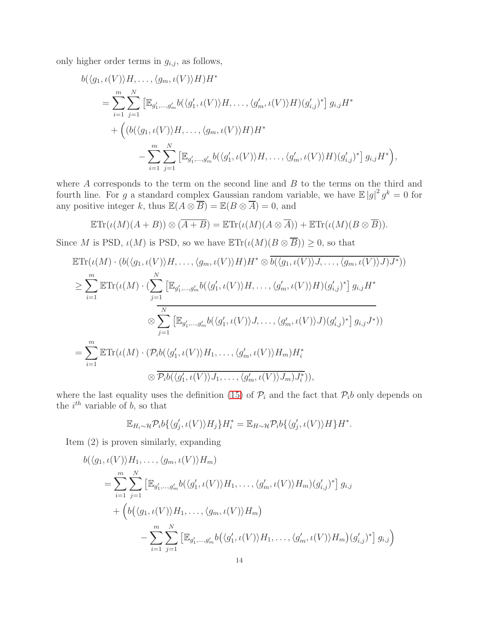only higher order terms in  $g_{i,j}$ , as follows,

$$
b(\langle g_1, \iota(V) \rangle H, \dots, \langle g_m, \iota(V) \rangle H) H^*
$$
  
= 
$$
\sum_{i=1}^m \sum_{j=1}^N \left[ \mathbb{E}_{g'_1, \dots, g'_m} b(\langle g'_1, \iota(V) \rangle H, \dots, \langle g'_m, \iota(V) \rangle H) (g'_{i,j})^* \right] g_{i,j} H^*
$$
  
+ 
$$
\left( \left( b(\langle g_1, \iota(V) \rangle H, \dots, \langle g_m, \iota(V) \rangle H) H^* \right) - \sum_{i=1}^m \sum_{j=1}^N \left[ \mathbb{E}_{g'_1, \dots, g'_m} b(\langle g'_1, \iota(V) \rangle H, \dots, \langle g'_m, \iota(V) \rangle H) (g'_{i,j})^* \right] g_{i,j} H^* \right),
$$

where A corresponds to the term on the second line and B to the terms on the third and fourth line. For g a standard complex Gaussian random variable, we have  $\mathbb{E}|g|^2 g^k = 0$  for any positive integer k, thus  $\mathbb{E}(A \otimes \overline{B}) = \mathbb{E}(B \otimes \overline{A}) = 0$ , and

$$
\mathbb{E}\mathrm{Tr}(\iota(M)(A+B))\otimes (\overline{A+B})=\mathbb{E}\mathrm{Tr}(\iota(M)(A\otimes \overline{A})) + \mathbb{E}\mathrm{Tr}(\iota(M)(B\otimes \overline{B})).
$$

Since M is PSD,  $\iota(M)$  is PSD, so we have  $\mathbb{E}\text{Tr}(\iota(M)(B\otimes \overline{B})) \geq 0$ , so that

$$
\mathbb{E}\mathrm{Tr}(\iota(M)\cdot(b(\langle g_1,\iota(V)\rangle H,\ldots,\langle g_m,\iota(V)\rangle H)H^* \otimes \overline{b(\langle g_1,\iota(V)\rangle J,\ldots,\langle g_m,\iota(V)\rangle J)}H^*))
$$
\n
$$
\geq \sum_{i=1}^m \mathbb{E}\mathrm{Tr}(\iota(M)\cdot (\sum_{j=1}^N \left[\mathbb{E}_{g'_1,\ldots,g'_m}b(\langle g'_1,\iota(V)\rangle H,\ldots,\langle g'_m,\iota(V)\rangle H)(g'_{i,j})^*\right]g_{i,j}H^*
$$
\n
$$
\otimes \sum_{j=1}^N \left[\mathbb{E}_{g'_1,\ldots,g'_m}b(\langle g'_1,\iota(V)\rangle J,\ldots,\langle g'_m,\iota(V)\rangle J)(g'_{i,j})^*\right]g_{i,j}J^*)
$$
\n
$$
=\sum_{i=1}^m \mathbb{E}\mathrm{Tr}(\iota(M)\cdot(\mathcal{P}_i b(\langle g'_1,\iota(V)\rangle H_1,\ldots,\langle g'_m,\iota(V)\rangle H_m)H_i^*
$$
\n
$$
\otimes \overline{\mathcal{P}_i b(\langle g'_1,\iota(V)\rangle J_1,\ldots,\langle g'_m,\iota(V)\rangle J_m)J_i^*})),
$$

where the last equality uses the definition [\(15\)](#page-12-0) of  $\mathcal{P}_i$  and the fact that  $\mathcal{P}_i$  only depends on the  $i^{th}$  variable of b, so that

$$
\mathbb{E}_{H_i \sim \mathcal{H}} \mathcal{P}_i b \{ \langle g'_j, \iota(V) \rangle H_j \} H_i^* = \mathbb{E}_{H \sim \mathcal{H}} \mathcal{P}_i b \{ \langle g'_j, \iota(V) \rangle H \} H^*.
$$

Item (2) is proven similarly, expanding

$$
b(\langle g_1, \iota(V) \rangle H_1, \dots, \langle g_m, \iota(V) \rangle H_m)
$$
  
= 
$$
\sum_{i=1}^m \sum_{j=1}^N \left[ \mathbb{E}_{g'_1, \dots, g'_m} b(\langle g'_1, \iota(V) \rangle H_1, \dots, \langle g'_m, \iota(V) \rangle H_m)(g'_{i,j})^* \right] g_{i,j}
$$
  
+ 
$$
\left( b(\langle g_1, \iota(V) \rangle H_1, \dots, \langle g_m, \iota(V) \rangle H_m) - \sum_{i=1}^m \sum_{j=1}^N \left[ \mathbb{E}_{g'_1, \dots, g'_m} b(\langle g'_1, \iota(V) \rangle H_1, \dots, \langle g'_m, \iota(V) \rangle H_m)(g'_{i,j})^* \right] g_{i,j} \right)
$$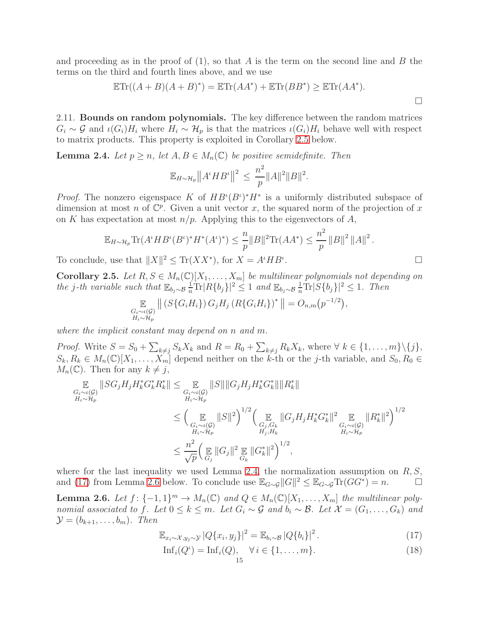and proceeding as in the proof of  $(1)$ , so that A is the term on the second line and B the terms on the third and fourth lines above, and we use

$$
\mathbb{E}\mathrm{Tr}((A+B)(A+B)^*) = \mathbb{E}\mathrm{Tr}(AA^*) + \mathbb{E}\mathrm{Tr}(BB^*) \geq \mathbb{E}\mathrm{Tr}(AA^*).
$$

2.11. Bounds on random polynomials. The key difference between the random matrices  $G_i \sim \mathcal{G}$  and  $\iota(G_i)H_i$  where  $H_i \sim \mathcal{H}_p$  is that the matrices  $\iota(G_i)H_i$  behave well with respect to matrix products. This property is exploited in Corollary [2.5](#page-14-1) below.

<span id="page-14-2"></span>**Lemma 2.4.** Let  $p \ge n$ , let  $A, B \in M_n(\mathbb{C})$  be positive semidefinite. Then

$$
\mathbb{E}_{H \sim \mathcal{H}_p} ||A^t H B^t||^2 \le \frac{n^2}{p} ||A||^2 ||B||^2.
$$

*Proof.* The nonzero eigenspace K of  $HB^{i}(B^{i})^*H^*$  is a uniformly distributed subspace of dimension at most n of  $\mathbb{C}^p$ . Given a unit vector x, the squared norm of the projection of x on K has expectation at most  $n/p$ . Applying this to the eigenvectors of A,

$$
\mathbb{E}_{H \sim \mathcal{H}_p} \text{Tr}(A^t H B^t (B^t)^* H^*(A^t)^*) \le \frac{n}{p} \|B\|^2 \text{Tr}(AA^*) \le \frac{n^2}{p} \|B\|^2 \|A\|^2.
$$
  
  $\therefore$  use that  $||X||^2 \le \text{Tr}(XX^*)$ , for  $X = A^t H B^t$ .

,

To conclude, use that  $||X||^2 \leq \text{Tr}(XX^*)$ , for  $X = A^t H B^t$ 

<span id="page-14-1"></span>Corollary 2.5. Let  $R, S \in M_n(\mathbb{C})[X_1, \ldots, X_m]$  be multilinear polynomials not depending on the j-th variable such that  $\mathbb{E}_{b_j \sim \mathcal{B}} \frac{1}{n} \text{Tr} |R\{b_j\}|^2 \leq 1$  and  $\mathbb{E}_{b_j \sim \mathcal{B}} \frac{1}{n} \text{Tr} |S\{b_j\}|^2 \leq 1$ . Then

$$
\mathop{\mathbb{E}}_{\substack{G_i \sim \iota(\mathcal{G}) \\ H_i \sim \mathcal{H}_p}} \left\| \left( S\{G_i H_i\} \right) G_j H_j \left( R\{G_i H_i\} \right)^* \right\| = O_{n,m}(p^{-1/2})
$$

where the implicit constant may depend on n and m.

Proof. Write  $S = S_0 + \sum_{k \neq j} S_k X_k$  and  $R = R_0 + \sum_{k \neq j} R_k X_k$ , where  $\forall k \in \{1, ..., m\} \setminus \{j\}$ ,  $S_k, R_k \in M_n(\mathbb{C})[X_1, \ldots, X_m]$  depend neither on the k-th or the j-th variable, and  $S_0, R_0 \in$  $M_n(\mathbb{C})$ . Then for any  $k \neq j$ ,

$$
\mathbb{E}_{G_i \sim \iota(G) \atop H_i \sim \mathcal{H}_p} ||SG_j H_j H_k^* G_k^* R_k^* || \leq \mathbb{E}_{G_i \sim \iota(G) \atop H_i \sim \mathcal{H}_p} ||S|| ||G_j H_j H_k^* G_k^* || ||R_k^* ||
$$
  
\n
$$
\leq \left( \mathbb{E}_{G_i \sim \iota(G) \atop H_i \sim \mathcal{H}_p} ||S||^2 \right)^{1/2} \left( \mathbb{E}_{G_j, G_k} ||G_j H_j H_k^* G_k^* ||^2 \mathbb{E}_{G_i \sim \iota(G) \atop H_i \sim \mathcal{H}_p} ||R_k^* ||^2 \right)^{1/2}
$$
  
\n
$$
\leq \frac{n^2}{\sqrt{p}} \left( \mathbb{E}_{G_j} ||G_j||^2 \mathbb{E}_{G_k} ||G_k^* ||^2 \right)^{1/2},
$$

where for the last inequality we used Lemma [2.4,](#page-14-2) the normalization assumption on  $R, S$ , and [\(17\)](#page-14-3) from Lemma [2.6](#page-14-0) below. To conclude use  $\mathbb{E}_{G\sim \mathcal{G}} ||G||^2 \leq \mathbb{E}_{G\sim \mathcal{G}} \text{Tr}(GG^*) = n.$ 

<span id="page-14-0"></span>**Lemma 2.6.** Let  $f: \{-1,1\}^m \to M_n(\mathbb{C})$  and  $Q \in M_n(\mathbb{C})[X_1,\ldots,X_m]$  the multilinear polynomial associated to f. Let  $0 \leq k \leq m$ . Let  $G_i \sim \mathcal{G}$  and  $b_i \sim \mathcal{B}$ . Let  $\mathcal{X} = (G_1, \ldots, G_k)$  and  $\mathcal{Y} = (b_{k+1}, \ldots, b_m)$ . Then

<span id="page-14-3"></span>
$$
\mathbb{E}_{x_i \sim \mathcal{X}, y_j \sim \mathcal{Y}} |Q\{x_i, y_j\}|^2 = \mathbb{E}_{b_i \sim \mathcal{B}} |Q\{b_i\}|^2.
$$
 (17)

<span id="page-14-4"></span>
$$
\mathrm{Inf}_i(Q^{\iota}) = \mathrm{Inf}_i(Q), \quad \forall i \in \{1, \dots, m\}. \tag{18}
$$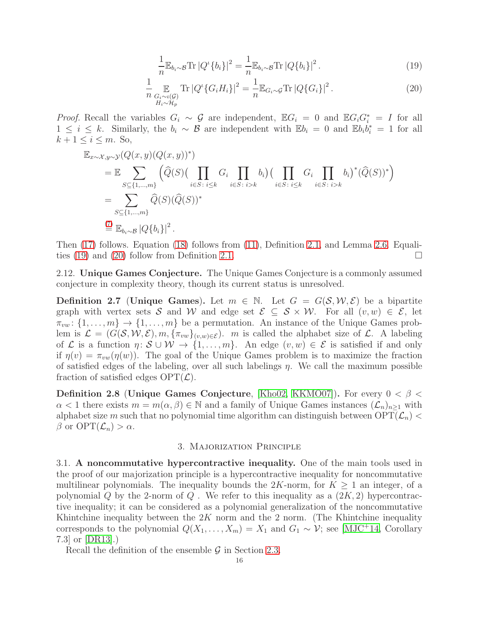<span id="page-15-2"></span>
$$
\frac{1}{n} \mathbb{E}_{b_i \sim \mathcal{B}} \text{Tr} |Q^{\iota} \{b_i\}|^2 = \frac{1}{n} \mathbb{E}_{b_i \sim \mathcal{B}} \text{Tr} |Q \{b_i\}|^2.
$$
 (19)

<span id="page-15-3"></span>
$$
\frac{1}{n} \mathop{\mathbb{E}}_{\substack{G_i \sim \iota(\mathcal{G}) \\ H_i \sim \mathcal{H}_p}} \text{Tr} \left| Q^{\iota} \{ G_i H_i \} \right|^2 = \frac{1}{n} \mathbb{E}_{G_i \sim \mathcal{G}} \text{Tr} \left| Q \{ G_i \} \right|^2. \tag{20}
$$

*Proof.* Recall the variables  $G_i \sim \mathcal{G}$  are independent,  $\mathbb{E}G_i = 0$  and  $\mathbb{E}G_iG_i^* = I$  for all  $1 \leq i \leq k$ . Similarly, the  $b_i \sim \mathcal{B}$  are independent with  $\mathbb{E}b_i = 0$  and  $\mathbb{E}b_i b_i^* = 1$  for all  $k+1 \leq i \leq m$ . So,

$$
\mathbb{E}_{x \sim \mathcal{X}, y \sim \mathcal{Y}}(Q(x, y)(Q(x, y))^{*})
$$
\n
$$
= \mathbb{E} \sum_{S \subseteq \{1, \dots, m\}} (\widehat{Q}(S) (\prod_{i \in S : i \leq k} G_i \prod_{i \in S : i > k} b_i) (\prod_{i \in S : i \leq k} G_i \prod_{i \in S : i > k} b_i)^{*} (\widehat{Q}(S))^{*})
$$
\n
$$
= \sum_{S \subseteq \{1, \dots, m\}} \widehat{Q}(S) (\widehat{Q}(S))^{*}
$$
\n
$$
\stackrel{(7)}{=} \mathbb{E}_{b_i \sim \mathcal{B}} |Q\{b_i\}|^{2}.
$$

Then [\(17\)](#page-14-3) follows. Equation [\(18\)](#page-14-4) follows from [\(11\)](#page-10-1), Definition [2.1,](#page-11-0) and Lemma [2.6.](#page-14-0) Equali-ties [\(19\)](#page-15-2) and [\(20\)](#page-15-3) follow from Definition [2.1.](#page-11-0)

<span id="page-15-1"></span>2.12. Unique Games Conjecture. The Unique Games Conjecture is a commonly assumed conjecture in complexity theory, though its current status is unresolved.

<span id="page-15-4"></span>**Definition 2.7** (Unique Games). Let  $m \in \mathbb{N}$ . Let  $G = G(S, \mathcal{W}, \mathcal{E})$  be a bipartite graph with vertex sets S and W and edge set  $\mathcal{E} \subseteq \mathcal{S} \times \mathcal{W}$ . For all  $(v, w) \in \mathcal{E}$ , let  $\pi_{vw}$ :  $\{1,\ldots,m\}$   $\rightarrow$   $\{1,\ldots,m\}$  be a permutation. An instance of the Unique Games problem is  $\mathcal{L} = (G(\mathcal{S}, \mathcal{W}, \mathcal{E}), m, \{\pi_{vw}\}_{(v,w)\in \mathcal{E}})$ . *m* is called the alphabet size of  $\mathcal{L}$ . A labeling of  $\mathcal L$  is a function  $\eta: \mathcal S \cup \mathcal W \to \{1,\ldots,m\}$ . An edge  $(v,w) \in \mathcal E$  is satisfied if and only if  $\eta(v) = \pi_{vw}(\eta(w))$ . The goal of the Unique Games problem is to maximize the fraction of satisfied edges of the labeling, over all such labelings  $\eta$ . We call the maximum possible fraction of satisfied edges  $\text{OPT}(\mathcal{L})$ .

**Definition 2.8 (Unique Games Conjecture, [\[Kho02,](#page-36-19) [KKMO07\]](#page-36-15)). For every**  $0 < \beta <$  $\alpha < 1$  there exists  $m = m(\alpha, \beta) \in \mathbb{N}$  and a family of Unique Games instances  $(\mathcal{L}_n)_{n>1}$  with alphabet size m such that no polynomial time algorithm can distinguish between  $\text{OPT}(\mathcal{L}_n)$  $\beta$  or  $\text{OPT}(\mathcal{L}_n) > \alpha$ .

## 3. Majorization Principle

<span id="page-15-0"></span>3.1. A noncommutative hypercontractive inequality. One of the main tools used in the proof of our majorization principle is a hypercontractive inequality for noncommutative multilinear polynomials. The inequality bounds the  $2K$ -norm, for  $K \geq 1$  an integer, of a polynomial Q by the 2-norm of Q. We refer to this inequality as a  $(2K, 2)$  hypercontractive inequality; it can be considered as a polynomial generalization of the noncommutative Khintchine inequality between the  $2K$  norm and the 2 norm. (The Khintchine inequality corresponds to the polynomial  $Q(X_1, \ldots, X_m) = X_1$  and  $G_1 \sim \mathcal{V}$ ; see [\[MJC](#page-37-22)+14, Corollary 7.3] or [\[DR13\]](#page-36-20).)

Recall the definition of the ensemble  $\mathcal G$  in Section [2.3.](#page-9-1)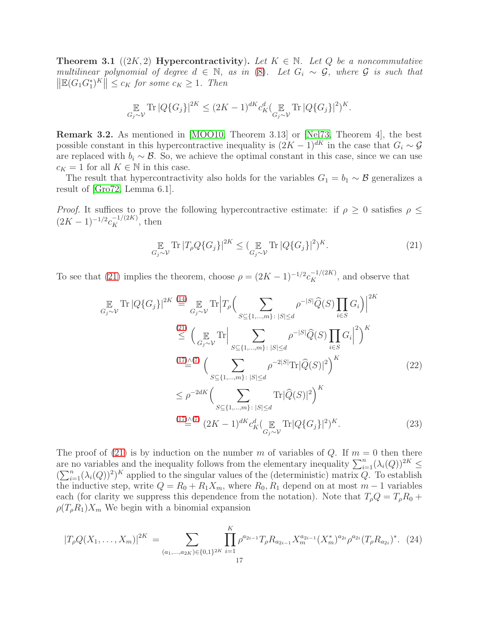<span id="page-16-0"></span>**Theorem 3.1** ((2K, 2) **Hypercontractivity**). Let  $K \in \mathbb{N}$ . Let Q be a noncommutative multilinear polynomial of degree  $d \in \mathbb{N}$ , as in [\(8\)](#page-10-2). Let  $G_i \sim \mathcal{G}$ , where  $\mathcal{G}$  is such that  $\left\| \mathbb{E}(G_1G_1^*)^K \right\| \leq c_K$  for some  $c_K \geq 1$ . Then

$$
\mathop{\mathbb{E}}_{G_j \sim \mathcal{V}} \text{Tr} |Q\{G_j\}|^{2K} \leq (2K-1)^{dK} c_K^d \left(\mathop{\mathbb{E}}_{G_j \sim \mathcal{V}} \text{Tr} |Q\{G_j\}|^2\right)^K.
$$

Remark 3.2. As mentioned in [\[MOO10,](#page-37-1) Theorem 3.13] or [\[Nel73,](#page-37-16) Theorem 4], the best possible constant in this hypercontractive inequality is  $(2K-1)^{dK}$  in the case that  $G_i \sim \mathcal{G}$ are replaced with  $b_i \sim \mathcal{B}$ . So, we achieve the optimal constant in this case, since we can use  $c_K = 1$  for all  $K \in \mathbb{N}$  in this case.

The result that hypercontractivity also holds for the variables  $G_1 = b_1 \sim \mathcal{B}$  generalizes a result of [\[Gro72,](#page-36-21) Lemma 6.1].

*Proof.* It suffices to prove the following hypercontractive estimate: if  $\rho \geq 0$  satisfies  $\rho \leq$  $(2K-1)^{-1/2}c_K^{-1/(2K)}$ , then

<span id="page-16-3"></span><span id="page-16-2"></span><span id="page-16-1"></span>
$$
\mathop{\mathbb{E}}_{G_j \sim \mathcal{V}} \text{Tr} \left| T_\rho Q \{ G_j \} \right|^{2K} \le \left( \mathop{\mathbb{E}}_{G_j \sim \mathcal{V}} \text{Tr} \left| Q \{ G_j \} \right|^2 \right)^K. \tag{21}
$$

To see that [\(21\)](#page-16-1) implies the theorem, choose  $\rho = (2K - 1)^{-1/2} c_K^{-1/(2K)}$ , and observe that

$$
\mathbb{E}_{G_j \sim \mathcal{V}} \text{Tr} |Q\{G_j\}|^{2K} \stackrel{\text{(14)}}{=} \mathbb{E}_{G_j \sim \mathcal{V}} \text{Tr} \Big| T_{\rho} \Big( \sum_{S \subseteq \{1, \dots, m\} : |S| \le d} \rho^{-|S|} \widehat{Q}(S) \prod_{i \in S} G_i \Big)^{2K}
$$
\n
$$
\stackrel{\text{(21)}}{\le} \Big( \mathbb{E}_{G_j \sim \mathcal{V}} \text{Tr} \Big| \sum_{S \subseteq \{1, \dots, m\} : |S| \le d} \rho^{-|S|} \widehat{Q}(S) \prod_{i \in S} G_i \Big|^2 \Big)^K
$$
\n
$$
\stackrel{\text{(17)} \sim}{=} \Big( \sum_{S \subseteq \{1, \dots, m\} : |S| \le d} \rho^{-2|S|} \text{Tr} |\widehat{Q}(S)|^2 \Big)^K
$$
\n
$$
\le \rho^{-2dK} \Big( \sum_{S \subseteq \{1, \dots, m\} : |S| \le d} \text{Tr} |\widehat{Q}(S)|^2 \Big)^K
$$
\n
$$
\stackrel{\text{(17)} \sim}{=} \Big( \frac{\gamma}{2K} \sum_{S \subseteq \{1, \dots, m\} : |S| \le d} \text{Tr} |\widehat{Q}(S)|^2 \Big)^K
$$
\n
$$
\frac{\text{(17)} \sim}{2K} \Big( \sum_{S \subseteq \{1, \dots, m\} : |S| \le d} \text{Tr} |\widehat{Q}(S)|^2 \Big)^K.
$$
\n
$$
\tag{23}
$$

The proof of [\(21\)](#page-16-1) is by induction on the number m of variables of Q. If  $m = 0$  then there are no variables and the inequality follows from the elementary inequality  $\sum_{i=1}^{n} (\lambda_i(Q))^{2K} \le$  $(\sum_{i=1}^n (\lambda_i(Q))^2)^K$  applied to the singular values of the (deterministic) matrix Q. To establish the inductive step, write  $Q = R_0 + R_1 X_m$ , where  $R_0, R_1$  depend on at most  $m-1$  variables each (for clarity we suppress this dependence from the notation). Note that  $T_\rho Q = T_\rho R_0 +$  $\rho(T_{\rho}R_1)X_m$  We begin with a binomial expansion

$$
|T_{\rho}Q(X_1,\ldots,X_m)|^{2K} = \sum_{(a_1,\ldots,a_{2K})\in\{0,1\}^{2K}} \prod_{i=1}^{K} \rho^{a_{2i-1}} T_{\rho} R_{a_{2i-1}} X_m^{a_{2i-1}} (X_m^*)^{a_{2i}} \rho^{a_{2i}} (T_{\rho} R_{a_{2i}})^* . (24)
$$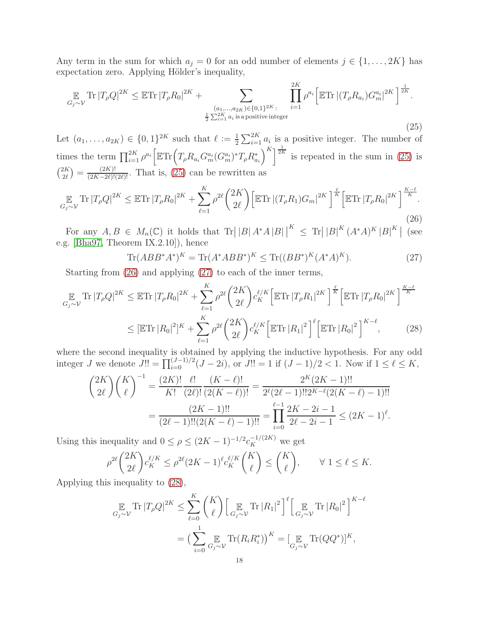Any term in the sum for which  $a_j = 0$  for an odd number of elements  $j \in \{1, \ldots, 2K\}$  has expectation zero. Applying Hölder's inequality,

<span id="page-17-0"></span>
$$
\mathbb{E}_{G_j \sim \mathcal{V}} \text{Tr} |T_{\rho} Q|^{2K} \le \mathbb{E} \text{Tr} |T_{\rho} R_0|^{2K} + \sum_{\substack{(a_1, \dots, a_{2K}) \in \{0, 1\}^{2K}: \\ \frac{1}{2} \sum_{i=1}^{2K} a_i \text{ is a positive integer}}} \prod_{i=1}^{2K} \rho^{a_i} \Big[ \mathbb{E} \text{Tr} |(T_{\rho} R_{a_i}) G_m^{a_i}|^{2K} \Big]^{\frac{1}{2K}}.
$$
\n(25)

Let  $(a_1, ..., a_{2K}) \in \{0, 1\}^{2K}$  such that  $\ell := \frac{1}{2}$  $\frac{1}{2}\sum_{i=1}^{2K} a_i$  is a positive integer. The number of times the term  $\prod_{i=1}^{2K} \rho^{a_i} \Big[ \mathbb{E} \text{Tr} \Big( T_\rho R_{a_i} G_m^{a_i} (G_m^{a_i})^* T_\rho R_{a_i}^* \Big)$  $\int_{0}^{K}$   $\frac{1}{2K}$  is repeated in the sum in [\(25\)](#page-17-0) is  $\binom{2K}{1}$  $\binom{2K}{2\ell} = \frac{(2K)!}{(2K-2\ell)!(2\ell)!}$ . That is, [\(25\)](#page-17-0) can be rewritten as

<span id="page-17-1"></span>
$$
\mathop{\mathbb{E}}_{G_j \sim \mathcal{V}} \text{Tr} \left| T_{\rho} Q \right|^{2K} \leq \mathop{\mathbb{E}} \text{Tr} \left| T_{\rho} R_0 \right|^{2K} + \sum_{\ell=1}^{K} \rho^{2\ell} \binom{2K}{2\ell} \left[ \mathop{\mathbb{E}} \text{Tr} \left| (T_{\rho} R_1) G_m \right|^{2K} \right]^{\frac{\ell}{K}} \left[ \mathop{\mathbb{E}} \text{Tr} \left| T_{\rho} R_0 \right|^{2K} \right]^{\frac{K-\ell}{K}}.
$$
\n(26)

For any  $A, B \in M_n(\mathbb{C})$  it holds that  $\text{Tr} ||B| A^* A |B||^K \leq \text{Tr} ||B|^K (A^* A)^K |B|^K$  (see e.g. [\[Bha97,](#page-35-1) Theorem IX.2.10]), hence

<span id="page-17-3"></span><span id="page-17-2"></span>
$$
\text{Tr}(ABB^*A^*)^K = \text{Tr}(A^*ABB^*)^K \le \text{Tr}((BB^*)^K(A^*A)^K). \tag{27}
$$

Starting from [\(26\)](#page-17-1) and applying [\(27\)](#page-17-2) to each of the inner terms,

$$
\mathbb{E}_{G_j \sim \mathcal{V}} \text{Tr} |T_{\rho} Q|^{2K} \leq \mathbb{E} \text{Tr} |T_{\rho} R_0|^{2K} + \sum_{\ell=1}^{K} \rho^{2\ell} {2K \choose 2\ell} c_K^{\ell/K} \left[ \mathbb{E} \text{Tr} |T_{\rho} R_1|^{2K} \right]^{\frac{\ell}{K}} \left[ \mathbb{E} \text{Tr} |T_{\rho} R_0|^{2K} \right]^{\frac{K-\ell}{K}}
$$
\n
$$
\leq \left[ \mathbb{E} \text{Tr} |R_0|^2 \right]^K + \sum_{\ell=1}^{K} \rho^{2\ell} {2K \choose 2\ell} c_K^{\ell/K} \left[ \mathbb{E} \text{Tr} |R_1|^2 \right]^{\ell} \left[ \mathbb{E} \text{Tr} |R_0|^2 \right]^{K-\ell},\tag{28}
$$

where the second inequality is obtained by applying the inductive hypothesis. For any odd integer *J* we denote  $J!! = \prod_{i=0}^{(J-1)/2} (J-2i)$ , or  $J!! = 1$  if  $(J-1)/2 < 1$ . Now if  $1 \le \ell \le K$ ,

$$
\binom{2K}{2\ell}\binom{K}{\ell}^{-1} = \frac{(2K)!}{K!} \frac{\ell!}{(2\ell)!} \frac{(K-\ell)!}{(2(K-\ell))!} = \frac{2^K(2K-1)!!}{2^{\ell}(2\ell-1)!!2^{K-\ell}(2(K-\ell)-1)!!}
$$

$$
= \frac{(2K-1)!!}{(2\ell-1)!!(2(K-\ell)-1)!!} = \prod_{i=0}^{\ell-1} \frac{2K-2i-1}{2\ell-2i-1} \le (2K-1)^{\ell}.
$$

Using this inequality and  $0 \leq \rho \leq (2K-1)^{-1/2} c_K^{-1/(2K)}$  we get

$$
\rho^{2\ell} {2K \choose 2\ell} c_K^{\ell/K} \le \rho^{2\ell} (2K-1)^{\ell} c_K^{\ell/K} {K \choose \ell} \le {K \choose \ell}, \qquad \forall 1 \le \ell \le K.
$$

Applying this inequality to [\(28\)](#page-17-3),

$$
\mathbb{E}_{G_j \sim \mathcal{V}} \text{Tr} |T_{\rho} Q|^{2K} \leq \sum_{\ell=0}^{K} {K \choose \ell} \Big[ \mathbb{E}_{G_j \sim \mathcal{V}} \text{Tr} |R_1|^2 \Big]^{\ell} \Big[ \mathbb{E}_{G_j \sim \mathcal{V}} \text{Tr} |R_0|^2 \Big]^{K-\ell}
$$

$$
= \Big( \sum_{i=0}^{1} \mathbb{E}_{G_j \sim \mathcal{V}} \text{Tr} (R_i R_i^*) \Big)^K = \big[ \mathbb{E}_{G_j \sim \mathcal{V}} \text{Tr} (QQ^*) \big]^K,
$$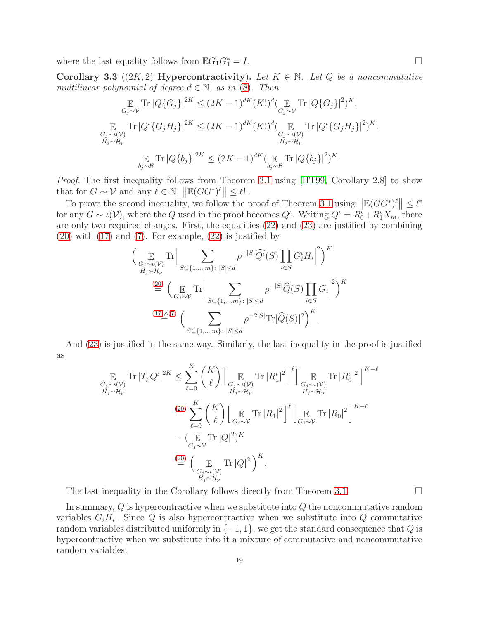where the last equality follows from  $\mathbb{E} G_1G_1^* = I$ .  $\frac{1}{1} = I.$ 

<span id="page-18-0"></span>Corollary 3.3 ((2K, 2) Hypercontractivity). Let  $K \in \mathbb{N}$ . Let Q be a noncommutative multilinear polynomial of degree  $d \in \mathbb{N}$ , as in [\(8\)](#page-10-2). Then

$$
\mathbb{E}_{G_j \sim \mathcal{V}} \text{Tr} |Q\{G_j\}|^{2K} \leq (2K-1)^{dK} (K!)^d (\mathbb{E}_{G_j \sim \mathcal{V}} \text{Tr} |Q\{G_j\}|^2)^K.
$$
  

$$
\mathbb{E}_{G_j \sim \iota(\mathcal{V})} \text{Tr} |Q^{\iota} \{G_j H_j\}|^{2K} \leq (2K-1)^{dK} (K!)^d (\mathbb{E}_{G_j \sim \iota(\mathcal{V})} \text{Tr} |Q^{\iota} \{G_j H_j\}|^2)^K.
$$
  

$$
\mathbb{E}_{H_j \sim \mathcal{H}_p} \text{Tr} |Q\{b_j\}|^{2K} \leq (2K-1)^{dK} (\mathbb{E}_{b_j \sim \mathcal{B}} \text{Tr} |Q\{b_j\}|^2)^K.
$$

Proof. The first inequality follows from Theorem [3.1](#page-16-0) using [\[HT99,](#page-36-3) Corollary 2.8] to show that for  $G \sim \mathcal{V}$  and any  $\ell \in \mathbb{N}$ ,  $\|\mathbb{E}(GG^*)^{\ell}\| \leq \ell!$ .

To prove the second inequality, we follow the proof of Theorem [3.1](#page-16-0) using  $\|\mathbb{E}(GG^*)^{\ell}\| \leq \ell!$ for any  $G \sim \iota(\mathcal{V})$ , where the Q used in the proof becomes  $Q^{\iota}$ . Writing  $Q^{\iota} = R_0^{\iota} + R_1^{\iota} X_m$ , there are only two required changes. First, the equalities [\(22\)](#page-16-2) and [\(23\)](#page-16-3) are justified by combining  $(20)$  with  $(17)$  and  $(7)$ . For example,  $(22)$  is justified by

$$
\left(\mathop{\mathbb{E}}_{\substack{G_j \sim \iota(\mathcal{V}) \\ H_j \sim \mathcal{H}_p}} \text{Tr} \Big| \sum_{S \subseteq \{1, \dots, m\} : |S| \le d} \rho^{-|S|} \widehat{Q}^{\iota}(S) \prod_{i \in S} G_i^{\iota} H_i \Big|^2 \right)^K
$$
  
\n
$$
\stackrel{(20)}{=} \left(\mathop{\mathbb{E}}_{G_j \sim \mathcal{V}} \text{Tr} \Big| \sum_{S \subseteq \{1, \dots, m\} : |S| \le d} \rho^{-|S|} \widehat{Q}(S) \prod_{i \in S} G_i \Big|^2 \right)^K
$$
  
\n
$$
\stackrel{(17)\wedge (7)}{=} \left(\sum_{S \subseteq \{1, \dots, m\} : |S| \le d} \rho^{-2|S|} \text{Tr} |\widehat{Q}(S)|^2 \right)^K.
$$

And [\(23\)](#page-16-3) is justified in the same way. Similarly, the last inequality in the proof is justified as

$$
\mathbb{E}_{G_j \sim \iota(\mathcal{V}) \atop H_j \sim H_p} \text{Tr} |T_{\rho} Q^{\iota}|^{2K} \leq \sum_{\ell=0}^{K} {K \choose \ell} \Big[ \mathbb{E}_{G_j \sim \iota(\mathcal{V}) \atop H_j \sim H_p} \text{Tr} |R_1^{\iota}|^2 \Big]^{\ell} \Big[ \mathbb{E}_{G_j \sim \iota(\mathcal{V}) \atop H_j \sim H_p} \text{Tr} |R_0^{\iota}|^2 \Big]^{K-\ell}
$$
\n
$$
\stackrel{\text{(20)}}{=} \sum_{\ell=0}^{K} {K \choose \ell} \Big[ \mathbb{E}_{G_j \sim \mathcal{V}} \text{Tr} |R_1|^2 \Big]^{\ell} \Big[ \mathbb{E}_{G_j \sim \mathcal{V}} \text{Tr} |R_0|^2 \Big]^{K-\ell}
$$
\n
$$
= (\mathbb{E}_{G_j \sim \mathcal{V}} \text{Tr} |Q|^2)^K
$$
\n
$$
\stackrel{\text{(20)}}{=} \Big( \mathbb{E}_{G_j \sim \iota(\mathcal{V}) \atop H_j \sim H_p} \text{Tr} |Q|^2 \Big)^K.
$$

The last inequality in the Corollary follows directly from Theorem [3.1.](#page-16-0)  $\Box$ 

In summary,  $Q$  is hypercontractive when we substitute into  $Q$  the noncommutative random variables  $G_iH_i$ . Since Q is also hypercontractive when we substitute into Q commutative random variables distributed uniformly in  $\{-1, 1\}$ , we get the standard consequence that Q is hypercontractive when we substitute into it a mixture of commutative and noncommutative random variables.

19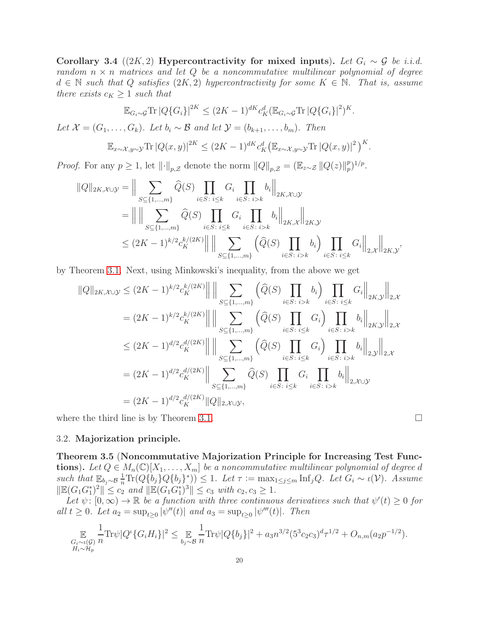<span id="page-19-1"></span>Corollary 3.4 ((2K, 2) Hypercontractivity for mixed inputs). Let  $G_i \sim \mathcal{G}$  be i.i.d. random  $n \times n$  matrices and let Q be a noncommutative multilinear polynomial of degree  $d \in \mathbb{N}$  such that Q satisfies  $(2K, 2)$  hypercontractivity for some  $K \in \mathbb{N}$ . That is, assume there exists  $c_K \geq 1$  such that

$$
\mathbb{E}_{G_i \sim \mathcal{G}} \text{Tr} \left| Q\{G_i\} \right|^{2K} \leq (2K-1)^{dK} c_K^d (\mathbb{E}_{G_i \sim \mathcal{G}} \text{Tr} \left| Q\{G_i\} \right|^2)^K.
$$

Let  $\mathcal{X} = (G_1, \ldots, G_k)$ . Let  $b_i \sim \mathcal{B}$  and let  $\mathcal{Y} = (b_{k+1}, \ldots, b_m)$ . Then

$$
\mathbb{E}_{x \sim \mathcal{X}, y \sim \mathcal{Y}} \text{Tr} |Q(x, y)|^{2K} \leq (2K - 1)^{dK} c_K^d \big( \mathbb{E}_{x \sim \mathcal{X}, y \sim \mathcal{Y}} \text{Tr} |Q(x, y)|^2 \big)^K.
$$

*Proof.* For any  $p \ge 1$ , let  $\lVert \cdot \rVert_{p,\mathcal{Z}}$  denote the norm  $\lVert Q \rVert_{p,\mathcal{Z}} = (\mathbb{E}_{z \sim \mathcal{Z}} \lVert Q(z) \rVert_p^p$  $_{p}^{p})^{1/p}.$ 

$$
\|Q\|_{2K,\mathcal{X}\cup\mathcal{Y}} = \Big\| \sum_{S \subseteq \{1,\ldots,m\}} \widehat{Q}(S) \prod_{i \in S: i \leq k} G_i \prod_{i \in S: i > k} b_i \Big\|_{2K,\mathcal{X}\cup\mathcal{Y}}
$$
  
= 
$$
\Big\| \Big\| \sum_{S \subseteq \{1,\ldots,m\}} \widehat{Q}(S) \prod_{i \in S: i \leq k} G_i \prod_{i \in S: i > k} b_i \Big\|_{2K,\mathcal{X}} \Big\|_{2K,\mathcal{Y}}
$$
  

$$
\leq (2K-1)^{k/2} c_K^{k/(2K)} \Big\| \Big\| \sum_{S \subseteq \{1,\ldots,m\}} \Big(\widehat{Q}(S) \prod_{i \in S: i > k} b_i \Big) \prod_{i \in S: i \leq k} G_i \Big\|_{2,\mathcal{X}} \Big\|_{2K,\mathcal{Y}},
$$

by Theorem [3.1.](#page-16-0) Next, using Minkowski's inequality, from the above we get

$$
||Q||_{2K,X\cup\mathcal{Y}} \leq (2K-1)^{k/2} c_K^{k/(2K)} || || \sum_{S \subseteq \{1,\dots,m\}} \left( \widehat{Q}(S) \prod_{i \in S : i > k} b_i \right) \prod_{i \in S : i \leq k} G_i ||_{2K,\mathcal{Y}} ||_{2,\mathcal{X}} = (2K-1)^{k/2} c_K^{k/(2K)} || || \sum_{S \subseteq \{1,\dots,m\}} \left( \widehat{Q}(S) \prod_{i \in S : i \leq k} G_i \right) \prod_{i \in S : i > k} b_i ||_{2K,\mathcal{Y}} ||_{2,\mathcal{X}} \leq (2K-1)^{d/2} c_K^{d/(2K)} || || \sum_{S \subseteq \{1,\dots,m\}} \left( \widehat{Q}(S) \prod_{i \in S : i \leq k} G_i \right) \prod_{i \in S : i > k} b_i ||_{2,\mathcal{Y}} ||_{2,\mathcal{X}} = (2K-1)^{d/2} c_K^{d/(2K)} || \sum_{S \subseteq \{1,\dots,m\}} \widehat{Q}(S) \prod_{i \in S : i \leq k} G_i \prod_{i \in S : i > k} b_i ||_{2,\mathcal{X} \cup \mathcal{Y}} = (2K-1)^{d/2} c_K^{d/(2K)} ||Q||_{2,\mathcal{X} \cup \mathcal{Y}},
$$

where the third line is by Theorem [3.1.](#page-16-0)

#### 3.2. Majorization principle.

<span id="page-19-0"></span>Theorem 3.5 (Noncommutative Majorization Principle for Increasing Test Functions). Let  $Q \in M_n(\mathbb{C})[X_1,\ldots,X_m]$  be a noncommutative multilinear polynomial of degree d such that  $\mathbb{E}_{b_j \sim \mathcal{B}} \frac{1}{n} \text{Tr}(Q\{b_j\} Q\{b_j\}^*) \leq 1$ . Let  $\tau := \max_{1 \leq j \leq m} \text{Inf}_j Q$ . Let  $G_i \sim \iota(\mathcal{V})$ . Assume  $\|\mathbb{E}(G_1G_1^*)^2\| \leq c_2$  and  $\|\mathbb{E}(G_1G_1^*)^3\| \leq c_3$  with  $c_2, c_3 \geq 1$ .

Let  $\psi: [0, \infty) \to \mathbb{R}$  be a function with three continuous derivatives such that  $\psi'(t) \geq 0$  for all  $t \ge 0$ . Let  $a_2 = \sup_{t \ge 0} |\psi''(t)|$  and  $a_3 = \sup_{t \ge 0} |\psi'''(t)|$ . Then

$$
\mathbb{E}_{\substack{G_i \sim \iota(\mathcal{G}) \\ H_i \sim \mathcal{H}_p}} \frac{1}{n} \text{Tr}\psi |Q^{\iota} \{G_i H_i\}|^2 \leq \mathbb{E}_{\substack{b_j \sim \mathcal{B} \\ h_j \sim \mathcal{B}}} \frac{1}{n} \text{Tr}\psi |Q\{b_j\}|^2 + a_3 n^{3/2} (5^3 c_2 c_3)^d \tau^{1/2} + O_{n,m}(a_2 p^{-1/2}).
$$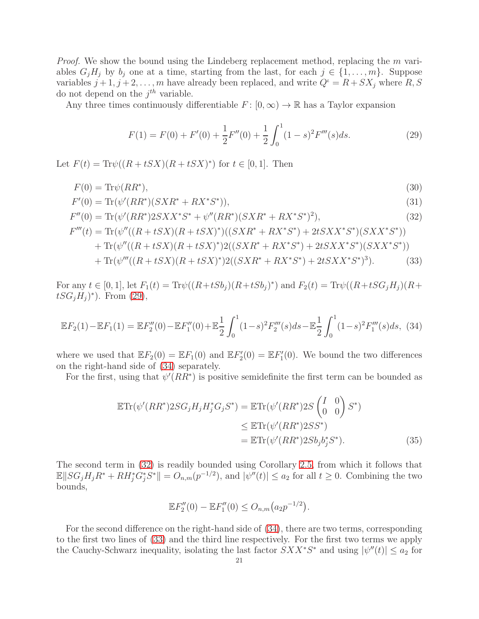*Proof.* We show the bound using the Lindeberg replacement method, replacing the m variables  $G_iH_j$  by  $b_j$  one at a time, starting from the last, for each  $j \in \{1, \ldots, m\}$ . Suppose variables  $j+1, j+2, \ldots, m$  have already been replaced, and write  $Q^{\iota} = R + SX_j$  where  $R, S$ do not depend on the  $j^{th}$  variable.

Any three times continuously differentiable  $F: [0, \infty) \to \mathbb{R}$  has a Taylor expansion

<span id="page-20-3"></span><span id="page-20-2"></span><span id="page-20-0"></span>
$$
F(1) = F(0) + F'(0) + \frac{1}{2}F''(0) + \frac{1}{2} \int_0^1 (1 - s)^2 F'''(s) ds.
$$
 (29)

Let  $F(t) = \text{Tr}\psi((R + tSX)(R + tSX)^*)$  for  $t \in [0,1]$ . Then

$$
F(0) = \text{Tr}\psi(RR^*),\tag{30}
$$

$$
F'(0) = \text{Tr}(\psi'(RR^*)(SXR^* + RX^*S^*)),\tag{31}
$$

$$
F''(0) = \text{Tr}(\psi'(RR^*)2SXX^*S^* + \psi''(RR^*)(SXR^* + RX^*S^*)^2),\tag{32}
$$

$$
F'''(t) = \text{Tr}(\psi''((R + tSX)(R + tSX)^*)((SXR^* + RX^*S^*) + 2tSXX^*S^*)(SXX^*S^*))
$$
  
+ 
$$
\text{Tr}(\psi''((R + tSX)(R + tSX)^*)2((SXR^* + RX^*S^*) + 2tSXX^*S^*)(SXX^*S^*))
$$
  
+ 
$$
\text{Tr}(\psi'''((R + tSX)(R + tSX)^*)2((SXR^* + RX^*S^*) + 2tSXX^*S^*)^3).
$$
 (33)

For any  $t \in [0, 1]$ , let  $F_1(t) = \text{Tr}\psi((R+tSb_j)(R+tSb_j)^*)$  and  $F_2(t) = \text{Tr}\psi((R+tSG_jH_j)(R+tSb_j)^*)$  $tSG_jH_j)^*$ ). From [\(29\)](#page-20-0),

<span id="page-20-1"></span>
$$
\mathbb{E}F_2(1) - \mathbb{E}F_1(1) = \mathbb{E}F_2''(0) - \mathbb{E}F_1''(0) + \mathbb{E}\frac{1}{2}\int_0^1 (1-s)^2 F_2'''(s)ds - \mathbb{E}\frac{1}{2}\int_0^1 (1-s)^2 F_1'''(s)ds,\tag{34}
$$

where we used that  $\mathbb{E}F_2(0) = \mathbb{E}F_1(0)$  and  $\mathbb{E}F_2'(0) = \mathbb{E}F_1'(0)$ . We bound the two differences on the right-hand side of [\(34\)](#page-20-1) separately.

For the first, using that  $\psi'(RR^*)$  is positive semidefinite the first term can be bounded as

$$
\mathbb{E}\text{Tr}(\psi'(RR^*)2SG_jH_jH_j^*G_jS^*) = \mathbb{E}\text{Tr}(\psi'(RR^*)2S\begin{pmatrix} I & 0\\ 0 & 0 \end{pmatrix}S^*)
$$
  
\n
$$
\leq \mathbb{E}\text{Tr}(\psi'(RR^*)2SS^*)
$$
  
\n
$$
= \mathbb{E}\text{Tr}(\psi'(RR^*)2Sb_jb_j^*S^*).
$$
\n(35)

The second term in [\(32\)](#page-20-2) is readily bounded using Corollary [2.5,](#page-14-1) from which it follows that  $\mathbb{E}||SG_jH_jR^* + RH_j^*\dot{G}_j^*\dot{S}^*|| = O_{n,m}(p^{-1/2}),$  and  $|\psi''(t)| \leq a_2$  for all  $t \geq 0$ . Combining the two bounds,

$$
\mathbb{E}F_2''(0) - \mathbb{E}F_1''(0) \le O_{n,m}(a_2p^{-1/2}).
$$

For the second difference on the right-hand side of [\(34\)](#page-20-1), there are two terms, corresponding to the first two lines of [\(33\)](#page-20-3) and the third line respectively. For the first two terms we apply the Cauchy-Schwarz inequality, isolating the last factor  $SXX^*S^*$  and using  $|\psi''(t)| \leq a_2$  for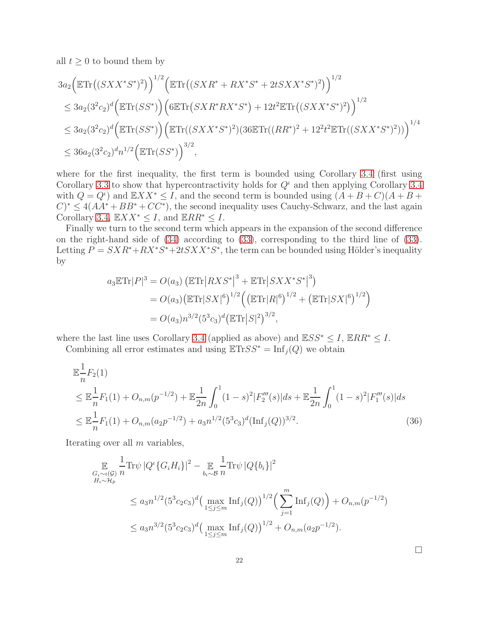all  $t \geq 0$  to bound them by

$$
3a_2 \Big( \mathbb{E} \text{Tr} \big( (S X X^* S^*)^2 \big) \Big)^{1/2} \Big( \mathbb{E} \text{Tr} \big( (S X R^* + R X^* S^* + 2t S X X^* S^*)^2 \big) \Big)^{1/2}
$$
  
\n
$$
\leq 3a_2 (3^2 c_2)^d \Big( \mathbb{E} \text{Tr} (S S^*) \Big) \Big( 6 \mathbb{E} \text{Tr} \big( S X R^* R X^* S^* \big) + 12t^2 \mathbb{E} \text{Tr} \big( (S X X^* S^*)^2 \big) \Big)^{1/2}
$$
  
\n
$$
\leq 3a_2 (3^2 c_2)^d \Big( \mathbb{E} \text{Tr} (S S^*) \Big) \Big( \mathbb{E} \text{Tr} \big( (S X X^* S^*)^2 \big) (36 \mathbb{E} \text{Tr} \big( (R R^*)^2 + 12^2 t^2 \mathbb{E} \text{Tr} \big( (S X X^* S^*)^2 \big) \big) \Big)^{1/4}
$$
  
\n
$$
\leq 36a_2 (3^2 c_2)^d n^{1/2} \Big( \mathbb{E} \text{Tr} (S S^*) \Big)^{3/2},
$$

where for the first inequality, the first term is bounded using Corollary [3.4](#page-19-1) (first using Corollary [3.3](#page-18-0) to show that hypercontractivity holds for  $Q<sup>t</sup>$  and then applying Corollary [3.4](#page-19-1) with  $Q = Q^i$  and  $\mathbb{E} XX^* \leq I$ , and the second term is bounded using  $(A + B + C)(A + B + C)$  $(C)^* \leq 4(AA^* + BB^* + CC^*)$ , the second inequality uses Cauchy-Schwarz, and the last again Corollary [3.4,](#page-19-1)  $\mathbb{E} XX^* \leq I$ , and  $\mathbb{E} RR^* \leq I$ .

Finally we turn to the second term which appears in the expansion of the second difference on the right-hand side of [\(34\)](#page-20-1) according to [\(33\)](#page-20-3), corresponding to the third line of [\(33\)](#page-20-3). Letting  $P = SXR^* + RX^*S^* + 2tSXX^*S^*$ , the term can be bounded using Hölder's inequality by

$$
a_3 \mathbb{E} \text{Tr}|P|^3 = O(a_3) \left( \mathbb{E} \text{Tr}|RXS^*|^3 + \mathbb{E} \text{Tr}|SXX^*S^*|^3 \right)
$$
  
=  $O(a_3) \left( \mathbb{E} \text{Tr}|SX|^6 \right)^{1/2} \left( \left( \mathbb{E} \text{Tr}|R|^6 \right)^{1/2} + \left( \mathbb{E} \text{Tr}|SX|^6 \right)^{1/2} \right)$   
=  $O(a_3) n^{3/2} (5^3 c_3)^d \left( \mathbb{E} \text{Tr}|S|^2 \right)^{3/2},$ 

where the last line uses Corollary [3.4](#page-19-1) (applied as above) and  $\mathbb{E}SS^* \leq I$ ,  $\mathbb{E}RR^* \leq I$ . Combining all error estimates and using  $\mathbb{E} \text{Tr} SS^* = \text{Inf}_i(Q)$  we obtain

$$
\mathbb{E}_{n}^{\frac{1}{2}}F_{2}(1)
$$
\n
$$
\leq \mathbb{E}_{n}^{\frac{1}{2}}F_{1}(1) + O_{n,m}(p^{-1/2}) + \mathbb{E}_{2n}^{\frac{1}{2}}\int_{0}^{1}(1-s)^{2}|F_{2}'''(s)|ds + \mathbb{E}_{2n}^{\frac{1}{2}}\int_{0}^{1}(1-s)^{2}|F_{1}'''(s)|ds
$$
\n
$$
\leq \mathbb{E}_{n}^{\frac{1}{2}}F_{1}(1) + O_{n,m}(a_{2}p^{-1/2}) + a_{3}n^{1/2}(5^{3}c_{3})^{d}(\text{Inf}_{j}(Q))^{3/2}.
$$
\n(36)

Iterating over all  $m$  variables,

$$
\mathbb{E}_{\substack{G_i \sim \iota(\mathcal{G}) \\ H_i \sim \mathcal{H}_p}} \frac{1}{n} \text{Tr}\psi \, |Q^{\iota} \{G_i H_i\}|^2 - \mathbb{E}_{b_i \sim \mathcal{B}} \frac{1}{n} \text{Tr}\psi \, |Q \{b_i\}|^2
$$
\n
$$
\leq a_3 n^{1/2} (5^3 c_2 c_3)^d \big(\max_{1 \leq j \leq m} \text{Inf}_j(Q)\big)^{1/2} \big(\sum_{j=1}^m \text{Inf}_j(Q)\big) + O_{n,m}(p^{-1/2})
$$
\n
$$
\leq a_3 n^{3/2} (5^3 c_2 c_3)^d \big(\max_{1 \leq j \leq m} \text{Inf}_j(Q)\big)^{1/2} + O_{n,m}(a_2 p^{-1/2}).
$$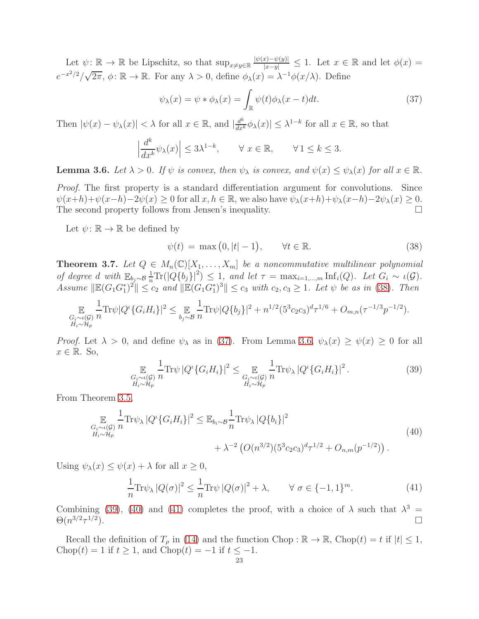Let  $\psi: \mathbb{R} \to \mathbb{R}$  be Lipschitz, so that  $\sup_{x \neq y \in \mathbb{R}} \frac{|\psi(x) - \psi(y)|}{|x - y|} \leq 1$ . Let  $x \in \mathbb{R}$  and let  $\phi(x) =$  $e^{-x^2/2}/\sqrt{2\pi}$ ,  $\phi: \mathbb{R} \to \mathbb{R}$ . For any  $\lambda > 0$ , define  $\phi_{\lambda}(x) = \lambda^{-1} \phi(x/\lambda)$ . Define

<span id="page-22-2"></span>
$$
\psi_{\lambda}(x) = \psi * \phi_{\lambda}(x) = \int_{\mathbb{R}} \psi(t)\phi_{\lambda}(x - t)dt.
$$
\n(37)

Then  $|\psi(x) - \psi_\lambda(x)| < \lambda$  for all  $x \in \mathbb{R}$ , and  $|\frac{d^k}{dx^k} \phi_\lambda(x)| \leq \lambda^{1-k}$  for all  $x \in \mathbb{R}$ , so that

$$
\left|\frac{d^k}{dx^k}\psi_\lambda(x)\right| \le 3\lambda^{1-k}, \qquad \forall \ x \in \mathbb{R}, \qquad \forall \ 1 \le k \le 3.
$$

<span id="page-22-3"></span>**Lemma 3.6.** Let  $\lambda > 0$ . If  $\psi$  is convex, then  $\psi_{\lambda}$  is convex, and  $\psi(x) \leq \psi_{\lambda}(x)$  for all  $x \in \mathbb{R}$ .

Proof. The first property is a standard differentiation argument for convolutions. Since  $\psi(x+h)+\psi(x-h)-2\psi(x) \ge 0$  for all  $x, h \in \mathbb{R}$ , we also have  $\psi_{\lambda}(x+h)+\psi_{\lambda}(x-h)-2\psi_{\lambda}(x) \ge 0$ .<br>The second property follows from Jensen's inequality. The second property follows from Jensen's inequality.

Let  $\psi: \mathbb{R} \to \mathbb{R}$  be defined by

<span id="page-22-1"></span>
$$
\psi(t) = \max\left(0, |t| - 1\right), \qquad \forall t \in \mathbb{R}.\tag{38}
$$

<span id="page-22-0"></span>**Theorem 3.7.** Let  $Q \in M_n(\mathbb{C})[X_1,\ldots,X_m]$  be a noncommutative multilinear polynomial of degree d with  $\mathbb{E}_{b_j \sim \mathcal{B}} \frac{1}{n} \text{Tr}(|Q{b_j}|^2) \leq 1$ , and let  $\tau = \max_{i=1,\dots,m} \text{Inf}_i(Q)$ . Let  $G_i \sim \iota(\mathcal{G})$ . Assume  $\|\mathbb{E}(G_1G_1^*)^2\| \leq c_2$  and  $\|\mathbb{E}(G_1G_1^*)^3\| \leq c_3$  with  $c_2, c_3 \geq 1$ . Let  $\psi$  be as in [\(38\)](#page-22-1). Then

$$
\mathbb{E}_{\substack{G_i \sim \iota(\mathcal{G}) \\ H_i \sim \mathcal{H}_p}} \frac{1}{n} \text{Tr}\psi |Q^{\iota} \{G_i H_i\}|^2 \leq \mathbb{E}_{\substack{b_j \sim \mathcal{B} \\ h_j \sim \mathcal{B}}} \frac{1}{n} \text{Tr}\psi |Q\{b_j\}|^2 + n^{1/2} (5^3 c_2 c_3)^d \tau^{1/6} + O_{m,n}(\tau^{-1/3} p^{-1/2}).
$$

*Proof.* Let  $\lambda > 0$ , and define  $\psi_{\lambda}$  as in [\(37\)](#page-22-2). From Lemma [3.6,](#page-22-3)  $\psi_{\lambda}(x) \geq \psi(x) \geq 0$  for all  $x \in \mathbb{R}$ . So,

<span id="page-22-4"></span>
$$
\mathop{\mathbb{E}}_{\substack{G_i \sim \iota(\mathcal{G}) \\ H_i \sim \mathcal{H}_p}} \frac{1}{n} \text{Tr}\psi \left| Q^{\iota} \{ G_i H_i \} \right|^2 \leq \mathop{\mathbb{E}}_{\substack{G_i \sim \iota(\mathcal{G}) \\ H_i \sim \mathcal{H}_p}} \frac{1}{n} \text{Tr}\psi_{\lambda} \left| Q^{\iota} \{ G_i H_i \} \right|^2. \tag{39}
$$

From Theorem [3.5,](#page-19-0)

<span id="page-22-5"></span>
$$
\mathbb{E}_{\substack{G_i \sim \iota(G) \\ H_i \sim \mathcal{H}_p}} \frac{1}{n} \text{Tr} \psi_{\lambda} |Q^{\iota} \{ G_i H_i \} |^2 \leq \mathbb{E}_{b_i \sim \mathcal{B}} \frac{1}{n} \text{Tr} \psi_{\lambda} |Q \{ b_i \} |^2 + \lambda^{-2} \left( O(n^{3/2}) (5^3 c_2 c_3)^d \tau^{1/2} + O_{n,m}(p^{-1/2}) \right). \tag{40}
$$

Using  $\psi_{\lambda}(x) \leq \psi(x) + \lambda$  for all  $x \geq 0$ ,

<span id="page-22-6"></span>
$$
\frac{1}{n}\text{Tr}\psi_{\lambda}|Q(\sigma)|^2 \le \frac{1}{n}\text{Tr}\psi|Q(\sigma)|^2 + \lambda, \qquad \forall \sigma \in \{-1, 1\}^m. \tag{41}
$$

Combining [\(39\)](#page-22-4), [\(40\)](#page-22-5) and [\(41\)](#page-22-6) completes the proof, with a choice of  $\lambda$  such that  $\lambda^3$  =  $\Theta(n^{3/2}\tau^{1/2}$ ).

Recall the definition of  $T_\rho$  in [\(14\)](#page-10-3) and the function Chop :  $\mathbb{R} \to \mathbb{R}$ , Chop $(t) = t$  if  $|t| \leq 1$ , Chop(t) = 1 if  $t \ge 1$ , and Chop(t) = -1 if  $t \le -1$ .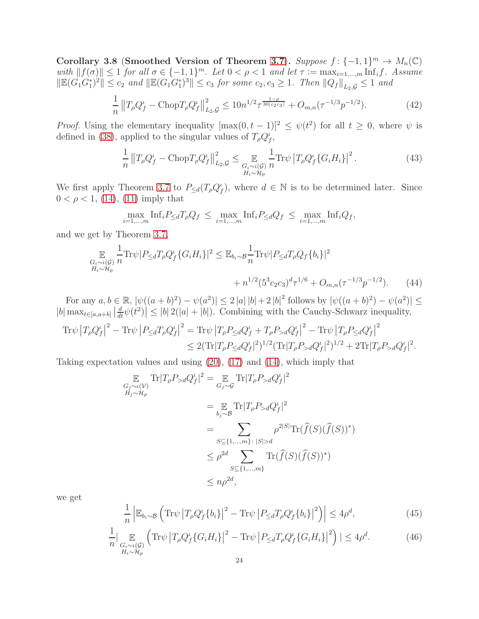<span id="page-23-0"></span>Corollary 3.8 (Smoothed Version of Theorem [3.7](#page-22-0)). Suppose  $f: \{-1, 1\}^m \to M_n(\mathbb{C})$ with  $||f(\sigma)|| \leq 1$  for all  $\sigma \in \{-1, 1\}^m$ . Let  $0 < \rho < 1$  and let  $\tau := \max_{i=1,\dots,m} \text{Inf}_i f$ . Assume  $\|\mathbb{E}(G_1G_1^*)^2\| \leq c_2$  and  $\|\mathbb{E}(G_1G_1^*)^3\| \leq c_3$  for some  $c_2, c_3 \geq 1$ . Then  $\|Q_f\|_{L_2, \mathcal{G}} \leq 1$  and

$$
\frac{1}{n} \left\| T_{\rho} Q_f^{\iota} - \text{Chop} T_{\rho} Q_f^{\iota} \right\|_{L_2, \mathcal{G}}^2 \le 10 n^{1/2} \tau^{\frac{1-\rho}{30(c_2 c_3)}} + O_{m,n}(\tau^{-1/3} p^{-1/2}). \tag{42}
$$

*Proof.* Using the elementary inequality  $[\max(0, t-1)]^2 \leq \psi(t^2)$  for all  $t \geq 0$ , where  $\psi$  is defined in [\(38\)](#page-22-1), applied to the singular values of  $T_{\rho} Q_f^{\iota}$ ,

<span id="page-23-4"></span>
$$
\frac{1}{n} \left\| T_{\rho} Q_f^{\iota} - \text{Chop} T_{\rho} Q_f^{\iota} \right\|_{L_2, \mathcal{G}}^2 \le \mathop{\mathbb{E}}_{\substack{G_i \sim \iota(\mathcal{G}) \\ H_i \sim \mathcal{H}_p}} \frac{1}{n} \text{Tr} \psi \left| T_{\rho} Q_f^{\iota} \{ G_i H_i \} \right|^2. \tag{43}
$$

We first apply Theorem [3.7](#page-22-0) to  $P_{\leq d}(T_{\rho}Q_f^{\iota})$ , where  $d \in \mathbb{N}$  is to be determined later. Since  $0 < \rho < 1$ , [\(14\)](#page-10-3), [\(11\)](#page-10-1) imply that

<span id="page-23-2"></span>
$$
\max_{i=1,\dots,m} \text{Inf}_i P_{\leq d} T_{\rho} Q_f \leq \max_{i=1,\dots,m} \text{Inf}_i P_{\leq d} Q_f \leq \max_{i=1,\dots,m} \text{Inf}_i Q_f,
$$

and we get by Theorem [3.7,](#page-22-0)

$$
\mathbb{E}_{G_i \sim \iota(G)} \frac{1}{n} \text{Tr}\psi |P_{\leq d} T_{\rho} Q_f^{\iota} \{ G_i H_i \} |^2 \leq \mathbb{E}_{b_i \sim \mathcal{B}} \frac{1}{n} \text{Tr}\psi |P_{\leq d} T_{\rho} Q_f \{ b_i \} |^2 + n^{1/2} (5^3 c_2 c_3)^d \tau^{1/6} + O_{m,n}(\tau^{-1/3} p^{-1/2}).
$$
 (44)

For any  $a, b \in \mathbb{R}$ ,  $|\psi((a+b)^2) - \psi(a^2)| \leq 2 |a| |b| + 2 |b|^2$  follows by  $|\psi((a+b)^2) - \psi(a^2)| \leq$  $|b| \max_{t \in [a,a+b]} \left| \frac{d}{dt} \psi(t^2) \right| \leq |b| \, 2(|a|+|b|)$ . Combining with the Cauchy-Schwarz inequality,

$$
\mathrm{Tr}\psi \left|T_{\rho}Q_{f}^{\iota}\right|^{2} - \mathrm{Tr}\psi \left|P_{\leq d}T_{\rho}Q_{f}^{\iota}\right|^{2} = \mathrm{Tr}\psi \left|T_{\rho}P_{\leq d}Q_{f}^{\iota} + T_{\rho}P_{>d}Q_{f}^{\iota}\right|^{2} - \mathrm{Tr}\psi \left|T_{\rho}P_{\leq d}Q_{f}^{\iota}\right|^{2} \leq 2(\mathrm{Tr}|T_{\rho}P_{\leq d}Q_{f}^{\iota}|^{2})^{1/2}(\mathrm{Tr}|T_{\rho}P_{>d}Q_{f}^{\iota}|^{2})^{1/2} + 2\mathrm{Tr}|T_{\rho}P_{>d}Q_{f}^{\iota}|^{2}.
$$

Taking expectation values and using [\(20\)](#page-15-3), [\(17\)](#page-14-3) and [\(14\)](#page-10-3), which imply that

$$
\mathbb{E}_{G_j \sim \iota(\mathcal{V}) \atop H_j \sim H_p} \text{Tr} |T_{\rho} P_{>d} Q_f^{\iota}|^2 = \mathbb{E}_{G_j \sim \mathcal{G}} \text{Tr} |T_{\rho} P_{>d} Q_f^{\iota}|^2
$$
\n
$$
= \mathbb{E}_{b_j \sim \mathcal{B}} \text{Tr} |T_{\rho} P_{>d} Q_f^{\iota}|^2
$$
\n
$$
= \sum_{S \subseteq \{1, \dots, m\} : |S| > d} \rho^{2|S|} \text{Tr}(\widehat{f}(S)(\widehat{f}(S))^*)
$$
\n
$$
\leq \rho^{2d} \sum_{S \subseteq \{1, \dots, m\}} \text{Tr}(\widehat{f}(S)(\widehat{f}(S))^*)
$$
\n
$$
\leq n \rho^{2d},
$$

we get

<span id="page-23-3"></span>
$$
\frac{1}{n} \left| \mathbb{E}_{b_i \sim \mathcal{B}} \left( \text{Tr} \psi \left| T_{\rho} Q_f^{\iota} \{ b_i \} \right|^{2} - \text{Tr} \psi \left| P_{\leq d} T_{\rho} Q_f^{\iota} \{ b_i \} \right|^{2} \right) \right| \leq 4 \rho^{d},\tag{45}
$$

<span id="page-23-1"></span>
$$
\frac{1}{n} \Big| \mathop{\mathbb{E}}_{\substack{G_i \sim \iota(\mathcal{G}) \\ H_i \sim \mathcal{H}_p}} \left( \text{Tr}\psi \left| T_{\rho} Q_f^{\iota} \{ G_i H_i \} \right|^{2} - \text{Tr}\psi \left| P_{\leq d} T_{\rho} Q_f^{\iota} \{ G_i H_i \} \right|^{2} \right) \Big| \leq 4\rho^{d}.
$$
 (46)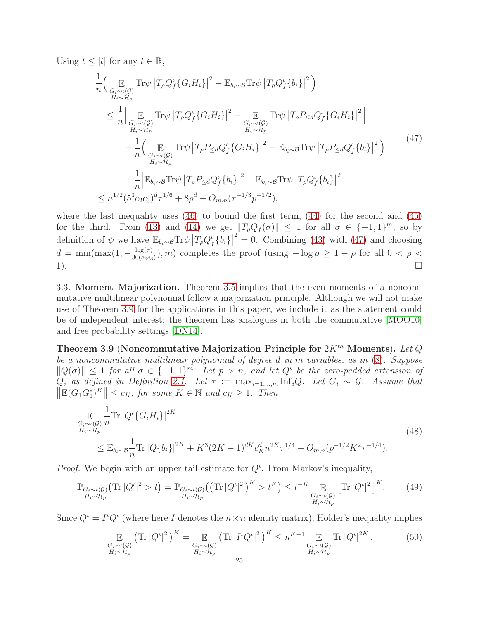Using 
$$
t \leq |t|
$$
 for any  $t \in \mathbb{R}$ ,

<span id="page-24-1"></span>
$$
\frac{1}{n} \Biggl( \underset{G_i \sim \iota(G)}{\mathbb{E}} \text{Tr}\psi \left| T_{\rho} Q_f^{\iota} \{ G_i H_i \} \right|^2 - \mathbb{E}_{b_i \sim \mathcal{B}} \text{Tr}\psi \left| T_{\rho} Q_f^{\iota} \{ b_i \} \right|^2 \Biggr) \n\leq \frac{1}{n} \Biggl| \underset{G_i \sim \iota(G)}{\mathbb{E}} \text{Tr}\psi \left| T_{\rho} Q_f^{\iota} \{ G_i H_i \} \right|^2 - \underset{G_i \sim \iota(G)}{\mathbb{E}} \text{Tr}\psi \left| T_{\rho} P_{\leq d} Q_f^{\iota} \{ G_i H_i \} \right|^2 \Biggr| \n+ \frac{1}{n} \Biggl( \underset{H_i \sim H_p}{\mathbb{E}} \text{Tr}\psi \left| T_{\rho} P_{\leq d} Q_f^{\iota} \{ G_i H_i \} \right|^2 - \mathbb{E}_{b_i \sim \mathcal{B}} \text{Tr}\psi \left| T_{\rho} P_{\leq d} Q_f^{\iota} \{ b_i \} \right|^2 \Biggr) \n+ \frac{1}{n} \Biggl( \underset{H_i \sim H_p}{\mathbb{E}} \text{Tr}\psi \left| T_{\rho} P_{\leq d} Q_f^{\iota} \{ G_i H_i \} \right|^2 - \mathbb{E}_{b_i \sim \mathcal{B}} \text{Tr}\psi \left| T_{\rho} P_{\leq d} Q_f^{\iota} \{ b_i \} \right|^2 \Biggr) \n+ \frac{1}{n} \Biggl| \mathbb{E}_{b_i \sim \mathcal{B}} \text{Tr}\psi \left| T_{\rho} P_{\leq d} Q_f^{\iota} \{ b_i \} \right|^2 - \mathbb{E}_{b_i \sim \mathcal{B}} \text{Tr}\psi \left| T_{\rho} Q_f^{\iota} \{ b_i \} \right|^2 \Biggr| \n\leq n^{1/2} (5^3 c_2 c_3)^d \tau^{1/6} + 8\rho^d + O_{m,n} (\tau^{-1/3} p^{-1/2}),
$$
\n(47)

where the last inequality uses  $(46)$  to bound the first term,  $(44)$  for the second and  $(45)$ for the third. From [\(13\)](#page-10-4) and [\(14\)](#page-10-3) we get  $||T_{\rho}Q_f(\sigma)|| \leq 1$  for all  $\sigma \in \{-1,1\}^m$ , so by definition of  $\psi$  we have  $\mathbb{E}_{b_i \sim \mathcal{B}} \text{Tr} \psi \left| T_{\rho} Q_f^{\iota} \{b_i\} \right|^2 = 0$ . Combining [\(43\)](#page-23-4) with [\(47\)](#page-24-1) and choosing  $d = \min(\max(1, -\frac{\log(\tau)}{30(c_2 c_3)})$  $\frac{\log(\tau)}{30(c_2c_3)}$ , m) completes the proof (using  $-\log \rho \geq 1 - \rho$  for all  $0 < \rho <$ 1).

3.3. Moment Majorization. Theorem [3.5](#page-19-0) implies that the even moments of a noncommutative multilinear polynomial follow a majorization principle. Although we will not make use of Theorem [3.9](#page-24-0) for the applications in this paper, we include it as the statement could be of independent interest; the theorem has analogues in both the commutative [\[MOO10\]](#page-37-1) and free probability settings [\[DN14\]](#page-36-18).

<span id="page-24-0"></span>Theorem 3.9 (Noncommutative Majorization Principle for  $2K^{th}$  Moments). Let Q be a noncommutative multilinear polynomial of degree d in m variables, as in [\(8\)](#page-10-2). Suppose  $||Q(\sigma)|| \leq 1$  for all  $\sigma \in \{-1,1\}^m$ . Let  $p > n$ , and let  $Q^{\iota}$  be the zero-padded extension of Q, as defined in Definition [2.1.](#page-11-0) Let  $\tau := \max_{i=1,\dots,m} \text{Inf}_i Q$ . Let  $G_i \sim \mathcal{G}$ . Assume that  $\|\mathbb{E}(G_1G_1^*)^K\| \leq c_K$ , for some  $K \in \mathbb{N}$  and  $c_K \geq 1$ . Then

$$
\mathbb{E}_{\substack{G_i \sim \iota(\mathcal{G}) \\ H_i \sim \mathcal{H}_p}} \frac{1}{n} \text{Tr} |Q^{\iota} \{ G_i H_i \}|^{2K} \n\leq \mathbb{E}_{b_i \sim \mathcal{B}} \frac{1}{n} \text{Tr} |Q \{ b_i \}|^{2K} + K^3 (2K - 1)^{dK} c_K^d n^{2K} \tau^{1/4} + O_{m,n}(p^{-1/2} K^2 \tau^{-1/4}).
$$
\n(48)

*Proof.* We begin with an upper tail estimate for  $Q^{\iota}$ . From Markov's inequality,

<span id="page-24-2"></span>
$$
\mathbb{P}_{\substack{G_i \sim \iota(\mathcal{G}) \\ H_i \sim \mathcal{H}_p}}\left(\text{Tr}\left|Q^{\iota}\right|^2 > t\right) = \mathbb{P}_{\substack{G_i \sim \iota(\mathcal{G}) \\ H_i \sim \mathcal{H}_p}}\left(\left(\text{Tr}\left|Q^{\iota}\right|^2\right)^K > t^K\right) \leq t^{-K} \mathbb{E}_{\substack{G_i \sim \iota(\mathcal{G}) \\ H_i \sim \mathcal{H}_p}}\left[\text{Tr}\left|Q^{\iota}\right|^2\right]^K. \tag{49}
$$

Since  $Q^{\iota} = I^{\iota} Q^{\iota}$  (where here I denotes the  $n \times n$  identity matrix), Hölder's inequality implies

<span id="page-24-3"></span>
$$
\mathop{\mathbb{E}}_{\substack{G_i \sim \iota(\mathcal{G}) \\ H_i \sim \mathcal{H}_p}} \left( \text{Tr} \left| Q^{\iota} \right|^2 \right)^K = \mathop{\mathbb{E}}_{\substack{G_i \sim \iota(\mathcal{G}) \\ H_i \sim \mathcal{H}_p}} \left( \text{Tr} \left| I^{\iota} Q^{\iota} \right|^2 \right)^K \leq n^{K-1} \mathop{\mathbb{E}}_{\substack{G_i \sim \iota(\mathcal{G}) \\ H_i \sim \mathcal{H}_p}} \text{Tr} \left| Q^{\iota} \right|^{2K} . \tag{50}
$$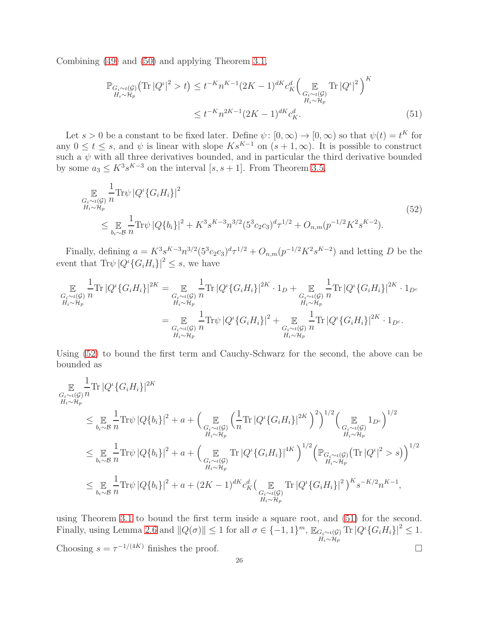Combining [\(49\)](#page-24-2) and [\(50\)](#page-24-3) and applying Theorem [3.1,](#page-16-0)

<span id="page-25-1"></span>
$$
\mathbb{P}_{\substack{G_i \sim \iota(\mathcal{G}) \\ H_i \sim \mathcal{H}_p}} \left( \text{Tr} \left| Q^{\iota} \right|^2 > t \right) \le t^{-K} n^{K-1} (2K - 1)^{dK} c_K^d \left( \mathop{\mathbb{E}}_{\substack{G_i \sim \iota(\mathcal{G}) \\ H_i \sim \mathcal{H}_p}} \text{Tr} \left| Q^{\iota} \right|^2 \right)^K
$$
\n
$$
\le t^{-K} n^{2K-1} (2K - 1)^{dK} c_K^d. \tag{51}
$$

Let  $s > 0$  be a constant to be fixed later. Define  $\psi : [0, \infty) \to [0, \infty)$  so that  $\psi(t) = t^K$  for any  $0 \leq t \leq s$ , and  $\psi$  is linear with slope  $Ks^{K-1}$  on  $(s+1,\infty)$ . It is possible to construct such a  $\psi$  with all three derivatives bounded, and in particular the third derivative bounded by some  $a_3 \leq K^3 s^{K-3}$  on the interval  $[s, s+1]$ . From Theorem [3.5,](#page-19-0)

<span id="page-25-0"></span>
$$
\mathbb{E}_{\substack{G_i \sim t(\mathcal{G}) \\ H_i \sim \mathcal{H}_p}} \frac{1}{n} \text{Tr}\psi \left| Q^t \{ G_i H_i \} \right|^2
$$
\n
$$
\leq \mathbb{E}_{\substack{h_i \sim \mathcal{B} \\ h_i \sim \mathcal{B}}} \frac{1}{n} \text{Tr}\psi \left| Q \{ b_i \} \right|^2 + K^3 s^{K-3} n^{3/2} (5^3 c_2 c_3)^d \tau^{1/2} + O_{n,m}(p^{-1/2} K^2 s^{K-2}).
$$
\n(52)

Finally, defining  $a = K^3 s^{K-3} n^{3/2} (5^3 c_2 c_3)^d \tau^{1/2} + O_{n,m}(p^{-1/2} K^2 s^{K-2})$  and letting D be the event that  $\text{Tr}\psi |Q^i \{G_i H_i\} |^2 \leq s$ , we have

$$
\mathbb{E}_{\substack{G_i \sim \iota(\mathcal{G}) \\ H_i \sim \mathcal{H}_p}} \frac{1}{n} \text{Tr} |Q^{\iota} \{ G_i H_i \}|^{2K} = \mathbb{E}_{\substack{G_i \sim \iota(\mathcal{G}) \\ H_i \sim \mathcal{H}_p}} \frac{1}{n} \text{Tr} |Q^{\iota} \{ G_i H_i \}|^{2K} \cdot 1_D + \mathbb{E}_{\substack{G_i \sim \iota(\mathcal{G}) \\ H_i \sim \mathcal{H}_p}} \frac{1}{n} \text{Tr} |Q^{\iota} \{ G_i H_i \}|^{2K} \cdot 1_{D^c}
$$
\n
$$
= \mathbb{E}_{\substack{G_i \sim \iota(\mathcal{G}) \\ H_i \sim \mathcal{H}_p}} \frac{1}{n} \text{Tr} \psi |Q^{\iota} \{ G_i H_i \}|^2 + \mathbb{E}_{\substack{G_i \sim \iota(\mathcal{G}) \\ H_i \sim \mathcal{H}_p}} \frac{1}{n} \text{Tr} |Q^{\iota} \{ G_i H_i \}|^{2K} \cdot 1_{D^c}.
$$

Using [\(52\)](#page-25-0) to bound the first term and Cauchy-Schwarz for the second, the above can be bounded as

$$
\mathbb{E}_{\substack{G_i \sim \iota(G) \\ H_i \sim \mathcal{H}_p}} \frac{1}{n} \text{Tr} |Q^{\iota} \{G_i H_i\}|^{2K}
$$
\n
$$
\leq \mathbb{E}_{\substack{b_i \sim \mathcal{B} \\ h_i \sim \mathcal{H}_p}} \frac{1}{n} \text{Tr} \psi |Q\{b_i\}|^2 + a + \Big(\mathbb{E}_{\substack{G_i \sim \iota(G) \\ H_i \sim \mathcal{H}_p}} \left(\frac{1}{n} \text{Tr} |Q^{\iota} \{G_i H_i\}|^{2K}\right)^2\Big)^{1/2} \Big(\mathbb{E}_{\substack{G_i \sim \iota(G) \\ H_i \sim \mathcal{H}_p}} 1_{D^c}\Big)^{1/2}
$$
\n
$$
\leq \mathbb{E}_{\substack{b_i \sim \mathcal{B} \\ h_i \sim \mathcal{H}_p}} \frac{1}{n} \text{Tr} \psi |Q\{b_i\}|^2 + a + \Big(\mathbb{E}_{\substack{G_i \sim \iota(G) \\ H_i \sim \mathcal{H}_p}} \text{Tr} |Q^{\iota} \{G_i H_i\}|^{4K}\Big)^{1/2} \Big(\mathbb{P}_{G_i \sim \iota(G)} \big(\text{Tr} |Q^{\iota}|^2 > s\big)\Big)^{1/2}
$$
\n
$$
\leq \mathbb{E}_{\substack{b_i \sim \mathcal{B} \\ h_i \sim \mathcal{H}_p}} \frac{1}{n} \text{Tr} \psi |Q\{b_i\}|^2 + a + (2K - 1)^{dK} c_K^d \Big(\mathbb{E}_{\substack{G_i \sim \iota(G) \\ G_i \sim \iota(G) \\ H_i \sim \mathcal{H}_p}} \text{Tr} |Q^{\iota} \{G_i H_i\}|^2\Big)^K s^{-K/2} n^{K-1},
$$

using Theorem [3.1](#page-16-0) to bound the first term inside a square root, and [\(51\)](#page-25-1) for the second. Finally, using Lemma [2.6](#page-14-0) and  $||Q(\sigma)|| \leq 1$  for all  $\sigma \in \{-1, 1\}^m$ ,  $\mathbb{E}_{G_i \sim \iota(G)}$  $H_i \sim H_p$ Tr $|Q^{\iota}{G_iH_i}\}|^2 \leq 1.$ Choosing  $s = \tau^{-1/(4K)}$  finishes the proof.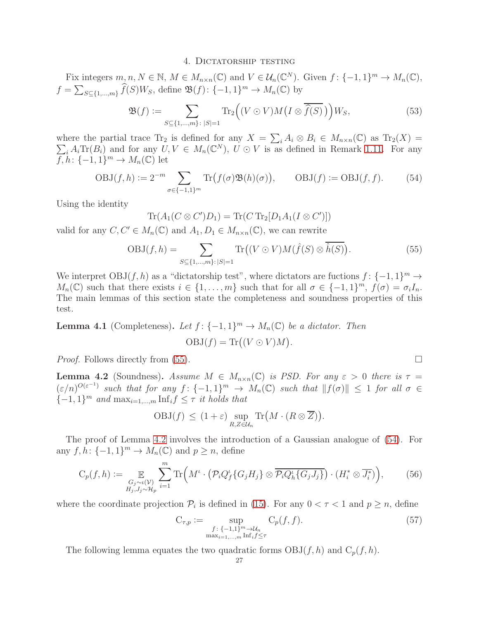#### 4. DICTATORSHIP TESTING

<span id="page-26-5"></span>Fix integers  $m, n, N \in \mathbb{N}$ ,  $M \in M_{n \times n}(\mathbb{C})$  and  $V \in \mathcal{U}_n(\mathbb{C}^N)$ . Given  $f: \{-1, 1\}^m \to M_n(\mathbb{C})$ ,  $f = \sum_{S \subseteq \{1,\ldots,m\}} \widehat{f}(S)W_S$ , define  $\mathfrak{B}(f)$ :  $\{-1,1\}^m \to M_n(\mathbb{C})$  by

$$
\mathfrak{B}(f) := \sum_{S \subseteq \{1,\dots,m\} \colon |S|=1} \text{Tr}_2\Big((V \odot V)M\big(I \otimes \overline{\widehat{f}(S)}\big)\Big)W_S,\tag{53}
$$

where the partial trace  $\text{Tr}_2$  is defined for any  $X = \sum_i A_i \otimes B_i \in M_{n \times n}(\mathbb{C})$  as  $\text{Tr}_2(X) =$  $\sum_i A_i \text{Tr}(B_i)$  and for any  $U, V \in M_n(\mathbb{C}^N)$ ,  $U \odot V$  is as defined in Remark [1.11.](#page-5-4) For any  $\overline{f},\overline{h}$ :  $\{-1,1\}^m \to M_n(\mathbb{C})$  let

<span id="page-26-2"></span>
$$
OBJ(f, h) := 2^{-m} \sum_{\sigma \in \{-1, 1\}^m} \text{Tr}\big(f(\sigma) \mathfrak{B}(h)(\sigma)\big), \qquad \text{OBJ}(f) := \text{OBJ}(f, f). \tag{54}
$$

Using the identity

 $\text{Tr}(A_1(C \otimes C')D_1) = \text{Tr}(C \text{ Tr}_2[D_1 A_1(I \otimes C')] )$ 

valid for any  $C, C' \in M_n(\mathbb{C})$  and  $A_1, D_1 \in M_{n \times n}(\mathbb{C})$ , we can rewrite

<span id="page-26-0"></span>
$$
OBJ(f, h) = \sum_{S \subseteq \{1, \dots, m\}: |S| = 1} \text{Tr}\big((V \odot V)M(\hat{f}(S) \otimes \overline{\hat{h}(S)}\big). \tag{55}
$$

We interpret  $OBJ(f, h)$  as a "dictatorship test", where dictators are fuctions  $f: \{-1, 1\}^m \to$  $M_n(\mathbb{C})$  such that there exists  $i \in \{1, \ldots, m\}$  such that for all  $\sigma \in \{-1, 1\}^m$ ,  $f(\sigma) = \sigma_i I_n$ . The main lemmas of this section state the completeness and soundness properties of this test.

<span id="page-26-4"></span>**Lemma 4.1** (Completeness). Let  $f: \{-1, 1\}^m \to M_n(\mathbb{C})$  be a dictator. Then  $OBJ(f) = Tr((V \odot V)M).$ 

*Proof.* Follows directly from [\(55\)](#page-26-0).  $\Box$ 

<span id="page-26-1"></span>**Lemma 4.2** (Soundness). Assume  $M \in M_{n \times n}(\mathbb{C})$  is PSD. For any  $\varepsilon > 0$  there is  $\tau =$  $(\varepsilon/n)^{O(\varepsilon^{-1})}$  such that for any  $f: \{-1,1\}^m \to M_n(\mathbb{C})$  such that  $||f(\sigma)|| \leq 1$  for all  $\sigma \in$  $\{-1, 1\}^m$  and  $\max_{i=1,\dots,m} \text{Inf}_i f \leq \tau$  it holds that

$$
OBJ(f) \le (1+\varepsilon) \sup_{R,Z \in \mathcal{U}_n} \text{Tr}\big(M \cdot (R \otimes \overline{Z})\big).
$$

The proof of Lemma [4.2](#page-26-1) involves the introduction of a Gaussian analogue of [\(54\)](#page-26-2). For any  $f, h: \{-1, 1\}^m \to M_n(\mathbb{C})$  and  $p \ge n$ , define

<span id="page-26-3"></span>
$$
C_p(f, h) := \mathop{\mathbb{E}}_{\substack{G_j \sim \iota(\mathcal{V}) \\ H_j, J_j \sim \mathcal{H}_p}} \sum_{i=1}^m \text{Tr}\Big(M^{\iota} \cdot \left(\mathcal{P}_i Q_f^{\iota} \{G_j H_j \} \otimes \overline{\mathcal{P}_i Q_h^{\iota} \{G_j J_j \}}\right) \cdot \left(H_i^* \otimes \overline{J_i^*}\right)\Big),\tag{56}
$$

where the coordinate projection  $\mathcal{P}_i$  is defined in [\(15\)](#page-12-0). For any  $0 < \tau < 1$  and  $p \ge n$ , define

<span id="page-26-6"></span>
$$
C_{\tau,p} := \sup_{\substack{f: \{-1,1\}^m \to \mathcal{U}_n \\ \max_{i=1,\dots,m} \text{Inf}_i f \le \tau}} C_p(f,f). \tag{57}
$$

The following lemma equates the two quadratic forms  $OBJ(f, h)$  and  $C_p(f, h)$ .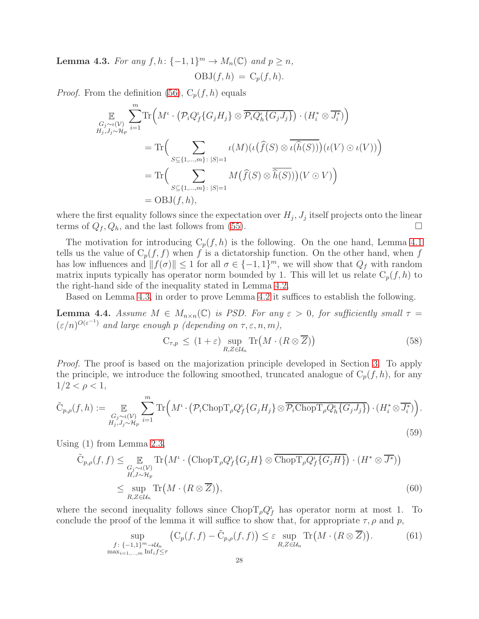<span id="page-27-0"></span>**Lemma 4.3.** For any  $f, h: \{-1, 1\}^m \to M_n(\mathbb{C})$  and  $p \ge n$ ,  $OBJ(f, h) = C_p(f, h).$ 

*Proof.* From the definition [\(56\)](#page-26-3),  $C_p(f, h)$  equals

$$
\mathbb{E}_{G_j \sim \iota(V) \atop H_j, J_j \sim \mathcal{H}_p} \sum_{i=1}^m \text{Tr}\Big(M^{\iota} \cdot \left(\mathcal{P}_i Q_f^{\iota}\{G_j H_j\} \otimes \overline{\mathcal{P}_i Q_h^{\iota}\{G_j J_j\}}\right) \cdot (H_i^* \otimes \overline{J_i^*})\Big)
$$
\n
$$
= \text{Tr}\Big(\sum_{S \subseteq \{1, \dots, m\} : |S| = 1} \iota(M) \big(\iota(\widehat{f}(S) \otimes \overline{\iota(\widehat{h}(S))}\big) \big(\iota(V) \odot \iota(V)\big)\Big)
$$
\n
$$
= \text{Tr}\Big(\sum_{S \subseteq \{1, \dots, m\} : |S| = 1} M\big(\widehat{f}(S) \otimes \overline{\widehat{h}(S)}\big) \big)(V \odot V)\Big)
$$
\n
$$
= \text{OBJ}(f, h),
$$

where the first equality follows since the expectation over  $H_j$ ,  $J_j$  itself projects onto the linear terms of  $Q_f, Q_h$ , and the last follows from [\(55\)](#page-26-0).

The motivation for introducing  $C_p(f, h)$  is the following. On the one hand, Lemma [4.1](#page-26-4) tells us the value of  $C_p(f, f)$  when f is a dictatorship function. On the other hand, when f has low influences and  $||f(\sigma)|| \le 1$  for all  $\sigma \in \{-1, 1\}^m$ , we will show that  $Q_f$  with random matrix inputs typically has operator norm bounded by 1. This will let us relate  $C_p(f, h)$  to the right-hand side of the inequality stated in Lemma [4.2.](#page-26-1)

Based on Lemma [4.3,](#page-27-0) in order to prove Lemma [4.2](#page-26-1) it suffices to establish the following.

<span id="page-27-3"></span>**Lemma 4.4.** Assume  $M \in M_{n \times n}(\mathbb{C})$  is PSD. For any  $\varepsilon > 0$ , for sufficiently small  $\tau =$  $(\varepsilon/n)^{O(\varepsilon^{-1})}$  and large enough p (depending on  $\tau, \varepsilon, n, m$ ),

<span id="page-27-1"></span>
$$
C_{\tau,p} \le (1+\varepsilon) \sup_{R,Z \in \mathcal{U}_n} \text{Tr}\big(M \cdot (R \otimes \overline{Z})\big) \tag{58}
$$

Proof. The proof is based on the majorization principle developed in Section [3.](#page-15-0) To apply the principle, we introduce the following smoothed, truncated analogue of  $C_p(f, h)$ , for any  $1/2 < \rho < 1$ ,

$$
\tilde{C}_{p,\rho}(f,h) := \mathop{\mathbb{E}}_{\substack{G_j \sim \iota(\mathcal{V}) \\ H_j, J_j \sim \mathcal{H}_p}} \sum_{i=1}^m \text{Tr}\Big(M^{\iota} \cdot \left(\mathcal{P}_i \text{Chop} T_{\rho} Q_f^{\iota} \{G_j H_j\} \otimes \overline{\mathcal{P}_i \text{Chop} T_{\rho} Q_h^{\iota} \{G_j J_j\}}\right) \cdot \left(H_i^* \otimes \overline{J_i^*}\right)\Big).
$$
\n(59)

Using (1) from Lemma [2.3,](#page-12-1)

$$
\tilde{C}_{p,\rho}(f,f) \leq \mathop{\mathbb{E}}_{\substack{G_j \sim \iota(\mathcal{V}) \\ H, J \sim \mathcal{H}_p}} \text{Tr}\left(M^{\iota} \cdot (\text{Chop}T_{\rho}Q_f^{\iota}\{G_j H\} \otimes \overline{\text{Chop}T_{\rho}Q_f^{\iota}\{G_j H\}}) \cdot (H^* \otimes \overline{J^*})\right)
$$
\n
$$
\leq \sup_{R,Z \in \mathcal{U}_n} \text{Tr}\left(M \cdot (R \otimes \overline{Z})\right),\tag{60}
$$

where the second inequality follows since  $\text{Chop} T_{\rho} Q_f^{\iota}$  has operator norm at most 1. To conclude the proof of the lemma it will suffice to show that, for appropriate  $\tau$ ,  $\rho$  and  $p$ ,

<span id="page-27-2"></span>
$$
\sup_{\substack{f:\{-1,1\}^m\to\mathcal{U}_n\\max_{i=1,\dots,m}\text{Inf}_i f\le\tau}} \left(C_p(f,f)-\tilde{C}_{p,\rho}(f,f)\right)\le\varepsilon \sup_{R,Z\in\mathcal{U}_n} \text{Tr}\left(M\cdot(R\otimes\overline{Z})\right). \tag{61}
$$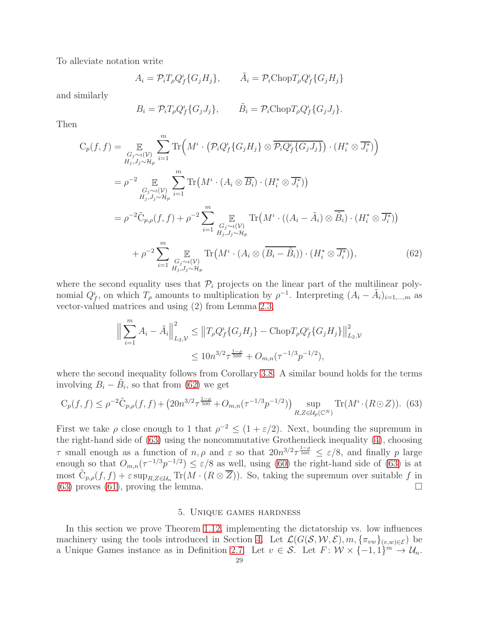To alleviate notation write

$$
A_i = \mathcal{P}_i T_\rho Q_f^{\iota} \{ G_j H_j \}, \qquad \tilde{A}_i = \mathcal{P}_i \text{Chop} T_\rho Q_f^{\iota} \{ G_j H_j \}
$$

and similarly

$$
B_i = \mathcal{P}_i T_\rho Q_f^i \{ G_j J_j \}, \qquad \tilde{B}_i = \mathcal{P}_i \text{Chop} T_\rho Q_f^i \{ G_j J_j \}.
$$

Then

$$
C_p(f, f) = \mathop{\mathbb{E}}_{\substack{G_j \sim \iota(\mathcal{V}) \\ H_j, J_j \sim \mathcal{H}_p}} \sum_{i=1}^m \text{Tr}\Big(M^{\iota} \cdot \left(\mathcal{P}_i Q_f^{\iota}\{G_j H_j\} \otimes \overline{\mathcal{P}_i Q_f^{\iota}\{G_j J_j\}}\right) \cdot (H_i^* \otimes \overline{J_i^*})\Big)
$$
  
\n
$$
= \rho^{-2} \mathop{\mathbb{E}}_{\substack{G_j \sim \iota(\mathcal{V}) \\ H_j, J_j \sim \mathcal{H}_p}} \sum_{i=1}^m \text{Tr}\Big(M^{\iota} \cdot (A_i \otimes \overline{B_i}) \cdot (H_i^* \otimes \overline{J_i^*})\Big)
$$
  
\n
$$
= \rho^{-2} \tilde{C}_{p,\rho}(f, f) + \rho^{-2} \sum_{i=1}^m \mathop{\mathbb{E}}_{\substack{G_j \sim \iota(\mathcal{V}) \\ H_j, J_j \sim \mathcal{H}_p}} \text{Tr}\Big(M^{\iota} \cdot ((A_i - \tilde{A}_i) \otimes \overline{\tilde{B}_i}) \cdot (H_i^* \otimes \overline{J_i^*})\Big)
$$
  
\n
$$
+ \rho^{-2} \sum_{i=1}^m \mathop{\mathbb{E}}_{\substack{G_j \sim \iota(\mathcal{V}) \\ H_j, J_j \sim \mathcal{H}_p}} \text{Tr}\Big(M^{\iota} \cdot (A_i \otimes (\overline{B_i - \tilde{B}_i})) \cdot (H_i^* \otimes \overline{J_i^*})\Big), \tag{62}
$$

where the second equality uses that  $\mathcal{P}_i$  projects on the linear part of the multilinear polynomial  $Q_f^{\iota}$ , on which  $T_{\rho}$  amounts to multiplication by  $\rho^{-1}$ . Interpreting  $(A_i - \tilde{A}_i)_{i=1,\dots,m}$  as vector-valued matrices and using (2) from Lemma [2.3,](#page-12-1)

<span id="page-28-1"></span>
$$
\left\| \sum_{i=1}^{m} A_i - \tilde{A}_i \right\|_{L_2, \mathcal{V}}^2 \leq \left\| T_\rho Q_f^{\iota} \{ G_j H_j \} - \text{Chop} T_\rho Q_f^{\iota} \{ G_j H_j \} \right\|_{L_2, \mathcal{V}}^2
$$
  

$$
\leq 10 n^{3/2} \tau^{\frac{1-\rho}{500}} + O_{m,n}(\tau^{-1/3} p^{-1/2}),
$$

where the second inequality follows from Corollary [3.8.](#page-23-0) A similar bound holds for the terms involving  $B_i - \tilde{B}_i$ , so that from [\(62\)](#page-28-1) we get

<span id="page-28-2"></span>
$$
C_p(f, f) \le \rho^{-2} \tilde{C}_{p,\rho}(f, f) + (20n^{3/2} \tau^{\frac{1-\rho}{500}} + O_{m,n}(\tau^{-1/3} p^{-1/2})) \sup_{R, Z \in \mathcal{U}_p(\mathbb{C}^N)} \text{Tr}(M^{\iota} \cdot (R \odot Z)). \tag{63}
$$

First we take  $\rho$  close enough to 1 that  $\rho^{-2} \leq (1 + \varepsilon/2)$ . Next, bounding the supremum in the right-hand side of [\(63\)](#page-28-2) using the noncommutative Grothendieck inequality [\(4\)](#page-5-0), choosing  $\tau$  small enough as a function of  $n, \rho$  and  $\varepsilon$  so that  $20n^{3/2}\tau^{\frac{1-\rho}{500}} \leq \varepsilon/8$ , and finally p large enough so that  $O_{m,n}(\tau^{-1/3}p^{-1/2}) \leq \varepsilon/8$  as well, using [\(60\)](#page-27-1) the right-hand side of [\(63\)](#page-28-2) is at most  $\tilde{C}_{p,\rho}(f, f) + \varepsilon \sup_{R,Z \in \mathcal{U}_n} \text{Tr}(M \cdot (R \otimes \overline{Z}))$ . So, taking the supremum over suitable f in [\(63\)](#page-28-2) proves [\(61\)](#page-27-2), proving the lemma.  $\square$ 

## 5. Unique games hardness

<span id="page-28-0"></span>In this section we prove Theorem [1.12,](#page-6-1) implementing the dictatorship vs. low influences machinery using the tools introduced in Section [4.](#page-26-5) Let  $\mathcal{L}(G(\mathcal{S}, \mathcal{W}, \mathcal{E}), m, {\{\pi_{vw}\}}_{(v,w)\in \mathcal{E}})$  be a Unique Games instance as in Definition [2.7.](#page-15-4) Let  $v \in S$ . Let  $F: \mathcal{W} \times \{-1,1\}^m \to \mathcal{U}_n$ .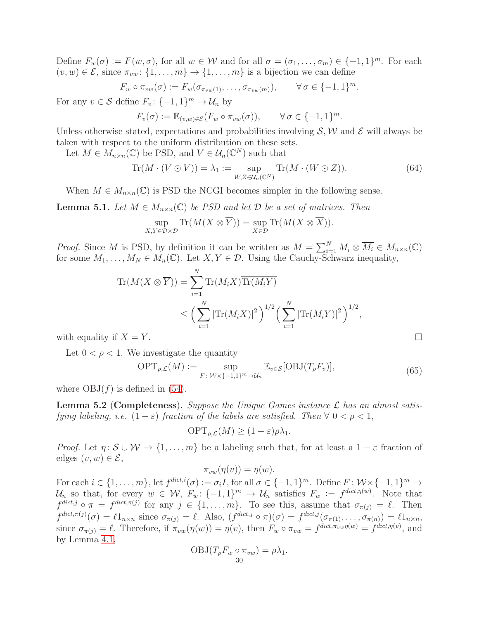Define  $F_w(\sigma) := F(w, \sigma)$ , for all  $w \in \mathcal{W}$  and for all  $\sigma = (\sigma_1, \ldots, \sigma_m) \in \{-1, 1\}^m$ . For each  $(v, w) \in \mathcal{E}$ , since  $\pi_{vw}$ :  $\{1, \ldots, m\} \to \{1, \ldots, m\}$  is a bijection we can define

$$
F_w \circ \pi_{vw}(\sigma) := F_w(\sigma_{\pi_{vw}(1)}, \ldots, \sigma_{\pi_{vw}(m)}), \qquad \forall \sigma \in \{-1, 1\}^m.
$$

For any  $v \in \mathcal{S}$  define  $F_v: \{-1, 1\}^m \to \mathcal{U}_n$  by

$$
F_v(\sigma) := \mathbb{E}_{(v,w)\in\mathcal{E}}(F_w \circ \pi_{vw}(\sigma)), \qquad \forall \sigma \in \{-1,1\}^m.
$$

Unless otherwise stated, expectations and probabilities involving  $S, W$  and  $\mathcal E$  will always be taken with respect to the uniform distribution on these sets.

Let  $M \in M_{n \times n}(\mathbb{C})$  be PSD, and  $V \in \mathcal{U}_n(\mathbb{C}^N)$  such that

$$
\operatorname{Tr}(M \cdot (V \odot V)) = \lambda_1 := \sup_{W, Z \in \mathcal{U}_n(\mathbb{C}^N)} \operatorname{Tr}(M \cdot (W \odot Z)). \tag{64}
$$

When  $M \in M_{n \times n}(\mathbb{C})$  is PSD the NCGI becomes simpler in the following sense.

**Lemma 5.1.** Let  $M \in M_{n \times n}(\mathbb{C})$  be PSD and let  $\mathcal{D}$  be a set of matrices. Then

$$
\sup_{X,Y\in\mathcal{D}\times\mathcal{D}}\operatorname{Tr}(M(X\otimes\overline{Y}))=\sup_{X\in\mathcal{D}}\operatorname{Tr}(M(X\otimes\overline{X})).
$$

*Proof.* Since M is PSD, by definition it can be written as  $M = \sum_{i=1}^{N} M_i \otimes \overline{M_i} \in M_{n \times n}(\mathbb{C})$ for some  $M_1, \ldots, M_N \in M_n(\mathbb{C})$ . Let  $X, Y \in \mathcal{D}$ . Using the Cauchy-Schwarz inequality,

$$
\operatorname{Tr}(M(X \otimes \overline{Y})) = \sum_{i=1}^{N} \operatorname{Tr}(M_{i}X) \overline{\operatorname{Tr}(M_{i}Y)}
$$
  

$$
\leq \left(\sum_{i=1}^{N} |\operatorname{Tr}(M_{i}X)|^{2}\right)^{1/2} \left(\sum_{i=1}^{N} |\operatorname{Tr}(M_{i}Y)|^{2}\right)^{1/2},
$$

with equality if  $X = Y$ .

Let  $0 < \rho < 1$ . We investigate the quantity

<span id="page-29-0"></span>
$$
\text{OPT}_{\rho,\mathcal{L}}(M) := \sup_{F: \ \mathcal{W}\times\{-1,1\}^m \to \mathcal{U}_n} \mathbb{E}_{v \in \mathcal{S}}[\text{OBJ}(T_{\rho}F_v)],\tag{65}
$$

where  $OBJ(f)$  is defined in [\(54\)](#page-26-2).

<span id="page-29-1"></span>**Lemma 5.2 (Completeness).** Suppose the Unique Games instance  $\mathcal{L}$  has an almost satisfying labeling, i.e.  $(1 - \varepsilon)$  fraction of the labels are satisfied. Then  $\forall$  0 <  $\rho$  < 1,

$$
\text{OPT}_{\rho,\mathcal{L}}(M) \ge (1-\varepsilon)\rho\lambda_1.
$$

*Proof.* Let  $\eta: \mathcal{S} \cup \mathcal{W} \to \{1, \ldots, m\}$  be a labeling such that, for at least a  $1 - \varepsilon$  fraction of edges  $(v, w) \in \mathcal{E}$ ,

 $\pi_{vw}(\eta(v)) = \eta(w).$ 

For each  $i \in \{1, \ldots, m\}$ , let  $f^{dict,i}(\sigma) := \sigma_i I$ , for all  $\sigma \in \{-1, 1\}^m$ . Define  $F: \mathcal{W} \times \{-1, 1\}^m \to$  $\mathcal{U}_n$  so that, for every  $w \in \mathcal{W}, F_w: \{-1,1\}^m \to \mathcal{U}_n$  satisfies  $F_w := f^{\text{dict},\eta(w)}$ . Note that  $f^{dict,j} \circ \pi = f^{dict,\pi(j)}$  for any  $j \in \{1,\ldots,m\}$ . To see this, assume that  $\sigma_{\pi(j)} = \ell$ . Then  $f^{dict,\pi(j)}(\sigma) = \ell 1_{n \times n}$  since  $\sigma_{\pi(j)} = \ell$ . Also,  $(f^{dict,j} \circ \pi)(\sigma) = f^{dict,j}(\sigma_{\pi(1)}, \ldots, \sigma_{\pi(n)}) = \ell 1_{n \times n}$ , since  $\sigma_{\pi(j)} = \ell$ . Therefore, if  $\pi_{vw}(\eta(w)) = \eta(v)$ , then  $F_w \circ \pi_{vw} = f^{\text{dict},\pi_{vw}\eta(w)} = f^{\text{dict},\eta(v)}$ , and by Lemma [4.1,](#page-26-4)

$$
OBJ(T_{\rho}F_w \circ \pi_{vw}) = \rho \lambda_1.
$$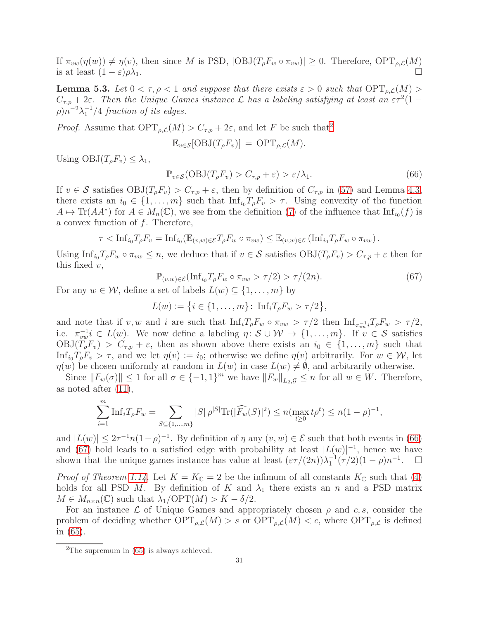If  $\pi_{vw}(\eta(w)) \neq \eta(v)$ , then since M is PSD,  $|\text{OBJ}(T_{\rho}F_w \circ \pi_{vw})| \geq 0$ . Therefore,  $\text{OPT}_{\rho,\mathcal{L}}(M)$ <br>is at least  $(1 - \varepsilon)\rho\lambda_1$ is at least  $(1 - \varepsilon)\rho\lambda_1$ .

<span id="page-30-3"></span>**Lemma 5.3.** Let  $0 < \tau, \rho < 1$  and suppose that there exists  $\varepsilon > 0$  such that  $\text{OPT}_{\rho,\mathcal{L}}(M)$  $C_{\tau,p} + 2\varepsilon$ . Then the Unique Games instance  $\mathcal L$  has a labeling satisfying at least an  $\varepsilon \tau^2 (1 (\rho)n^{-2}\lambda_1^{-1}/4$  fraction of its edges.

*Proof.* Assume that  $\text{OPT}_{\rho,\mathcal{L}}(M) > C_{\tau,p} + 2\varepsilon$  $\text{OPT}_{\rho,\mathcal{L}}(M) > C_{\tau,p} + 2\varepsilon$  $\text{OPT}_{\rho,\mathcal{L}}(M) > C_{\tau,p} + 2\varepsilon$ , and let F be such that<sup>2</sup>

$$
\mathbb{E}_{v \in \mathcal{S}}[\mathrm{OBJ}(T_{\rho}F_v)] = \mathrm{OPT}_{\rho, \mathcal{L}}(M).
$$

Using  $OBJ(T_oF_v) \leq \lambda_1$ ,

<span id="page-30-1"></span>
$$
\mathbb{P}_{v \in \mathcal{S}}(\text{OBJ}(T_{\rho}F_v) > C_{\tau, p} + \varepsilon) > \varepsilon/\lambda_1. \tag{66}
$$

If  $v \in \mathcal{S}$  satisfies  $\text{OBJ}(T_pF_v) > C_{\tau,p} + \varepsilon$ , then by definition of  $C_{\tau,p}$  in [\(57\)](#page-26-6) and Lemma [4.3,](#page-27-0) there exists an  $i_0 \in \{1, \ldots, m\}$  such that  $\text{Inf}_{i_0}T_{\rho}F_v > \tau$ . Using convexity of the function  $A \mapsto \text{Tr}(AA^*)$  for  $A \in M_n(\mathbb{C})$ , we see from the definition [\(7\)](#page-9-0) of the influence that  $\text{Inf}_{i_0}(f)$  is a convex function of  $f$ . Therefore,

$$
\tau < \mathrm{Inf}_{i_0} T_{\rho} F_v = \mathrm{Inf}_{i_0} (\mathbb{E}_{(v,w) \in \mathcal{E}} T_{\rho} F_w \circ \pi_{vw}) \leq \mathbb{E}_{(v,w) \in \mathcal{E}} (\mathrm{Inf}_{i_0} T_{\rho} F_w \circ \pi_{vw}).
$$

Using  $\text{Inf}_{i_0} T_{\rho} F_w \circ \pi_{vw} \leq n$ , we deduce that if  $v \in \mathcal{S}$  satisfies  $\text{OBJ}(T_{\rho} F_v) > C_{\tau,p} + \varepsilon$  then for this fixed  $v$ ,

<span id="page-30-2"></span>
$$
\mathbb{P}_{(v,w)\in\mathcal{E}}(\text{Inf}_{i_0}T_{\rho}F_w\circ\pi_{vw}>\tau/2)>\tau/(2n). \tag{67}
$$

For any  $w \in \mathcal{W}$ , define a set of labels  $L(w) \subseteq \{1, \ldots, m\}$  by

$$
L(w) := \big\{ i \in \{1, \ldots, m\} \colon \, \text{Inf}_i T_{\rho} F_w > \tau/2 \big\},
$$

and note that if v, w and i are such that  $\text{Inf}_{i}T_{\rho}F_{w} \circ \pi_{vw} > \tau/2$  then  $\text{Inf}_{\pi_{vw}^{-1}}T_{\rho}F_{w} > \tau/2$ , i.e.  $\pi_{vw}^{-1}i \in L(w)$ . We now define a labeling  $\eta \colon \mathcal{S} \cup \mathcal{W} \to \{1, \ldots, m\}$ . If  $v \in \mathcal{S}$  satisfies  $OBJ(T_\rho F_v) > C_{\tau,p} + \varepsilon$ , then as shown above there exists an  $i_0 \in \{1, \ldots, m\}$  such that Inf<sub>i<sub>0</sub>  $T_pF_v > \tau$ , and we let  $\eta(v) := i_0$ ; otherwise we define  $\eta(v)$  arbitrarily. For  $w \in \mathcal{W}$ , let</sub>  $\eta(w)$  be chosen uniformly at random in  $L(w)$  in case  $L(w) \neq \emptyset$ , and arbitrarily otherwise.

Since  $||F_w(\sigma)|| \leq 1$  for all  $\sigma \in \{-1, 1\}^m$  we have  $||F_w||_{L_2, \mathcal{G}} \leq n$  for all  $w \in W$ . Therefore, as noted after [\(11\)](#page-10-1),

$$
\sum_{i=1}^{m} \text{Inf}_{i} T_{\rho} F_{w} = \sum_{S \subseteq \{1, \dots, m\}} |S| \rho^{|S|} \text{Tr}(|\widehat{F_{w}}(S)|^{2}) \le n(\max_{t \ge 0} t \rho^{t}) \le n(1 - \rho)^{-1},
$$

and  $|L(w)| \leq 2\tau^{-1}n(1-\rho)^{-1}$ . By definition of  $\eta$  any  $(v, w) \in \mathcal{E}$  such that both events in [\(66\)](#page-30-1) and [\(67\)](#page-30-2) hold leads to a satisfied edge with probability at least  $|L(w)|^{-1}$ , hence we have shown that the unique games instance has value at least  $(\varepsilon \tau/(2n))\lambda_1^{-1}(\tau/2)(1-\rho)n^{-1}$  $\Box$ 

*Proof of Theorem [1.14.](#page-6-0)* Let  $K = K_{\mathbb{C}} = 2$  be the infimum of all constants  $K_{\mathbb{C}}$  such that [\(4\)](#page-5-0) holds for all PSD M. By definition of K and  $\lambda_1$  there exists an n and a PSD matrix  $M \in M_{n \times n}(\mathbb{C})$  such that  $\lambda_1/\text{OPT}(M) > K - \delta/2$ .

For an instance  $\mathcal L$  of Unique Games and appropriately chosen  $\rho$  and  $c, s$ , consider the problem of deciding whether  $\text{OPT}_{\rho,\mathcal{L}}(M) > s$  or  $\text{OPT}_{\rho,\mathcal{L}}(M) < c$ , where  $\text{OPT}_{\rho,\mathcal{L}}$  is defined in [\(65\)](#page-29-0).

<span id="page-30-0"></span><sup>&</sup>lt;sup>2</sup>The supremum in  $(65)$  is always achieved.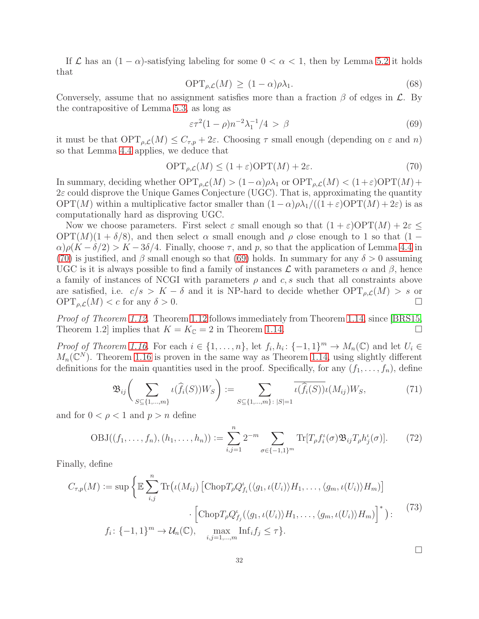If  $\mathcal L$  has an  $(1 - \alpha)$ -satisfying labeling for some  $0 < \alpha < 1$ , then by Lemma [5.2](#page-29-1) it holds that

$$
\text{OPT}_{\rho,\mathcal{L}}(M) \ge (1-\alpha)\rho\lambda_1. \tag{68}
$$

Conversely, assume that no assignment satisfies more than a fraction  $\beta$  of edges in  $\mathcal{L}$ . By the contrapositive of Lemma [5.3,](#page-30-3) as long as

<span id="page-31-1"></span>
$$
\varepsilon \tau^2 (1 - \rho) n^{-2} \lambda_1^{-1} / 4 > \beta \tag{69}
$$

it must be that  $\text{OPT}_{\rho,\mathcal{L}}(M) \leq C_{\tau,p} + 2\varepsilon$ . Choosing  $\tau$  small enough (depending on  $\varepsilon$  and  $n$ ) so that Lemma [4.4](#page-27-3) applies, we deduce that

<span id="page-31-0"></span>
$$
\text{OPT}_{\rho,\mathcal{L}}(M) \le (1+\varepsilon)\text{OPT}(M) + 2\varepsilon. \tag{70}
$$

In summary, deciding whether  $\text{OPT}_{\rho,\mathcal{L}}(M) > (1-\alpha)\rho\lambda_1$  or  $\text{OPT}_{\rho,\mathcal{L}}(M) < (1+\varepsilon)\text{OPT}(M) +$  $2\varepsilon$  could disprove the Unique Games Conjecture (UGC). That is, approximating the quantity  $\text{OPT}(M)$  within a multiplicative factor smaller than  $(1-\alpha)\rho\lambda_1/((1+\varepsilon)\text{OPT}(M)+2\varepsilon)$  is as computationally hard as disproving UGC.

Now we choose parameters. First select  $\varepsilon$  small enough so that  $(1 + \varepsilon) \text{OPT}(M) + 2\varepsilon \leq$  $OPT(M)(1 + \delta/8)$ , and then select  $\alpha$  small enough and  $\rho$  close enough to 1 so that  $(1 \alpha$ ) $\rho(K - \delta/2) > K - 3\delta/4$ . Finally, choose  $\tau$ , and p, so that the application of Lemma [4.4](#page-27-3) in [\(70\)](#page-31-0) is justified, and β small enough so that [\(69\)](#page-31-1) holds. In summary for any  $\delta > 0$  assuming UGC is it is always possible to find a family of instances  $\mathcal L$  with parameters  $\alpha$  and  $\beta$ , hence a family of instances of NCGI with parameters  $\rho$  and c, s such that all constraints above are satisfied, i.e.  $c/s > K - \delta$  and it is NP-hard to decide whether  $\text{OPT}_{\rho,\mathcal{L}}(M) > s$  or  $\text{OPT}_{\rho,\mathcal{L}}(M) < c$  for any  $\delta > 0$ .  $\text{OPT}_{\rho,\mathcal{L}}(M) < c$  for any  $\delta > 0$ .

Proof of Theorem [1.12.](#page-6-1) Theorem [1.12](#page-6-1) follows immediately from Theorem [1.14,](#page-6-0) since [\[BRS15,](#page-36-10) Theorem 1.2] implies that  $K = K_{\mathbb{C}} = 2$  in Theorem [1.14.](#page-6-0)

Proof of Theorem [1.16.](#page-7-0) For each  $i \in \{1, \ldots, n\}$ , let  $f_i, h_i: \{-1, 1\}^m \to M_n(\mathbb{C})$  and let  $U_i \in$  $M_n(\mathbb{C}^N)$ . Theorem [1.16](#page-7-0) is proven in the same way as Theorem [1.14,](#page-6-0) using slightly different definitions for the main quantities used in the proof. Specifically, for any  $(f_1, \ldots, f_n)$ , define

$$
\mathfrak{B}_{ij}\bigg(\sum_{S \subseteq \{1,\dots,m\}} \iota(\widehat{f}_i(S))W_S\bigg) := \sum_{S \subseteq \{1,\dots,m\}:\ |S|=1} \overline{\iota(\widehat{f}_i(S))} \iota(M_{ij})W_S,\tag{71}
$$

and for  $0 < \rho < 1$  and  $p > n$  define

$$
OBJ((f_1, ..., f_n), (h_1, ..., h_n)) := \sum_{i,j=1}^n 2^{-m} \sum_{\sigma \in \{-1,1\}^m} \text{Tr}[T_{\rho} f_i^{\iota}(\sigma) \mathfrak{B}_{ij} T_{\rho} h_j^{\iota}(\sigma)].
$$
 (72)

Finally, define

$$
C_{\tau,p}(M) := \sup \left\{ \mathbb{E} \sum_{i,j}^{n} \text{Tr} \left( \iota(M_{ij}) \left[ \text{Chop} T_{\rho} Q_{f_i}^{\iota}(\langle g_1, \iota(U_i) \rangle H_1, \dots, \langle g_m, \iota(U_i) \rangle H_m) \right] \right. \\ \left. \qquad \qquad \cdot \left[ \text{Chop} T_{\rho} Q_{f_j}^{\iota}(\langle g_1, \iota(U_i) \rangle H_1, \dots, \langle g_m, \iota(U_i) \rangle H_m) \right]^* \right) : \qquad (73)
$$
  

$$
f_i : \{-1, 1\}^m \to \mathcal{U}_n(\mathbb{C}), \quad \max_{i,j=1,\dots,m} \text{Inf}_i f_j \leq \tau \}.
$$

 $\Box$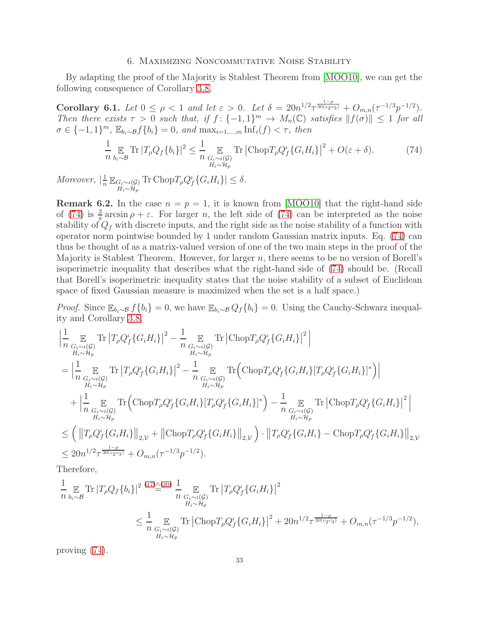## 6. Maximizing Noncommutative Noise Stability

<span id="page-32-0"></span>By adapting the proof of the Majority is Stablest Theorem from [\[MOO10\]](#page-37-1), we can get the following consequence of Corollary [3.8.](#page-23-0)

Corollary 6.1. Let  $0 \le \rho < 1$  and let  $\varepsilon > 0$ . Let  $\delta = 20n^{1/2} \tau^{\frac{1-\rho}{30(c_2c_3)}} + O_{m,n}(\tau^{-1/3}p^{-1/2})$ . Then there exists  $\tau > 0$  such that, if  $f: \{-1,1\}^m \to M_n(\mathbb{C})$  satisfies  $||f(\sigma)|| \leq 1$  for all  $\sigma \in \{-1, 1\}^m$ ,  $\mathbb{E}_{b_i \sim \mathcal{B}} f\{b_i\} = 0$ , and  $\max_{i=1,\dots,m} \inf_i(f) < \tau$ , then

<span id="page-32-1"></span>
$$
\frac{1}{n} \mathop{\mathbb{E}}_{b_i \sim \mathcal{B}} \text{Tr} |T_{\rho} Q_f \{b_i\}|^2 \le \frac{1}{n} \mathop{\mathbb{E}}_{\substack{G_i \sim \iota(\mathcal{G}) \\ H_i \sim \mathcal{H}_p}} \text{Tr} |\text{Chop} T_{\rho} Q_f^{\iota} \{G_i H_i\}|^2 + O(\varepsilon + \delta). \tag{74}
$$

Moreover,  $\left| \frac{1}{n} \mathbb{E}_{G_i \sim \iota(G)} \right|$  $H_i \sim H_p$ Tr Chop $T_{\rho}Q_f^{\iota}\{G_iH_i\}|\leq \delta$ .

**Remark 6.2.** In the case  $n = p = 1$ , it is known from [\[MOO10\]](#page-37-1) that the right-hand side of [\(74\)](#page-32-1) is  $\frac{2}{\pi} \arcsin \rho + \varepsilon$ . For larger *n*, the left side of (74) can be interpreted as the noise stability of  $Q_f$  with discrete inputs, and the right side as the noise stability of a function with operator norm pointwise bounded by 1 under random Gaussian matrix inputs. Eq. [\(74\)](#page-32-1) can thus be thought of as a matrix-valued version of one of the two main steps in the proof of the Majority is Stablest Theorem. However, for larger  $n$ , there seems to be no version of Borell's isoperimetric inequality that describes what the right-hand side of [\(74\)](#page-32-1) should be. (Recall that Borell's isoperimetric inequality states that the noise stability of a subset of Euclidean space of fixed Gaussian measure is maximized when the set is a half space.)

*Proof.* Since  $\mathbb{E}_{b_i \sim \mathcal{B}} f\{b_i\} = 0$ , we have  $\mathbb{E}_{b_i \sim \mathcal{B}} Q_f\{b_i\} = 0$ . Using the Cauchy-Schwarz inequality and Corollary [3.8,](#page-23-0)

$$
\begin{split}\n&\Big|\frac{1}{n}\mathop{\mathbb{E}}_{\substack{G_i \sim \iota(G) \\ H_i \sim \mathcal{H}_p}} \mathrm{Tr} \left|T_{\rho} Q_f^{\iota} \{G_i H_i\}\right|^2 - \frac{1}{n}\mathop{\mathbb{E}}_{\substack{G_i \sim \iota(G) \\ H_i \sim \mathcal{H}_p}} \mathrm{Tr} \left|\mathrm{Chop} T_{\rho} Q_f^{\iota} \{G_i H_i\}\right|^2\Big| \\
&= \Big|\frac{1}{n}\mathop{\mathbb{E}}_{\substack{G_i \sim \iota(G) \\ H_i \sim \mathcal{H}_p}} \mathrm{Tr} \left|T_{\rho} Q_f^{\iota} \{G_i H_i\}\right|^2 - \frac{1}{n}\mathop{\mathbb{E}}_{\substack{G_i \sim \iota(G) \\ H_i \sim \mathcal{H}_p}} \mathrm{Tr}\left(\mathrm{Chop} T_{\rho} Q_f^{\iota} \{G_i H_i\} [T_{\rho} Q_f^{\iota} \{G_i H_i\}]^*\right)\Big| \\
&+ \Big|\frac{1}{n}\mathop{\mathbb{E}}_{\substack{G_i \sim \iota(G) \\ H_i \sim \mathcal{H}_p}} \mathrm{Tr}\left(\mathrm{Chop} T_{\rho} Q_f^{\iota} \{G_i H_i\} [T_{\rho} Q_f^{\iota} \{G_i H_i\}]^*\right) - \frac{1}{n}\mathop{\mathbb{E}}_{\substack{G_i \sim \iota(G) \\ H_i \sim \mathcal{H}_p}} \mathrm{Tr}\left|\mathrm{Chop} T_{\rho} Q_f^{\iota} \{G_i H_i\}\right|^2\Big| \\
&\leq \Big(\left\|T_{\rho} Q_f^{\iota} \{G_i H_i\}\right\|_{2, \mathcal{V}} + \left\|\mathrm{Chop} T_{\rho} Q_f^{\iota} \{G_i H_i\}\right\|_{2, \mathcal{V}}\Big) \cdot \left\|T_{\rho} Q_f^{\iota} \{G_i H_i\} - \mathrm{Chop} T_{\rho} Q_f^{\iota} \{G_i H_i\}\right\|_{2, \mathcal{V}} \\
&\leq 20n^{1/2}\tau^{\frac{1-\rho}{30(c_2c_3)}} + O_{m,n}(\tau^{-1/3}p^{-1/2}).\n\end{split}
$$

Therefore,

$$
\frac{1}{n} \mathop{\mathbb{E}}_{b_i \sim \mathcal{B}} \text{Tr} |T_{\rho} Q_f \{b_i\}|^2 \stackrel{(17)\wedge(20)}{=} \frac{1}{n} \mathop{\mathbb{E}}_{G_i \sim \iota(\mathcal{G})} \text{Tr} |T_{\rho} Q_f^{\iota} \{G_i H_i\}|^2
$$
\n
$$
\leq \frac{1}{n} \mathop{\mathbb{E}}_{G_i \sim \iota(\mathcal{G})} \text{Tr} |\text{Chop} T_{\rho} Q_f^{\iota} \{G_i H_i\}|^2 + 20n^{1/2} \tau^{\frac{1-\rho}{30(c_2 c_3)}} + O_{m,n}(\tau^{-1/3} p^{-1/2}),
$$

proving [\(74\)](#page-32-1).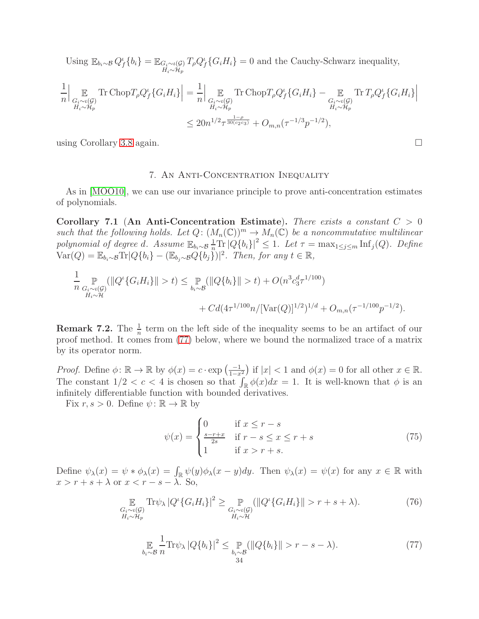Using  $\mathbb{E}_{b_i \sim \mathcal{B}} Q_f^{\iota} \{b_i\} = \mathbb{E}_{G_i \sim \iota(\mathcal{G})}$  $H_i \sim H_p$  $T_{\rho}Q_{f}^{\iota}\{G_{i}H_{i}\}=0$  and the Cauchy-Schwarz inequality,

$$
\frac{1}{n} \Big| \mathop{\mathbb{E}}_{\substack{G_i \sim \iota(\mathcal{G}) \\ H_i \sim \mathcal{H}_p}} \text{Tr} \operatorname{Chop} T_{\rho} Q_f^{\iota} \{ G_i H_i \} \Big| = \frac{1}{n} \Big| \mathop{\mathbb{E}}_{\substack{G_i \sim \iota(\mathcal{G}) \\ H_i \sim \mathcal{H}_p}} \text{Tr} \operatorname{Chop} T_{\rho} Q_f^{\iota} \{ G_i H_i \} - \mathop{\mathbb{E}}_{\substack{G_i \sim \iota(\mathcal{G}) \\ H_i \sim \mathcal{H}_p}} \text{Tr} T_{\rho} Q_f^{\iota} \{ G_i H_i \} \Big|
$$
  

$$
\leq 20n^{1/2} \tau^{\frac{1-\rho}{30(c_2 c_3)}} + O_{m,n}(\tau^{-1/3} p^{-1/2}),
$$

<span id="page-33-0"></span>using Corollary [3.8](#page-23-0) again.

#### 7. An Anti-Concentration Inequality

As in [\[MOO10\]](#page-37-1), we can use our invariance principle to prove anti-concentration estimates of polynomials.

<span id="page-33-4"></span>Corollary 7.1 (An Anti-Concentration Estimate). There exists a constant  $C > 0$ such that the following holds. Let  $Q: (M_n(\mathbb{C}))^m \to M_n(\mathbb{C})$  be a noncommutative multilinear polynomial of degree d. Assume  $\mathbb{E}_{b_i \sim \mathcal{B}} \frac{1}{n} \text{Tr} |Q\{b_i\}|^2 \leq 1$ . Let  $\tau = \max_{1 \leq j \leq m} \text{Inf}_j(Q)$ . Define  $\text{Var}(Q) = \mathbb{E}_{b_i \sim \mathcal{B}} \text{Tr} |Q\{b_i\} - (\mathbb{E}_{b_j \sim \mathcal{B}} Q\{b_j\})|^2$ . Then, for any  $t \in \mathbb{R}$ ,

$$
\frac{1}{n} \sup_{\substack{G_i \sim t(\mathcal{G}) \\ H_i \sim \mathcal{H}}} (\|Q^{\iota}\{G_i H_i\}\| > t) \le \sup_{b_i \sim \mathcal{B}} (\|Q\{b_i\}\| > t) + O(n^3 c_3^d \tau^{1/100}) + C d(4\tau^{1/100} n / [\text{Var}(Q)]^{1/2})^{1/d} + O_{m,n}(\tau^{-1/100} p^{-1/2}).
$$

**Remark 7.2.** The  $\frac{1}{n}$  term on the left side of the inequality seems to be an artifact of our proof method. It comes from [\(77\)](#page-33-1) below, where we bound the normalized trace of a matrix by its operator norm.

*Proof.* Define  $\phi: \mathbb{R} \to \mathbb{R}$  by  $\phi(x) = c \cdot \exp\left(\frac{-1}{1-x^2}\right)$ ) if  $|x| < 1$  and  $\phi(x) = 0$  for all other  $x \in \mathbb{R}$ . The constant  $1/2 < c < 4$  is chosen so that  $\int_{\mathbb{R}} \phi(x) dx = 1$ . It is well-known that  $\phi$  is an infinitely differentiable function with bounded derivatives.

Fix  $r, s > 0$ . Define  $\psi : \mathbb{R} \to \mathbb{R}$  by

<span id="page-33-3"></span>
$$
\psi(x) = \begin{cases}\n0 & \text{if } x \le r - s \\
\frac{s - r + x}{2s} & \text{if } r - s \le x \le r + s \\
1 & \text{if } x > r + s.\n\end{cases}
$$
\n(75)

Define  $\psi_{\lambda}(x) = \psi * \phi_{\lambda}(x) = \int_{\mathbb{R}} \psi(y) \phi_{\lambda}(x - y) dy$ . Then  $\psi_{\lambda}(x) = \psi(x)$  for any  $x \in \mathbb{R}$  with  $x > r + s + \lambda$  or  $x < r - s - \lambda$ . So,

<span id="page-33-2"></span>
$$
\mathop{\mathbb{E}}_{\substack{G_i \sim \iota(\mathcal{G}) \\ H_i \sim \mathcal{H}_p}} \text{Tr}\psi_{\lambda} \left| Q^{\iota} \{ G_i H_i \} \right|^2 \geq \mathop{\mathbb{P}}_{\substack{G_i \sim \iota(\mathcal{G}) \\ H_i \sim \mathcal{H}}} (\left\| Q^{\iota} \{ G_i H_i \} \right\| > r + s + \lambda). \tag{76}
$$

<span id="page-33-1"></span>
$$
\mathop{\mathbb{E}}_{b_i \sim \mathcal{B}} \frac{1}{n} \text{Tr} \psi_\lambda |Q\{b_i\}|^2 \le \mathop{\mathbb{P}}_{\substack{b_i \sim \mathcal{B} \\ 34}} (\|Q\{b_i\}\| > r - s - \lambda). \tag{77}
$$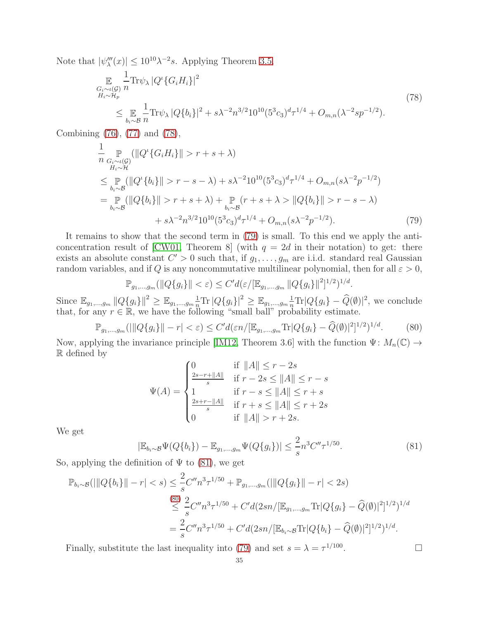Note that  $|\psi_{\lambda}'''(x)| \leq 10^{10} \lambda^{-2} s$ . Applying Theorem [3.5,](#page-19-0)

<span id="page-34-0"></span>
$$
\mathbb{E}_{\substack{G_i \sim \iota(G) \\ H_i \sim \mathcal{H}_p}} \frac{1}{n} \text{Tr} \psi_{\lambda} |Q^{\iota} \{ G_i H_i \} |^2
$$
\n
$$
\leq \mathbb{E}_{\substack{b_i \sim \mathcal{B} \\ h_i \sim \mathcal{B}}} \frac{1}{n} \text{Tr} \psi_{\lambda} |Q \{ b_i \} |^2 + s \lambda^{-2} n^{3/2} 10^{10} (5^3 c_3)^d \tau^{1/4} + O_{m,n} (\lambda^{-2} s p^{-1/2}).
$$
\n(78)

Combining [\(76\)](#page-33-2), [\(77\)](#page-33-1) and [\(78\)](#page-34-0),

$$
\frac{1}{n} \sup_{\substack{G_i \sim t(\mathcal{G}) \\ H_i \sim \mathcal{H}}} (\|Q^{\iota}\{G_i H_i\}\| > r + s + \lambda)
$$
\n
$$
\leq \sup_{b_i \sim \mathcal{B}} (\|Q^{\iota}\{b_i\}\| > r - s - \lambda) + s\lambda^{-2} 10^{10} (5^3 c_3)^d \tau^{1/4} + O_{m,n}(s\lambda^{-2} p^{-1/2})
$$
\n
$$
= \sup_{b_i \sim \mathcal{B}} (\|Q\{b_i\}\| > r + s + \lambda) + \sup_{b_i \sim \mathcal{B}} (r + s + \lambda) \|Q\{b_i\}\| > r - s - \lambda)
$$
\n
$$
+ s\lambda^{-2} n^{3/2} 10^{10} (5^3 c_3)^d \tau^{1/4} + O_{m,n}(s\lambda^{-2} p^{-1/2}). \tag{79}
$$

It remains to show that the second term in [\(79\)](#page-34-1) is small. To this end we apply the anti-concentration result of [\[CW01,](#page-36-22) Theorem 8] (with  $q = 2d$  in their notation) to get: there exists an absolute constant  $C' > 0$  such that, if  $g_1, \ldots, g_m$  are i.i.d. standard real Gaussian random variables, and if Q is any noncommutative multilinear polynomial, then for all  $\varepsilon > 0$ ,

<span id="page-34-1"></span>
$$
\mathbb{P}_{g_1,\dots,g_m}(\|Q\{g_i\}\| < \varepsilon) \le C'd(\varepsilon/[\mathbb{E}_{g_1,\dots,g_m}\|Q\{g_i\}\|^{2}]^{1/2})^{1/d}.
$$

Since  $\mathbb{E}_{g_1,...,g_m} ||Q\{g_i\}||^2 \geq \mathbb{E}_{g_1,...,g_m} \frac{1}{n} \text{Tr} |Q\{g_i\} |^2 \geq \mathbb{E}_{g_1,...,g_m} \frac{1}{n} \text{Tr} |Q\{g_i\} - \widehat{Q}(\emptyset)|^2$ , we conclude that, for any  $r \in \mathbb{R}$ , we have the following "small ball" probability estimate.

<span id="page-34-3"></span>
$$
\mathbb{P}_{g_1,\dots,g_m}(\|\|Q\{g_i\}\| - r| < \varepsilon) \le C' d(\varepsilon n / [\mathbb{E}_{g_1,\dots,g_m} \text{Tr}|Q\{g_i\} - \widehat{Q}(\emptyset)|^2]^{1/2})^{1/d}.\tag{80}
$$

Now, applying the invariance principle [\[IM12,](#page-36-2) Theorem 3.6] with the function  $\Psi: M_n(\mathbb{C}) \to$ R defined by

$$
\Psi(A) = \begin{cases}\n0 & \text{if } \|A\| \le r - 2s \\
\frac{2s - r + \|A\|}{s} & \text{if } r - 2s \le \|A\| \le r - s \\
1 & \text{if } r - s \le \|A\| \le r + s \\
\frac{2s + r - \|A\|}{s} & \text{if } r + s \le \|A\| \le r + 2s \\
0 & \text{if } \|A\| > r + 2s.\n\end{cases}
$$

We get

<span id="page-34-2"></span>
$$
|\mathbb{E}_{b_i \sim \mathcal{B}} \Psi(Q\{b_i\}) - \mathbb{E}_{g_1, \dots, g_m} \Psi(Q\{g_i\})| \leq \frac{2}{s} n^3 C'' \tau^{1/50}.
$$
 (81)

So, applying the definition of  $\Psi$  to [\(81\)](#page-34-2), we get

$$
\mathbb{P}_{b_i \sim \mathcal{B}}(|||Q\{b_i\}|| - r| < s) \leq \frac{2}{s} C'' n^3 \tau^{1/50} + \mathbb{P}_{g_1, \dots, g_m} (|||Q\{g_i\}|| - r| < 2s)
$$
\n
$$
\overset{(80)}{\leq} \frac{2}{s} C'' n^3 \tau^{1/50} + C' d(2sn/[\mathbb{E}_{g_1, \dots, g_m} \text{Tr}|Q\{g_i\} - \widehat{Q}(\emptyset)|^2]^{1/2})^{1/d}
$$
\n
$$
= \frac{2}{s} C'' n^3 \tau^{1/50} + C' d(2sn/[\mathbb{E}_{b_i \sim \mathcal{B}} \text{Tr}|Q\{b_i\} - \widehat{Q}(\emptyset)|^2]^{1/2})^{1/d}.
$$

Finally, substitute the last inequality into [\(79\)](#page-34-1) and set  $s = \lambda = \tau^{1/100}$ 

. — Профессор — Профессор — Профессор — Профессор — Профессор — Профессор — Профессор — Профессор — Профессор <br>В профессор — Профессор — Профессор — Профессор — Профессор — Профессор — Профессор — Профессор — Профессор —<br>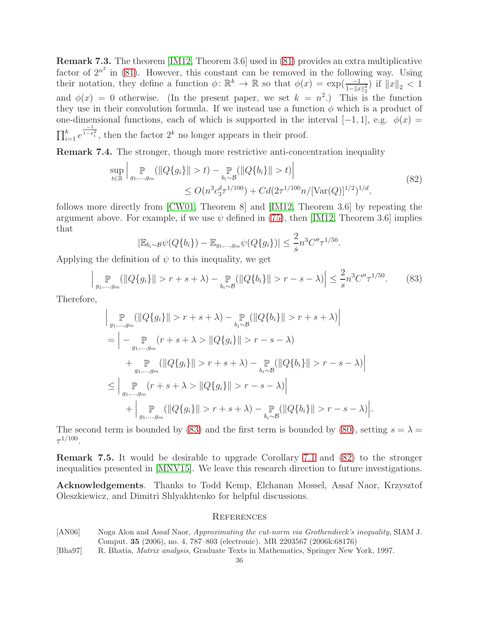Remark 7.3. The theorem [\[IM12,](#page-36-2) Theorem 3.6] used in [\(81\)](#page-34-2) provides an extra multiplicative factor of  $2^{n^2}$  in [\(81\)](#page-34-2). However, this constant can be removed in the following way. Using their notation, they define a function  $\phi \colon \mathbb{R}^k \to \mathbb{R}$  so that  $\phi(x) = \exp(\frac{-1}{1 - \|x\|_2^2})$  if  $\|x\|_2 < 1$ and  $\phi(x) = 0$  otherwise. (In the present paper, we set  $k = n^2$ .) This is the function they use in their convolution formula. If we instead use a function  $\phi$  which is a product of one-dimensional functions, each of which is supported in the interval  $[-1, 1]$ , e.g.  $\phi(x) =$  $\prod_{i=1}^k e$  $\frac{1}{1-x_i^2}$ , then the factor  $2^k$  no longer appears in their proof.

Remark 7.4. The stronger, though more restrictive anti-concentration inequality

<span id="page-35-3"></span>
$$
\sup_{t \in \mathbb{R}} \left| \sup_{g_1, \dots, g_m} (||Q\{g_i\}|| > t) - \sup_{b_i \sim \mathcal{B}} (||Q\{b_i\}|| > t) \right|
$$
\n
$$
\leq O(n^3 c_3^d \tau^{1/100}) + C d(2\tau^{1/100} n / [\text{Var}(Q)]^{1/2})^{1/d},
$$
\n(82)

follows more directly from [\[CW01,](#page-36-22) Theorem 8] and [\[IM12,](#page-36-2) Theorem 3.6] by repeating the argument above. For example, if we use  $\psi$  defined in [\(75\)](#page-33-3), then [\[IM12,](#page-36-2) Theorem 3.6] implies that

$$
|\mathbb{E}_{b_i \sim \mathcal{B}} \psi(Q\{b_i\}) - \mathbb{E}_{g_1, \dots, g_m} \psi(Q\{g_i\})| \leq \frac{2}{s} n^3 C'' \tau^{1/50}.
$$

Applying the definition of  $\psi$  to this inequality, we get

<span id="page-35-2"></span>
$$
\left| \mathop{\mathbb{P}}_{g_1,\dots,g_m} (\|Q\{g_i\}\| > r + s + \lambda) - \mathop{\mathbb{P}}_{b_i \sim \mathcal{B}} (\|Q\{b_i\}\| > r - s - \lambda) \right| \le \frac{2}{s} n^3 C'' \tau^{1/50}.
$$
 (83)

Therefore,

$$
\| \sup_{g_1, \dots, g_m} (||Q\{g_i\}|| > r + s + \lambda) - \sup_{b_i \sim \mathcal{B}} (||Q\{b_i\}|| > r + s + \lambda) \|
$$
  
\n
$$
= \left| - \sup_{g_1, \dots, g_m} (r + s + \lambda) - ||Q\{g_i\}|| > r - s - \lambda \right|
$$
  
\n
$$
+ \sup_{g_1, \dots, g_m} (||Q\{g_i\}|| > r + s + \lambda) - \sup_{b_i \sim \mathcal{B}} (||Q\{b_i\}|| > r - s - \lambda) \|
$$
  
\n
$$
\leq \left| \sup_{g_1, \dots, g_m} (r + s + \lambda) - ||Q\{g_i\}|| > r - s - \lambda) \right|
$$
  
\n
$$
+ \left| \sup_{g_1, \dots, g_m} (||Q\{g_i\}|| > r + s + \lambda) - \sup_{b_i \sim \mathcal{B}} (||Q\{b_i\}|| > r - s - \lambda) \right|.
$$

The second term is bounded by [\(83\)](#page-35-2) and the first term is bounded by [\(80\)](#page-34-3), setting  $s = \lambda$  $\tau^{1/100}$ .

Remark 7.5. It would be desirable to upgrade Corollary [7.1](#page-33-4) and [\(82\)](#page-35-3) to the stronger inequalities presented in [\[MNV15\]](#page-37-23). We leave this research direction to future investigations.

Acknowledgements. Thanks to Todd Kemp, Elchanan Mossel, Assaf Naor, Krzysztof Oleszkiewicz, and Dimitri Shlyakhtenko for helpful discussions.

#### **REFERENCES**

- <span id="page-35-0"></span>[AN06] Noga Alon and Assaf Naor, Approximating the cut-norm via Grothendieck's inequality, SIAM J. Comput. 35 (2006), no. 4, 787–803 (electronic). MR 2203567 (2006k:68176)
- <span id="page-35-1"></span>[Bha97] R. Bhatia, Matrix analysis, Graduate Texts in Mathematics, Springer New York, 1997.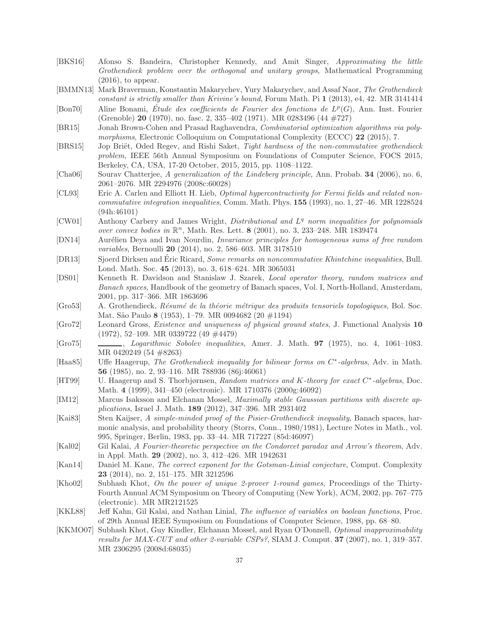- <span id="page-36-12"></span>[BKS16] Afonso S. Bandeira, Christopher Kennedy, and Amit Singer, Approximating the little Grothendieck problem over the orthogonal and unitary groups, Mathematical Programming  $(2016)$ , to appear.
- <span id="page-36-7"></span>[BMMN13] Mark Braverman, Konstantin Makarychev, Yury Makarychev, and Assaf Naor, The Grothendieck constant is strictly smaller than Krivine's bound, Forum Math. Pi 1 (2013), e4, 42. MR 3141414
- <span id="page-36-13"></span>[Bon70] Aline Bonami, Étude des coefficients de Fourier des fonctions de  $L^p(G)$ , Ann. Inst. Fourier (Grenoble) 20 (1970), no. fasc. 2, 335–402 (1971). MR 0283496 (44 #727)
- <span id="page-36-16"></span>[BR15] Jonah Brown-Cohen and Prasad Raghavendra, Combinatorial optimization algorithms via polymorphisms, Electronic Colloquium on Computational Complexity (ECCC) 22 (2015), 7.
- <span id="page-36-10"></span>[BRS15] Jop Briët, Oded Regev, and Rishi Saket, Tight hardness of the non-commutative grothendieck problem, IEEE 56th Annual Symposium on Foundations of Computer Science, FOCS 2015, Berkeley, CA, USA, 17-20 October, 2015, 2015, pp. 1108–1122.
- <span id="page-36-5"></span>[Cha06] Sourav Chatterjee, A generalization of the Lindeberg principle, Ann. Probab. 34 (2006), no. 6, 2061–2076. MR 2294976 (2008c:60028)
- <span id="page-36-11"></span>[CL93] Eric A. Carlen and Elliott H. Lieb, Optimal hypercontractivity for Fermi fields and related noncommutative integration inequalities, Comm. Math. Phys. 155 (1993), no. 1, 27–46. MR 1228524 (94h:46101)
- <span id="page-36-22"></span>[CW01] Anthony Carbery and James Wright, *Distributional and L<sup>q</sup> norm inequalities for polynomials* over convex bodies in  $\mathbb{R}^n$ , Math. Res. Lett. 8 (2001), no. 3, 233-248. MR 1839474
- <span id="page-36-18"></span>[DN14] Aurélien Deya and Ivan Nourdin, *Invariance principles for homogeneous sums of free random* variables, Bernoulli **20** (2014), no. 2, 586–603. MR 3178510
- <span id="page-36-20"></span>[DR13] Sjoerd Dirksen and Eric Ricard, Some remarks on noncommutative Khintchine inequalities, Bull. Lond. Math. Soc. 45 (2013), no. 3, 618–624. MR 3065031
- <span id="page-36-4"></span>[DS01] Kenneth R. Davidson and Stanislaw J. Szarek, Local operator theory, random matrices and Banach spaces, Handbook of the geometry of Banach spaces, Vol. I, North-Holland, Amsterdam, 2001, pp. 317–366. MR 1863696
- <span id="page-36-6"></span>[Gro53] A. Grothendieck, Résumé de la théorie métrique des produits tensoriels topologiques, Bol. Soc. Mat. S˜ao Paulo 8 (1953), 1–79. MR 0094682 (20 #1194)
- <span id="page-36-21"></span>[Gro72] Leonard Gross, Existence and uniqueness of physical ground states, J. Functional Analysis 10 (1972), 52–109. MR 0339722 (49 #4479)
- <span id="page-36-14"></span>[Gro75] , Logarithmic Sobolev inequalities, Amer. J. Math. 97 (1975), no. 4, 1061–1083. MR 0420249 (54 #8263)
- <span id="page-36-9"></span>[Haa85] Uffe Haagerup, The Grothendieck inequality for bilinear forms on C<sup>\*</sup>-algebras, Adv. in Math. 56 (1985), no. 2, 93–116. MR 788936 (86j:46061)
- <span id="page-36-3"></span>[HT99] U. Haagerup and S. Thorbjørnsen, Random matrices and K-theory for exact C<sup>\*</sup>-algebras, Doc. Math. 4 (1999), 341–450 (electronic). MR 1710376 (2000g:46092)
- <span id="page-36-2"></span>[IM12] Marcus Isaksson and Elchanan Mossel, *Maximally stable Gaussian partitions with discrete ap*plications, Israel J. Math. 189 (2012), 347–396. MR 2931402
- <span id="page-36-8"></span>[Kai83] Sten Kaijser, A simple-minded proof of the Pisier-Grothendieck inequality, Banach spaces, harmonic analysis, and probability theory (Storrs, Conn., 1980/1981), Lecture Notes in Math., vol. 995, Springer, Berlin, 1983, pp. 33–44. MR 717227 (85d:46097)
- <span id="page-36-1"></span>[Kal02] Gil Kalai, A Fourier-theoretic perspective on the Condorcet paradox and Arrow's theorem, Adv. in Appl. Math. 29 (2002), no. 3, 412–426. MR 1942631
- <span id="page-36-17"></span>[Kan14] Daniel M. Kane, The correct exponent for the Gotsman-Linial conjecture, Comput. Complexity 23 (2014), no. 2, 151–175. MR 3212596
- <span id="page-36-19"></span>[Kho02] Subhash Khot, On the power of unique 2-prover 1-round games, Proceedings of the Thirty-Fourth Annual ACM Symposium on Theory of Computing (New York), ACM, 2002, pp. 767–775 (electronic). MR MR2121525
- <span id="page-36-0"></span>[KKL88] Jeff Kahn, Gil Kalai, and Nathan Linial, The influence of variables on boolean functions, Proc. of 29th Annual IEEE Symposium on Foundations of Computer Science, 1988, pp. 68–80.
- <span id="page-36-15"></span>[KKMO07] Subhash Khot, Guy Kindler, Elchanan Mossel, and Ryan O'Donnell, Optimal inapproximability results for  $MAX-CUT$  and other 2-variable  $CSPs$ ?, SIAM J. Comput. **37** (2007), no. 1, 319–357. MR 2306295 (2008d:68035)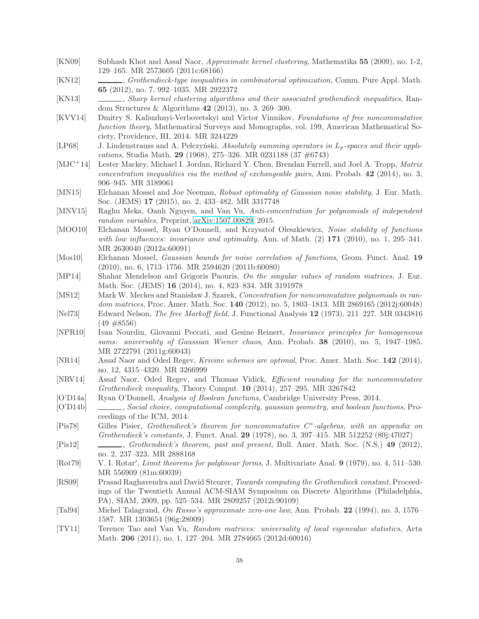- <span id="page-37-4"></span>[KN09] Subhash Khot and Assaf Naor, Approximate kernel clustering, Mathematika 55 (2009), no. 1-2, 129–165. MR 2573605 (2011c:68166)
- <span id="page-37-8"></span>[KN12] , Grothendieck-type inequalities in combinatorial optimization, Comm. Pure Appl. Math. 65 (2012), no. 7, 992–1035. MR 2922372
- <span id="page-37-5"></span>[KN13] , Sharp kernel clustering algorithms and their associated grothendieck inequalities, Random Structures & Algorithms 42 (2013), no. 3, 269–300.
- <span id="page-37-6"></span>[KVV14] Dmitry S. Kaliuzhnyi-Verbovetskyi and Victor Vinnikov, Foundations of free noncommutative function theory, Mathematical Surveys and Monographs, vol. 199, American Mathematical Society, Providence, RI, 2014. MR 3244229
- <span id="page-37-7"></span>[LP68] J. Lindenstrauss and A. Pelczyński, Absolutely summing operators in  $L_p$ -spaces and their applications, Studia Math. 29 (1968), 275–326. MR 0231188 (37 #6743)
- <span id="page-37-22"></span>[MJC+14] Lester Mackey, Michael I. Jordan, Richard Y. Chen, Brendan Farrell, and Joel A. Tropp, Matrix concentration inequalities via the method of exchangeable pairs, Ann. Probab.  $42$  (2014), no. 3, 906–945. MR 3189061
- <span id="page-37-2"></span>[MN15] Elchanan Mossel and Joe Neeman, Robust optimality of Gaussian noise stability, J. Eur. Math. Soc. (JEMS) 17 (2015), no. 2, 433–482. MR 3317748
- <span id="page-37-23"></span>[MNV15] Raghu Meka, Oanh Nguyen, and Van Vu, Anti-concentration for polynomials of independent random variables, Preprint, [arXiv:1507.00829,](http://arxiv.org/abs/1507.00829) 2015.
- <span id="page-37-1"></span>[MOO10] Elchanan Mossel, Ryan O'Donnell, and Krzysztof Oleszkiewicz, Noise stability of functions with low influences: invariance and optimality, Ann. of Math.  $(2)$  171  $(2010)$ , no. 1, 295–341. MR 2630040 (2012a:60091)
- <span id="page-37-15"></span>[Mos10] Elchanan Mossel, *Gaussian bounds for noise correlation of functions*, Geom. Funct. Anal. 19 (2010), no. 6, 1713–1756. MR 2594620 (2011b:60080)
- <span id="page-37-18"></span>[MP14] Shahar Mendelson and Grigoris Paouris, On the singular values of random matrices, J. Eur. Math. Soc. (JEMS) 16 (2014), no. 4, 823–834. MR 3191978
- <span id="page-37-21"></span>[MS12] Mark W. Meckes and Stanisław J. Szarek, Concentration for noncommutative polynomials in random matrices, Proc. Amer. Math. Soc. 140 (2012), no. 5, 1803–1813. MR 2869165 (2012j:60048)
- <span id="page-37-16"></span>[Nel73] Edward Nelson, The free Markoff field, J. Functional Analysis 12 (1973), 211–227. MR 0343816  $(49 \#8556)$
- <span id="page-37-19"></span>[NPR10] Ivan Nourdin, Giovanni Peccati, and Gesine Reinert, Invariance principles for homogeneous sums: universality of Gaussian Wiener chaos, Ann. Probab. 38 (2010), no. 5, 1947–1985. MR 2722791 (2011g:60043)
- <span id="page-37-12"></span>[NR14] Assaf Naor and Oded Regev, Krivine schemes are optimal, Proc. Amer. Math. Soc. 142 (2014), no. 12, 4315–4320. MR 3266999
- <span id="page-37-11"></span>[NRV14] Assaf Naor, Oded Regev, and Thomas Vidick, Efficient rounding for the noncommutative Grothendieck inequality, Theory Comput. 10 (2014), 257–295. MR 3267842
- <span id="page-37-17"></span>[O'D14a] Ryan O'Donnell, Analysis of Boolean functions, Cambridge University Press, 2014.
- <span id="page-37-3"></span>[O'D14b] , Social choice, computational complexity, gaussian geometry, and boolean functions, Proceedings of the ICM, 2014.
- <span id="page-37-10"></span>[Pis78] Gilles Pisier, Grothendieck's theorem for noncommutative C<sup>\*</sup>-algebras, with an appendix on Grothendieck's constants, J. Funct. Anal. 29 (1978), no. 3, 397–415. MR 512252 (80j:47027)
- <span id="page-37-9"></span>[Pis12] , Grothendieck's theorem, past and present, Bull. Amer. Math. Soc. (N.S.) 49 (2012), no. 2, 237–323. MR 2888168
- <span id="page-37-14"></span>[Rot79] V. I. Rotar', *Limit theorems for polylinear forms*, J. Multivariate Anal. 9 (1979), no. 4, 511–530. MR 556909 (81m:60039)
- <span id="page-37-13"></span>[RS09] Prasad Raghavendra and David Steurer, Towards computing the Grothendieck constant, Proceedings of the Twentieth Annual ACM-SIAM Symposium on Discrete Algorithms (Philadelphia, PA), SIAM, 2009, pp. 525–534. MR 2809257 (2012i:90109)
- <span id="page-37-0"></span>[Tal94] Michel Talagrand, On Russo's approximate zero-one law, Ann. Probab. 22 (1994), no. 3, 1576– 1587. MR 1303654 (96g:28009)
- <span id="page-37-20"></span>[TV11] Terence Tao and Van Vu, Random matrices: universality of local eigenvalue statistics, Acta Math. 206 (2011), no. 1, 127–204. MR 2784665 (2012d:60016)